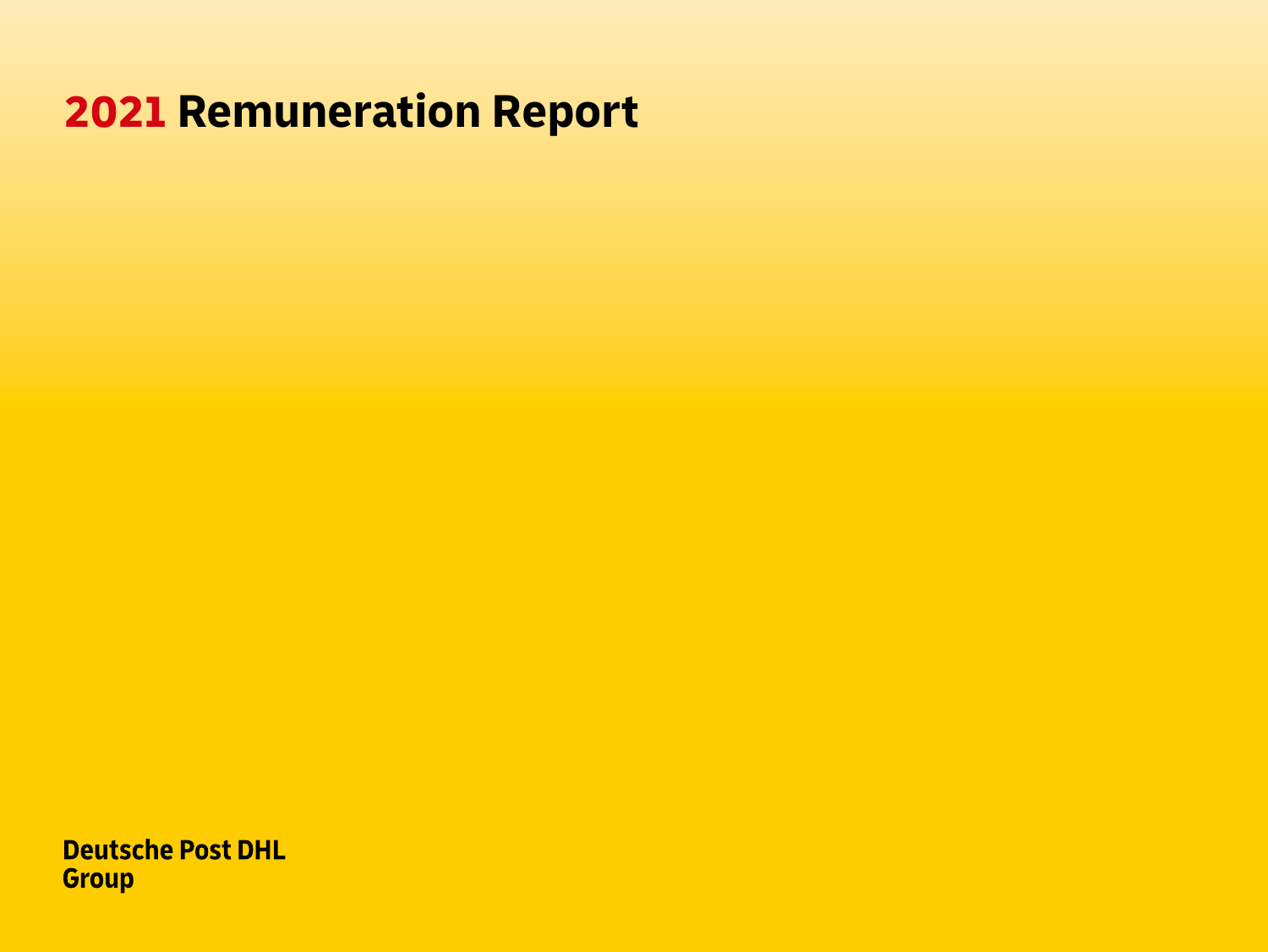# **2021 Remuneration Report**

**Deutsche Post DHL Group**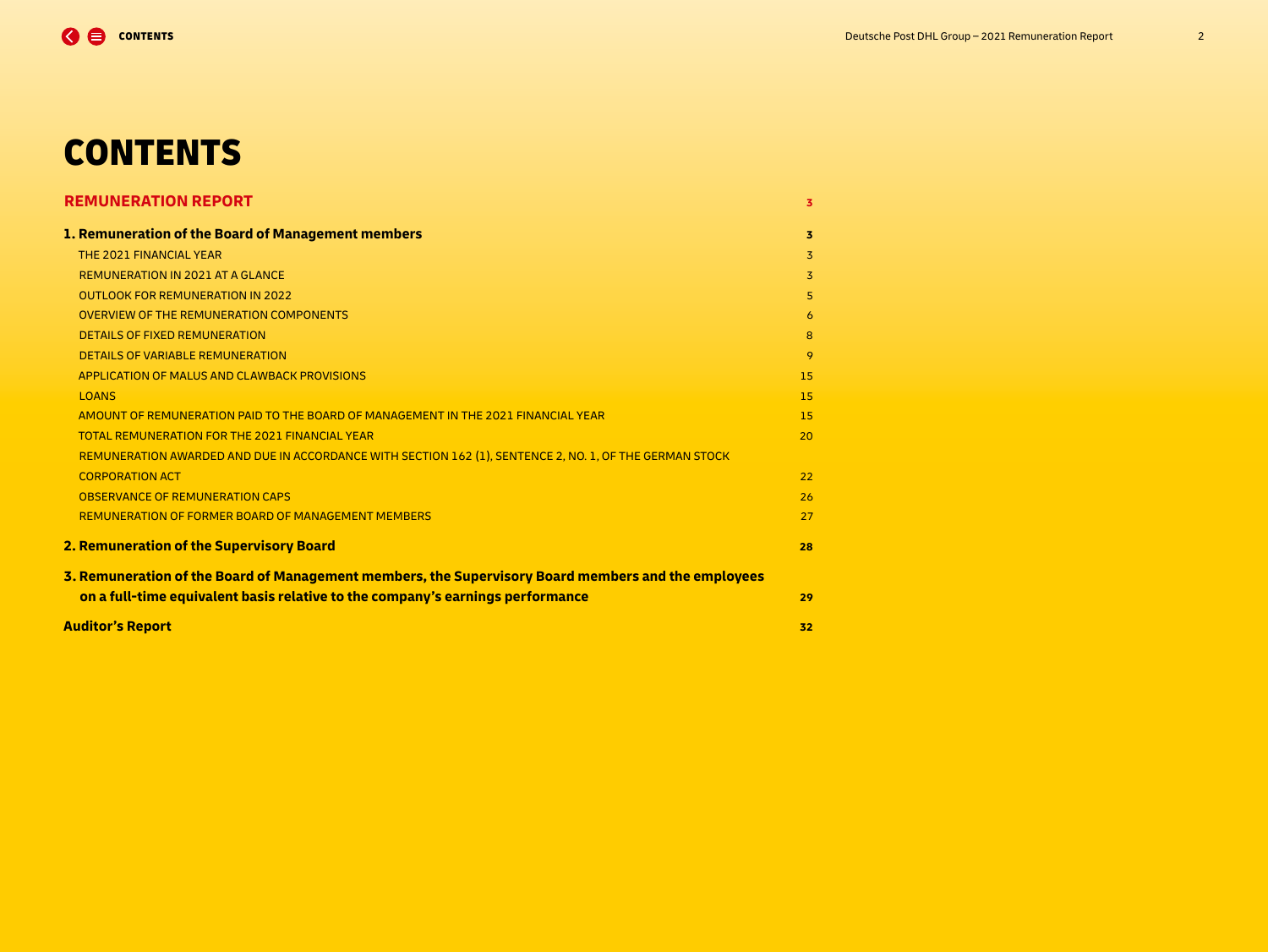# **CONTENTS**

| <b>REMUNERATION REPORT</b>                                                                              | 3              |
|---------------------------------------------------------------------------------------------------------|----------------|
| 1. Remuneration of the Board of Management members                                                      | 3              |
| THE 2021 FINANCIAL YEAR                                                                                 | $\overline{3}$ |
| <b>REMUNERATION IN 2021 AT A GLANCE</b>                                                                 | 3              |
| <b>OUTLOOK FOR REMUNERATION IN 2022</b>                                                                 | 5              |
| <b>OVERVIEW OF THE REMUNERATION COMPONENTS</b>                                                          | 6              |
| <b>DETAILS OF FIXED REMUNERATION</b>                                                                    | 8              |
| <b>DETAILS OF VARIABLE REMUNERATION</b>                                                                 | 9              |
| APPLICATION OF MALUS AND CLAWBACK PROVISIONS                                                            | 15             |
| <b>LOANS</b>                                                                                            | 15             |
| AMOUNT OF REMUNERATION PAID TO THE BOARD OF MANAGEMENT IN THE 2021 FINANCIAL YEAR                       | 15             |
| <b>TOTAL REMUNERATION FOR THE 2021 FINANCIAL YEAR</b>                                                   | 20             |
| REMUNERATION AWARDED AND DUE IN ACCORDANCE WITH SECTION 162 (1), SENTENCE 2, NO. 1, OF THE GERMAN STOCK |                |
| <b>CORPORATION ACT</b>                                                                                  | 22             |
| <b>OBSERVANCE OF REMUNERATION CAPS</b>                                                                  | 26             |
| <b>REMUNERATION OF FORMER BOARD OF MANAGEMENT MEMBERS</b>                                               | 27             |
| 2. Remuneration of the Supervisory Board                                                                | 28             |
| 3. Remuneration of the Board of Management members, the Supervisory Board members and the employees     |                |
| on a full-time equivalent basis relative to the company's earnings performance                          | 29             |
| <b>Auditor's Report</b>                                                                                 | 32             |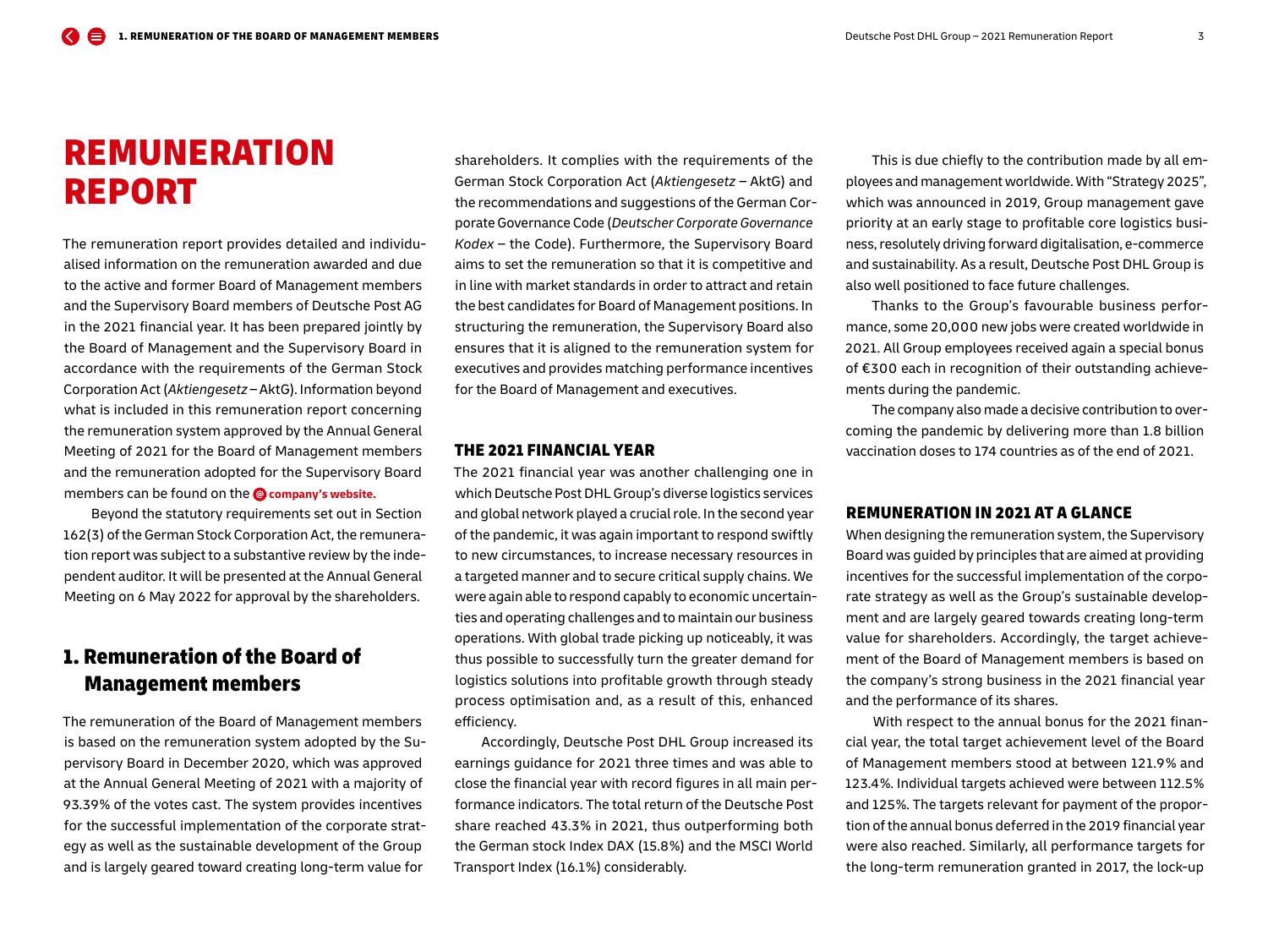# <span id="page-2-0"></span>REMUNERATION REPORT

The remuneration report provides detailed and individualised information on the remuneration awarded and due to the active and former Board of Management members and the Supervisory Board members of Deutsche Post AG in the 2021 financial year. It has been prepared jointly by the Board of Management and the Supervisory Board in accordance with the requirements of the German Stock Corporation Act (*Aktiengesetz* – AktG). Information beyond what is included in this remuneration report concerning the remuneration system approved by the Annual General Meeting of 2021 for the Board of Management members and the remuneration adopted for the Supervisory Board members can be found on the **@** [company's website.](https://www.dpdhl.com/en.html)

Beyond the statutory requirements set out in Section 162(3) of the German Stock Corporation Act, the remuneration report was subject to a substantive review by the independent auditor. It will be presented at the Annual General Meeting on 6 May 2022 for approval by the shareholders.

## 1. Remuneration of the Board of Management members

The remuneration of the Board of Management members is based on the remuneration system adopted by the Supervisory Board in December 2020, which was approved at the Annual General Meeting of 2021 with a majority of 93.39 % of the votes cast. The system provides incentives for the successful implementation of the corporate strategy as well as the sustainable development of the Group and is largely geared toward creating long-term value for

shareholders. It complies with the requirements of the German Stock Corporation Act (*Aktiengesetz* – AktG) and the recommendations and suggestions of the German Corporate Governance Code (*Deutscher Corporate Governance Kodex* – the Code). Furthermore, the Supervisory Board aims to set the remuneration so that it is competitive and in line with market standards in order to attract and retain the best candidates for Board of Management positions. In structuring the remuneration, the Supervisory Board also ensures that it is aligned to the remuneration system for executives and provides matching performance incentives for the Board of Management and executives.

## THE 2021 FINANCIAL YEAR

The 2021 financial year was another challenging one in which Deutsche Post DHL Group's diverse logistics services and global network played a crucial role. In the second year of the pandemic, it was again important to respond swiftly to new circumstances, to increase necessary resources in a targeted manner and to secure critical supply chains. We were again able to respond capably to economic uncertainties and operating challenges and to maintain our business operations. With global trade picking up noticeably, it was thus possible to successfully turn the greater demand for logistics solutions into profitable growth through steady process optimisation and, as a result of this, enhanced efficiency.

Accordingly, Deutsche Post DHL Group increased its earnings guidance for 2021 three times and was able to close the financial year with record figures in all main performance indicators. The total return of the Deutsche Post share reached 43.3 % in 2021, thus outperforming both the German stock Index DAX (15.8 %) and the MSCI World Transport Index (16.1 %) considerably.

This is due chiefly to the contribution made by all employees and management worldwide. With "Strategy 2025", which was announced in 2019, Group management gave priority at an early stage to profitable core logistics business, resolutely driving forward digitalisation, e-commerce and sustainability. As a result, Deutsche Post DHL Group is also well positioned to face future challenges.

Thanks to the Group's favourable business performance, some 20,000 new jobs were created worldwide in 2021. All Group employees received again a special bonus of €300 each in recognition of their outstanding achievements during the pandemic.

The company also made a decisive contribution to overcoming the pandemic by delivering more than 1.8 billion vaccination doses to 174 countries as of the end of 2021.

## REMUNERATION IN 2021 AT A GLANCE

When designing the remuneration system, the Supervisory Board was guided by principles that are aimed at providing incentives for the successful implementation of the corporate strategy as well as the Group's sustainable development and are largely geared towards creating long-term value for shareholders. Accordingly, the target achievement of the Board of Management members is based on the company's strong business in the 2021 financial year and the performance of its shares.

With respect to the annual bonus for the 2021 financial year, the total target achievement level of the Board of Management members stood at between 121.9 % and 123.4 %. Individual targets achieved were between 112.5 % and 125 %. The targets relevant for payment of the proportion of the annual bonus deferred in the 2019 financial year were also reached. Similarly, all performance targets for the long-term remuneration granted in 2017, the lock-up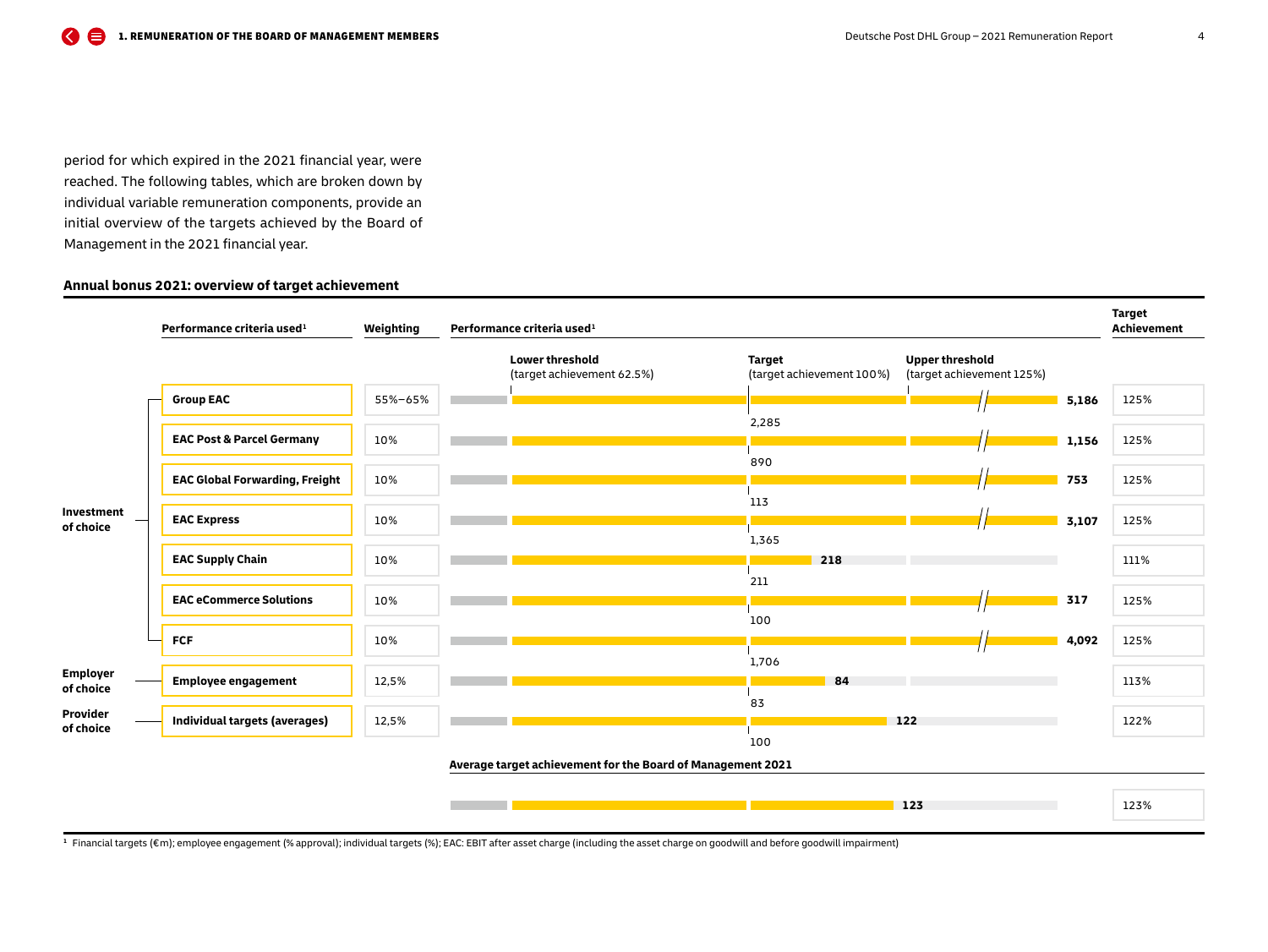period for which expired in the 2021 financial year, were reached. The following tables, which are broken down by individual variable remuneration components, provide an initial overview of the targets achieved by the Board of Management in the 2021 financial year.

## **Annual bonus 2021: overview of target achievement**



**<sup>1</sup>** Financial targets (€ m); employee engagement (% approval); individual targets (%); EAC: EBIT after asset charge (including the asset charge on goodwill and before goodwill impairment)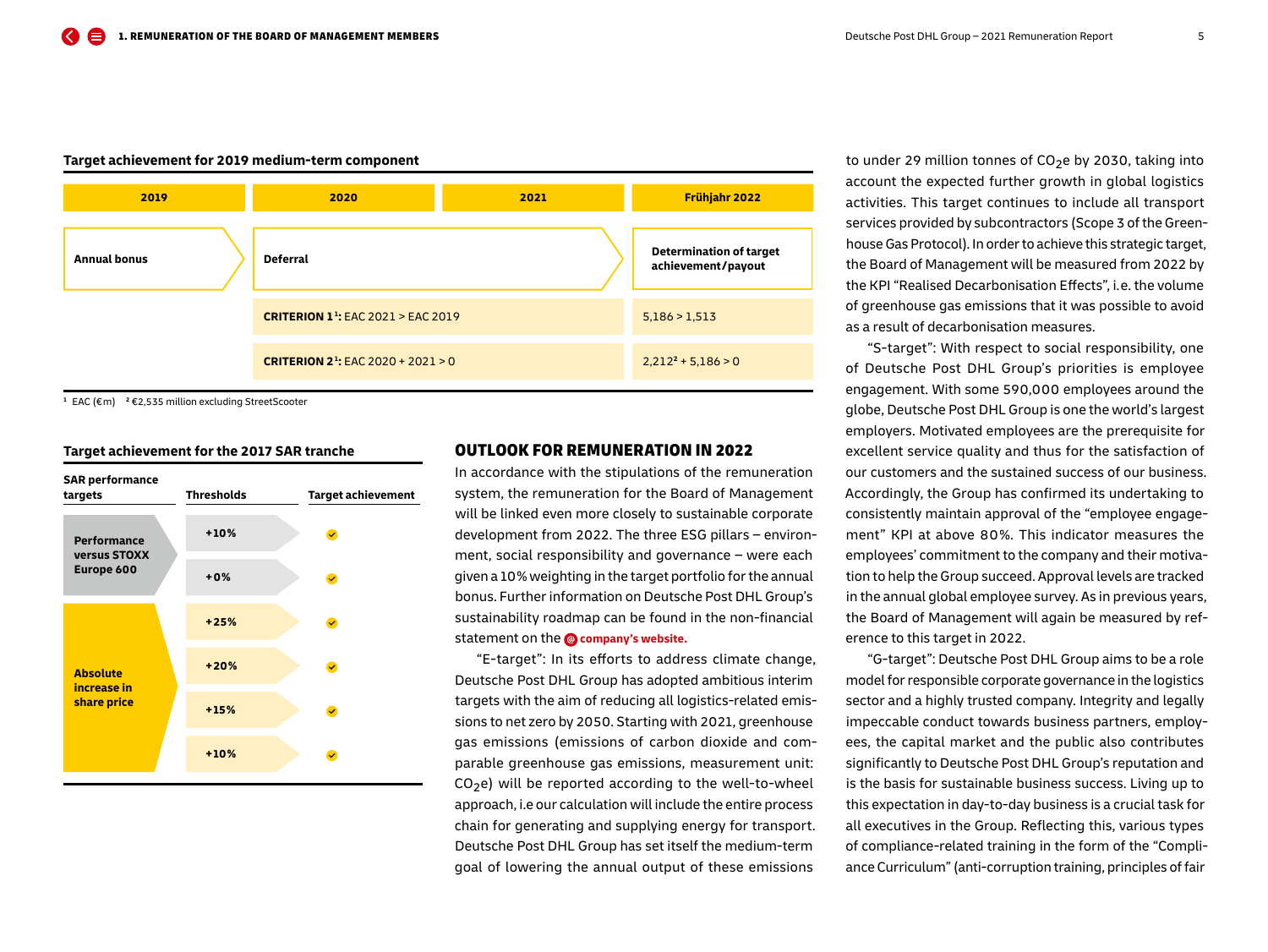## <span id="page-4-0"></span>**Target achievement for 2019 medium-term component**



**<sup>1</sup>** EAC (€ m) **2** €2,535 million excluding StreetScooter

#### **Target achievement for the 2017 SAR tranche**



## OUTLOOK FOR REMUNERATION IN 2022

In accordance with the stipulations of the remuneration system, the remuneration for the Board of Management will be linked even more closely to sustainable corporate development from 2022. The three ESG pillars – environment, social responsibility and governance – were each given a 10 % weighting in the target portfolio for the annual bonus. Further information on Deutsche Post DHL Group's sustainability roadmap can be found in the non-financial statement on the **@** [company's website.](https://www.dpdhl.com/en.html)

"E-target": In its efforts to address climate change, Deutsche Post DHL Group has adopted ambitious interim targets with the aim of reducing all logistics-related emissions to net zero by 2050. Starting with 2021, greenhouse gas emissions (emissions of carbon dioxide and comparable greenhouse gas emissions, measurement unit:  $CO<sub>2</sub>e$ ) will be reported according to the well-to-wheel approach, i.e our calculation will include the entire process chain for generating and supplying energy for transport. Deutsche Post DHL Group has set itself the medium-term goal of lowering the annual output of these emissions

to under 29 million tonnes of  $CO<sub>2</sub>e$  by 2030, taking into account the expected further growth in global logistics activities. This target continues to include all transport services provided by subcontractors (Scope 3 of the Greenhouse Gas Protocol). In order to achieve this strategic target, the Board of Management will be measured from 2022 by the KPI "Realised Decarbonisation Effects", i. e. the volume of greenhouse gas emissions that it was possible to avoid as a result of decarbonisation measures.

"S-target": With respect to social responsibility, one of Deutsche Post DHL Group's priorities is employee engagement. With some 590,000 employees around the globe, Deutsche Post DHL Group is one the world's largest employers. Motivated employees are the prerequisite for excellent service quality and thus for the satisfaction of our customers and the sustained success of our business. Accordingly, the Group has confirmed its undertaking to consistently maintain approval of the "employee engagement" KPI at above 80 %. This indicator measures the employees' commitment to the company and their motivation to help the Group succeed. Approval levels are tracked in the annual global employee survey. As in previous years, the Board of Management will again be measured by reference to this target in 2022.

"G-target": Deutsche Post DHL Group aims to be a role model for responsible corporate governance in the logistics sector and a highly trusted company. Integrity and legally impeccable conduct towards business partners, employees, the capital market and the public also contributes significantly to Deutsche Post DHL Group's reputation and is the basis for sustainable business success. Living up to this expectation in day-to-day business is a crucial task for all executives in the Group. Reflecting this, various types of compliance-related training in the form of the "Compliance Curriculum" (anti-corruption training, principles of fair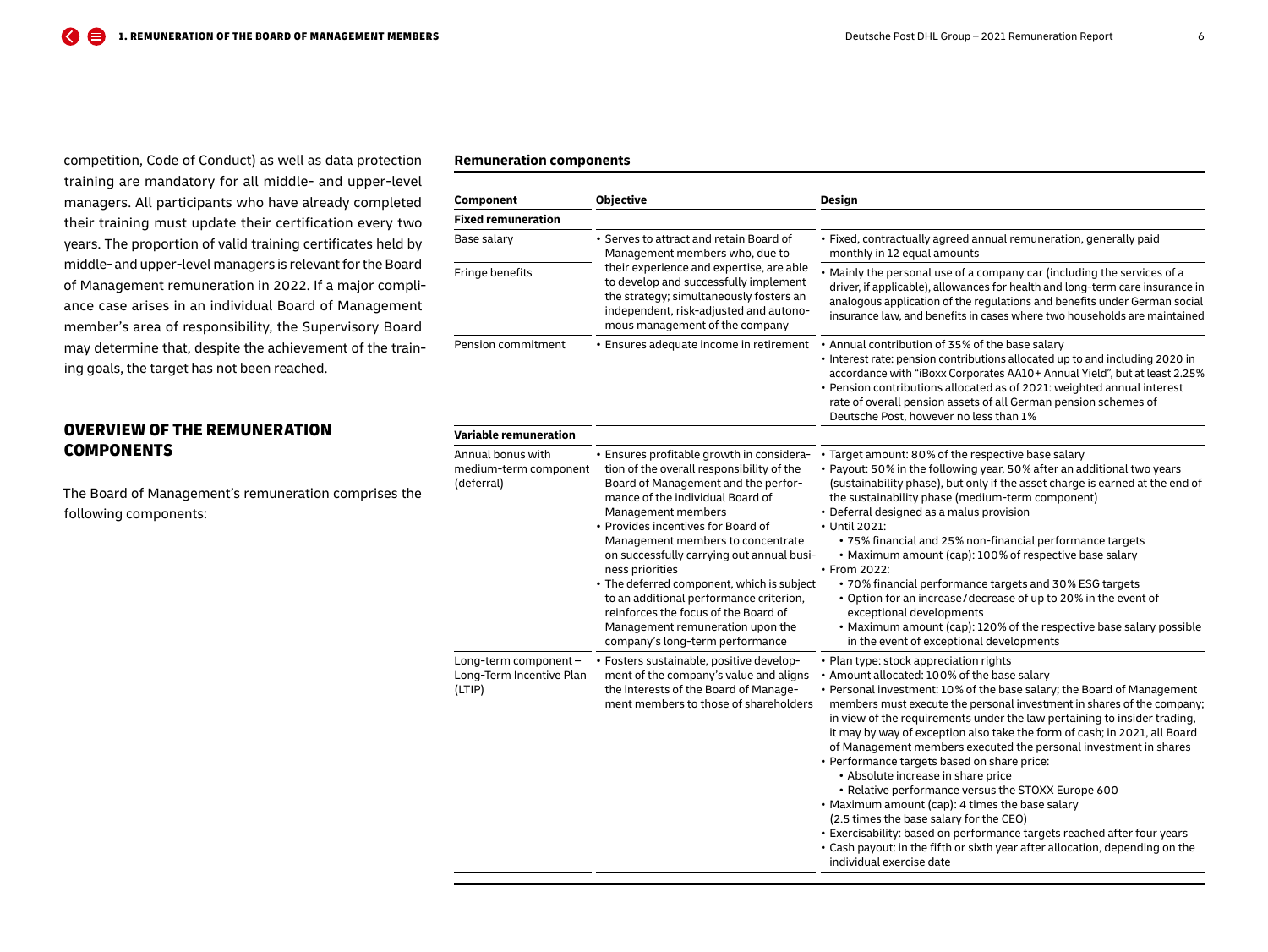<span id="page-5-0"></span>competition, Code of Conduct) as well as data protection training are mandatory for all middle- and upper-level managers. All participants who have already completed their training must update their certification every two years. The proportion of valid training certificates held by middle- and upper-level managers is relevant for the Board of Management remuneration in 2022. If a major compliance case arises in an individual Board of Management member's area of responsibility, the Supervisory Board may determine that, despite the achievement of the training goals, the target has not been reached.

## OVERVIEW OF THE REMUNERATION **COMPONENTS**

The Board of Management's remuneration comprises the following components:

#### **Remuneration components**

| Component                                                  | <b>Objective</b>                                                                                                                                                                                                                                                                                                                                                                                                                                                                                                                           | Design                                                                                                                                                                                                                                                                                                                                                                                                                                                                                                                                                                                                                                                                                                                                                                                                                                                                                                 |  |  |
|------------------------------------------------------------|--------------------------------------------------------------------------------------------------------------------------------------------------------------------------------------------------------------------------------------------------------------------------------------------------------------------------------------------------------------------------------------------------------------------------------------------------------------------------------------------------------------------------------------------|--------------------------------------------------------------------------------------------------------------------------------------------------------------------------------------------------------------------------------------------------------------------------------------------------------------------------------------------------------------------------------------------------------------------------------------------------------------------------------------------------------------------------------------------------------------------------------------------------------------------------------------------------------------------------------------------------------------------------------------------------------------------------------------------------------------------------------------------------------------------------------------------------------|--|--|
| <b>Fixed remuneration</b>                                  |                                                                                                                                                                                                                                                                                                                                                                                                                                                                                                                                            |                                                                                                                                                                                                                                                                                                                                                                                                                                                                                                                                                                                                                                                                                                                                                                                                                                                                                                        |  |  |
| Base salary                                                | • Serves to attract and retain Board of<br>Management members who, due to                                                                                                                                                                                                                                                                                                                                                                                                                                                                  | · Fixed, contractually agreed annual remuneration, generally paid<br>monthly in 12 equal amounts                                                                                                                                                                                                                                                                                                                                                                                                                                                                                                                                                                                                                                                                                                                                                                                                       |  |  |
| Fringe benefits                                            | their experience and expertise, are able<br>to develop and successfully implement<br>the strategy; simultaneously fosters an<br>independent, risk-adjusted and autono-<br>mous management of the company                                                                                                                                                                                                                                                                                                                                   | • Mainly the personal use of a company car (including the services of a<br>driver, if applicable), allowances for health and long-term care insurance in<br>analogous application of the regulations and benefits under German social<br>insurance law, and benefits in cases where two households are maintained                                                                                                                                                                                                                                                                                                                                                                                                                                                                                                                                                                                      |  |  |
| Pension commitment                                         | · Ensures adequate income in retirement                                                                                                                                                                                                                                                                                                                                                                                                                                                                                                    | • Annual contribution of 35% of the base salary<br>• Interest rate: pension contributions allocated up to and including 2020 in<br>accordance with "iBoxx Corporates AA10+ Annual Yield", but at least 2.25%<br>• Pension contributions allocated as of 2021: weighted annual interest<br>rate of overall pension assets of all German pension schemes of<br>Deutsche Post, however no less than 1%                                                                                                                                                                                                                                                                                                                                                                                                                                                                                                    |  |  |
| Variable remuneration                                      |                                                                                                                                                                                                                                                                                                                                                                                                                                                                                                                                            |                                                                                                                                                                                                                                                                                                                                                                                                                                                                                                                                                                                                                                                                                                                                                                                                                                                                                                        |  |  |
| Annual bonus with<br>medium-term component<br>(deferral)   | • Ensures profitable growth in considera-<br>tion of the overall responsibility of the<br>Board of Management and the perfor-<br>mance of the individual Board of<br>Management members<br>• Provides incentives for Board of<br>Management members to concentrate<br>on successfully carrying out annual busi-<br>ness priorities<br>• The deferred component, which is subject<br>to an additional performance criterion,<br>reinforces the focus of the Board of<br>Management remuneration upon the<br>company's long-term performance | • Target amount: 80% of the respective base salary<br>• Payout: 50% in the following year, 50% after an additional two years<br>(sustainability phase), but only if the asset charge is earned at the end of<br>the sustainability phase (medium-term component)<br>• Deferral designed as a malus provision<br>• Until 2021:<br>• 75% financial and 25% non-financial performance targets<br>• Maximum amount (cap): 100% of respective base salary<br>• From 2022:<br>• 70% financial performance targets and 30% ESG targets<br>• Option for an increase/decrease of up to 20% in the event of<br>exceptional developments<br>• Maximum amount (cap): 120% of the respective base salary possible<br>in the event of exceptional developments                                                                                                                                                       |  |  |
| Long-term component-<br>Long-Term Incentive Plan<br>(LTIP) | · Fosters sustainable, positive develop-<br>ment of the company's value and aligns<br>the interests of the Board of Manage-<br>ment members to those of shareholders                                                                                                                                                                                                                                                                                                                                                                       | • Plan type: stock appreciation rights<br>• Amount allocated: 100% of the base salary<br>• Personal investment: 10% of the base salary; the Board of Management<br>members must execute the personal investment in shares of the company;<br>in view of the requirements under the law pertaining to insider trading,<br>it may by way of exception also take the form of cash; in 2021, all Board<br>of Management members executed the personal investment in shares<br>• Performance targets based on share price:<br>• Absolute increase in share price<br>• Relative performance versus the STOXX Europe 600<br>• Maximum amount (cap): 4 times the base salary<br>(2.5 times the base salary for the CEO)<br>• Exercisability: based on performance targets reached after four years<br>• Cash payout: in the fifth or sixth year after allocation, depending on the<br>individual exercise date |  |  |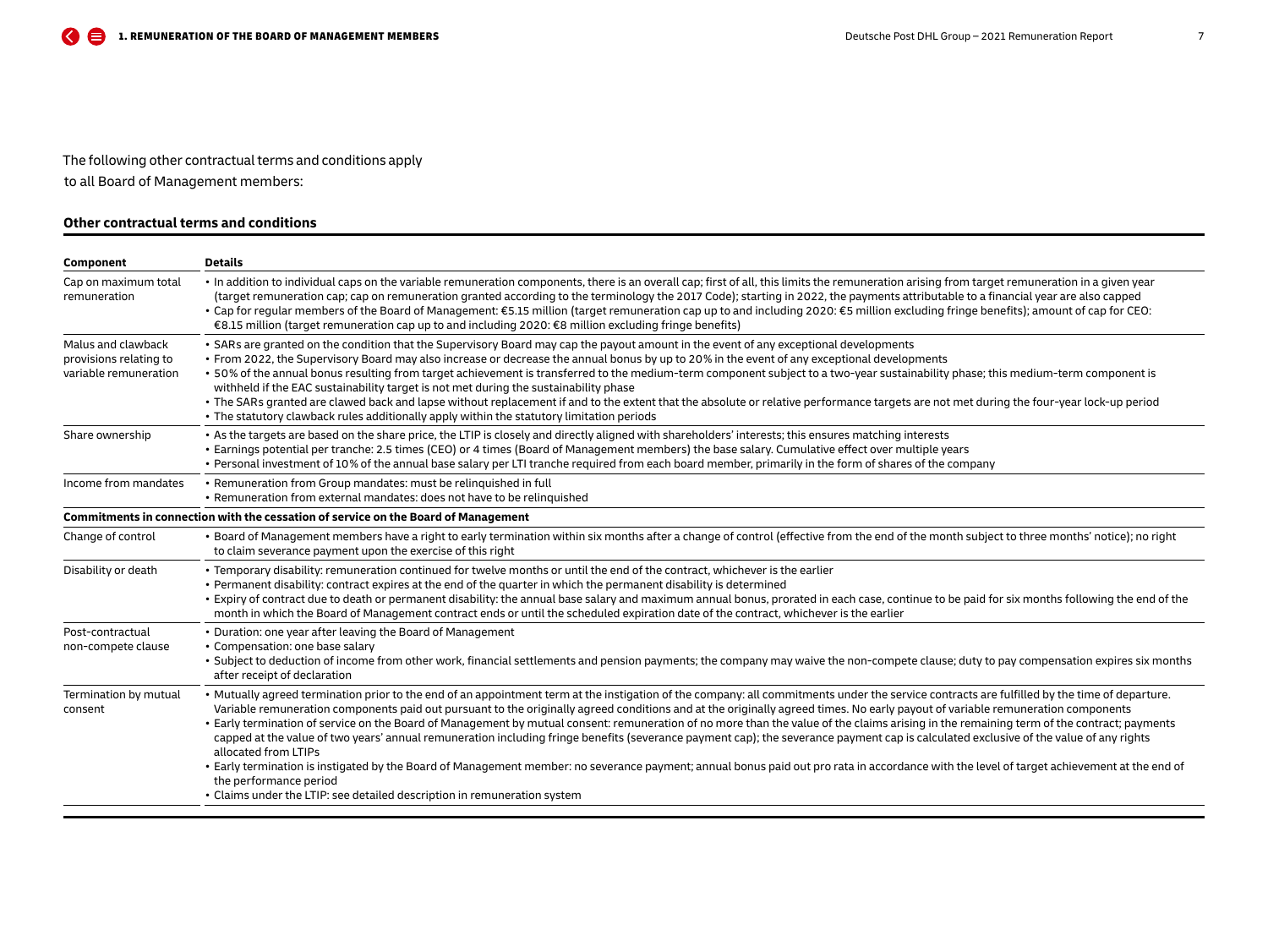## The following other contractual terms and conditions apply

to all Board of Management members:

## **Other contractual terms and conditions**

| Component                                                             | <b>Details</b>                                                                                                                                                                                                                                                                                                                                                                                                                                                                                                                                                                                                                                                                                                                                                                                                                                                                                                                                                                                                                                                                                   |
|-----------------------------------------------------------------------|--------------------------------------------------------------------------------------------------------------------------------------------------------------------------------------------------------------------------------------------------------------------------------------------------------------------------------------------------------------------------------------------------------------------------------------------------------------------------------------------------------------------------------------------------------------------------------------------------------------------------------------------------------------------------------------------------------------------------------------------------------------------------------------------------------------------------------------------------------------------------------------------------------------------------------------------------------------------------------------------------------------------------------------------------------------------------------------------------|
| Cap on maximum total<br>remuneration                                  | · In addition to individual caps on the variable remuneration components, there is an overall cap; first of all, this limits the remuneration arising from target remuneration in a given year<br>(target remuneration cap; cap on remuneration granted according to the terminology the 2017 Code); starting in 2022, the payments attributable to a financial year are also capped<br>• Cap for regular members of the Board of Management: €5.15 million (target remuneration cap up to and including 2020: €5 million excluding fringe benefits); amount of cap for CEO:<br>€8.15 million (target remuneration cap up to and including 2020: €8 million excluding fringe benefits)                                                                                                                                                                                                                                                                                                                                                                                                           |
| Malus and clawback<br>provisions relating to<br>variable remuneration | • SARs are granted on the condition that the Supervisory Board may cap the payout amount in the event of any exceptional developments<br>• From 2022, the Supervisory Board may also increase or decrease the annual bonus by up to 20% in the event of any exceptional developments<br>. 50% of the annual bonus resulting from target achievement is transferred to the medium-term component subject to a two-year sustainability phase; this medium-term component is<br>withheld if the EAC sustainability target is not met during the sustainability phase<br>. The SARs granted are clawed back and lapse without replacement if and to the extent that the absolute or relative performance targets are not met during the four-year lock-up period<br>• The statutory clawback rules additionally apply within the statutory limitation periods                                                                                                                                                                                                                                        |
| Share ownership                                                       | . As the targets are based on the share price, the LTIP is closely and directly aligned with shareholders' interests; this ensures matching interests<br>• Earnings potential per tranche: 2.5 times (CEO) or 4 times (Board of Management members) the base salary. Cumulative effect over multiple years<br>• Personal investment of 10% of the annual base salary per LTI tranche required from each board member, primarily in the form of shares of the company                                                                                                                                                                                                                                                                                                                                                                                                                                                                                                                                                                                                                             |
| Income from mandates                                                  | • Remuneration from Group mandates: must be relinquished in full<br>• Remuneration from external mandates: does not have to be relinguished                                                                                                                                                                                                                                                                                                                                                                                                                                                                                                                                                                                                                                                                                                                                                                                                                                                                                                                                                      |
|                                                                       | Commitments in connection with the cessation of service on the Board of Management                                                                                                                                                                                                                                                                                                                                                                                                                                                                                                                                                                                                                                                                                                                                                                                                                                                                                                                                                                                                               |
| Change of control                                                     | • Board of Management members have a right to early termination within six months after a change of control (effective from the end of the month subject to three months' notice); no right<br>to claim severance payment upon the exercise of this right                                                                                                                                                                                                                                                                                                                                                                                                                                                                                                                                                                                                                                                                                                                                                                                                                                        |
| Disability or death                                                   | . Temporary disability: remuneration continued for twelve months or until the end of the contract, whichever is the earlier<br>• Permanent disability: contract expires at the end of the quarter in which the permanent disability is determined<br>• Expiry of contract due to death or permanent disability: the annual base salary and maximum annual bonus, prorated in each case, continue to be paid for six months following the end of the<br>month in which the Board of Management contract ends or until the scheduled expiration date of the contract, whichever is the earlier                                                                                                                                                                                                                                                                                                                                                                                                                                                                                                     |
| Post-contractual<br>non-compete clause                                | • Duration: one year after leaving the Board of Management<br>• Compensation: one base salary<br>· Subject to deduction of income from other work, financial settlements and pension payments; the company may waive the non-compete clause; duty to pay compensation expires six months<br>after receipt of declaration                                                                                                                                                                                                                                                                                                                                                                                                                                                                                                                                                                                                                                                                                                                                                                         |
| Termination by mutual<br>consent                                      | • Mutually agreed termination prior to the end of an appointment term at the instigation of the company: all commitments under the service contracts are fulfilled by the time of departure.<br>Variable remuneration components paid out pursuant to the originally agreed conditions and at the originally agreed times. No early payout of variable remuneration components<br>• Early termination of service on the Board of Management by mutual consent: remuneration of no more than the value of the claims arising in the remaining term of the contract; payments<br>capped at the value of two years' annual remuneration including fringe benefits (severance payment cap); the severance payment cap is calculated exclusive of the value of any rights<br>allocated from LTIPs<br>• Early termination is instigated by the Board of Management member: no severance payment; annual bonus paid out pro rata in accordance with the level of target achievement at the end of<br>the performance period<br>• Claims under the LTIP: see detailed description in remuneration system |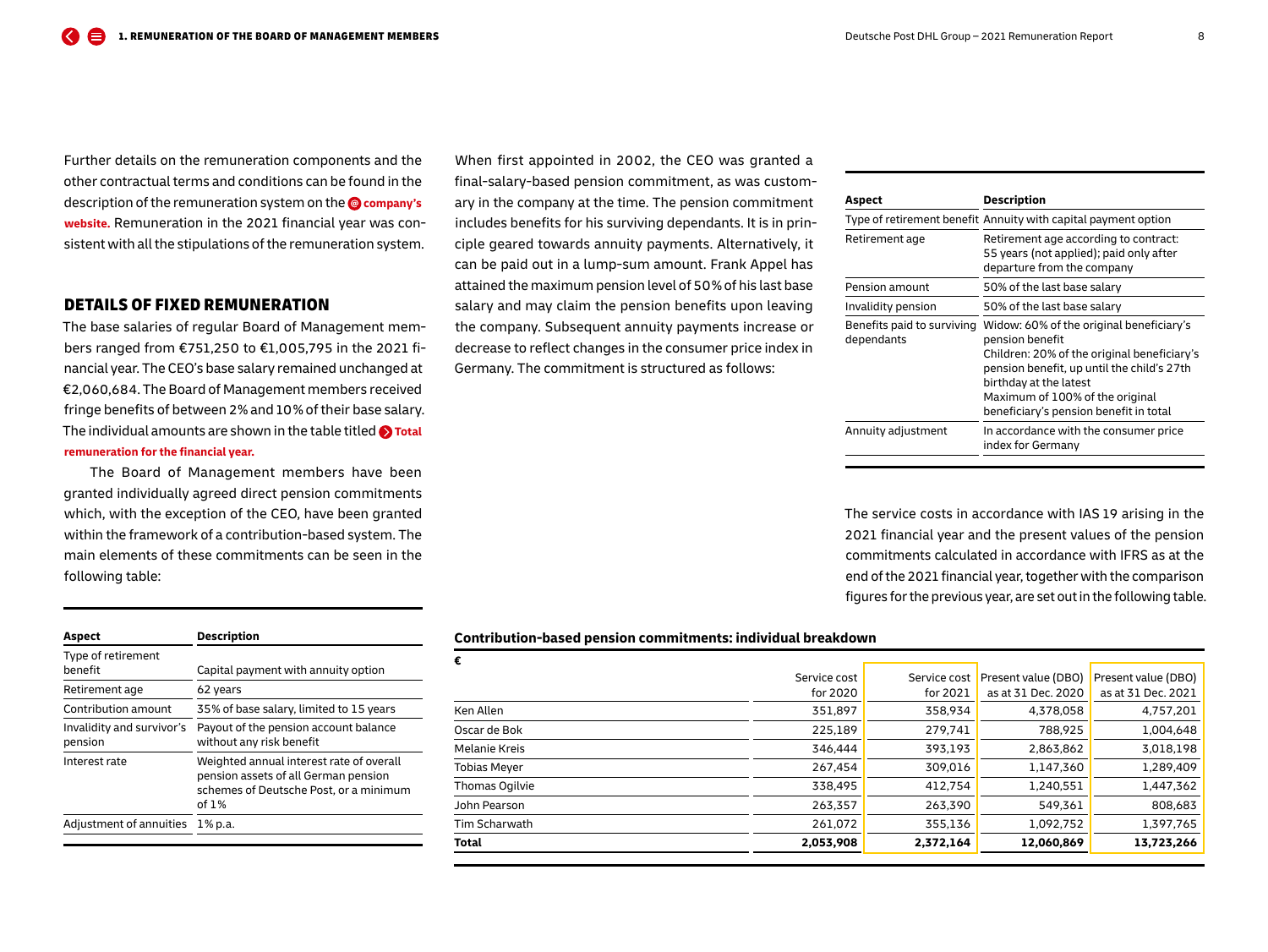<span id="page-7-0"></span>Further details on the remuneration components and the other contractual terms and conditions can be found in the description of the remuneration system on the **company's [website.](https://www.dpdhl.com/en.html)** Remuneration in the 2021 financial year was consistent with all the stipulations of the remuneration system.

### DETAILS OF FIXED REMUNERATION

The base salaries of regular Board of Management members ranged from €751,250 to €1,005,795 in the 2021 financial year. The CEO's base salary remained unchanged at €2,060,684. The Board of Management members received fringe benefits of between 2 % and 10 % of their base salary. The individual amounts are shown in the table titled **O** Total **[remuneration for the financial year.](#page-19-0)**

The Board of Management members have been granted individually agreed direct pension commitments which, with the exception of the CEO, have been granted within the framework of a contribution-based system. The main elements of these commitments can be seen in the following table:

| Aspect                               | <b>Description</b>                                                                                                                    |
|--------------------------------------|---------------------------------------------------------------------------------------------------------------------------------------|
| Type of retirement<br>benefit        | Capital payment with annuity option                                                                                                   |
| Retirement age                       | 62 years                                                                                                                              |
| Contribution amount                  | 35% of base salary, limited to 15 years                                                                                               |
| Invalidity and survivor's<br>pension | Payout of the pension account balance<br>without any risk benefit                                                                     |
| Interest rate                        | Weighted annual interest rate of overall<br>pension assets of all German pension<br>schemes of Deutsche Post, or a minimum<br>of $1%$ |
| Adjustment of annuities              | 1% p.a.                                                                                                                               |
|                                      |                                                                                                                                       |

When first appointed in 2002, the CEO was granted a final-salary-based pension commitment, as was customary in the company at the time. The pension commitment includes benefits for his surviving dependants. It is in principle geared towards annuity payments. Alternatively, it can be paid out in a lump-sum amount. Frank Appel has attained the maximum pension level of 50 % of his last base salary and may claim the pension benefits upon leaving the company. Subsequent annuity payments increase or decrease to reflect changes in the consumer price index in Germany. The commitment is structured as follows:

| Aspect                                   | Description                                                                                                                                                                                                                                                     |
|------------------------------------------|-----------------------------------------------------------------------------------------------------------------------------------------------------------------------------------------------------------------------------------------------------------------|
|                                          | Type of retirement benefit Annuity with capital payment option                                                                                                                                                                                                  |
| Retirement age                           | Retirement age according to contract:<br>55 years (not applied); paid only after<br>departure from the company                                                                                                                                                  |
| Pension amount                           | 50% of the last base salary                                                                                                                                                                                                                                     |
| Invalidity pension                       | 50% of the last base salary                                                                                                                                                                                                                                     |
| Benefits paid to surviving<br>dependants | Widow: 60% of the original beneficiary's<br>pension benefit<br>Children: 20% of the original beneficiary's<br>pension benefit, up until the child's 27th<br>birthday at the latest<br>Maximum of 100% of the original<br>beneficiary's pension benefit in total |
| Annuity adjustment                       | In accordance with the consumer price<br>index for Germany                                                                                                                                                                                                      |

The service costs in accordance with IAS 19 arising in the 2021 financial year and the present values of the pension commitments calculated in accordance with IFRS as at the end of the 2021 financial year, together with the comparison figures for the previous year, are set out in the following table.

#### **Contribution-based pension commitments: individual breakdown**

| €                    |              |              |                     |                     |
|----------------------|--------------|--------------|---------------------|---------------------|
|                      | Service cost | Service cost | Present value (DBO) | Present value (DBO) |
|                      | for 2020     | for 2021     | as at 31 Dec. 2020  | as at 31 Dec. 2021  |
| Ken Allen            | 351,897      | 358,934      | 4,378,058           | 4,757,201           |
| Oscar de Bok         | 225,189      | 279,741      | 788,925             | 1,004,648           |
| <b>Melanie Kreis</b> | 346,444      | 393,193      | 2,863,862           | 3,018,198           |
| <b>Tobias Meyer</b>  | 267,454      | 309,016      | 1,147,360           | 1,289,409           |
| Thomas Ogilvie       | 338,495      | 412.754      | 1,240,551           | 1,447,362           |
| John Pearson         | 263,357      | 263,390      | 549,361             | 808,683             |
| Tim Scharwath        | 261,072      | 355,136      | 1,092,752           | 1,397,765           |
| Total                | 2,053,908    | 2,372,164    | 12,060,869          | 13,723,266          |
|                      |              |              |                     |                     |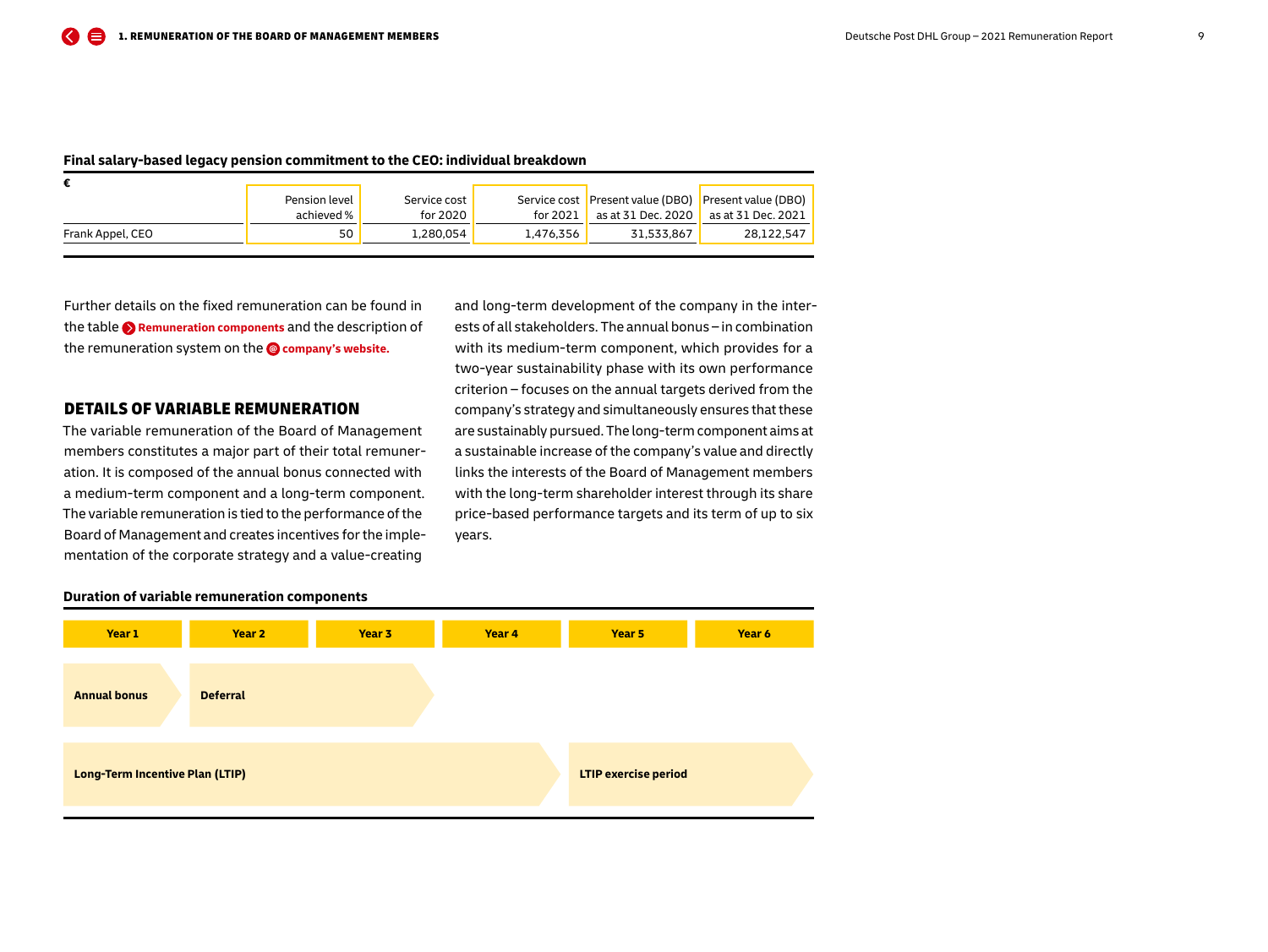<span id="page-8-0"></span>

| Final salary-based legacy pension commitment to the CEO: individual breakdown |  |  |
|-------------------------------------------------------------------------------|--|--|
|-------------------------------------------------------------------------------|--|--|

|                  | Pension level | Service cost |           |                    | Service cost Present value (DBO) Present value (DBO) |
|------------------|---------------|--------------|-----------|--------------------|------------------------------------------------------|
|                  | achieved %    | for 2020     | for 2021  | as at 31 Dec. 2020 | as at 31 Dec. 2021                                   |
| Frank Appel, CEO | 50            | 1,280,054    | 1.476.356 | 31.533.867         | 28,122,547                                           |

Further details on the fixed remuneration can be found in the table **[Remuneration components](#page-5-0)** and the description of the remuneration system on the **[company's website.](https://www.dpdhl.com/en.html)**

## DETAILS OF VARIABLE REMUNERATION

The variable remuneration of the Board of Management members constitutes a major part of their total remuneration. It is composed of the annual bonus connected with a medium-term component and a long-term component. The variable remuneration is tied to the performance of the Board of Management and creates incentives for the implementation of the corporate strategy and a value-creating

and long-term development of the company in the interests of all stakeholders. The annual bonus – in combination with its medium-term component, which provides for a two-year sustainability phase with its own performance criterion – focuses on the annual targets derived from the company's strategy and simultaneously ensures that these are sustainably pursued. The long-term component aims at a sustainable increase of the company's value and directly links the interests of the Board of Management members with the long-term shareholder interest through its share price-based performance targets and its term of up to six years.



#### **Duration of variable remuneration components**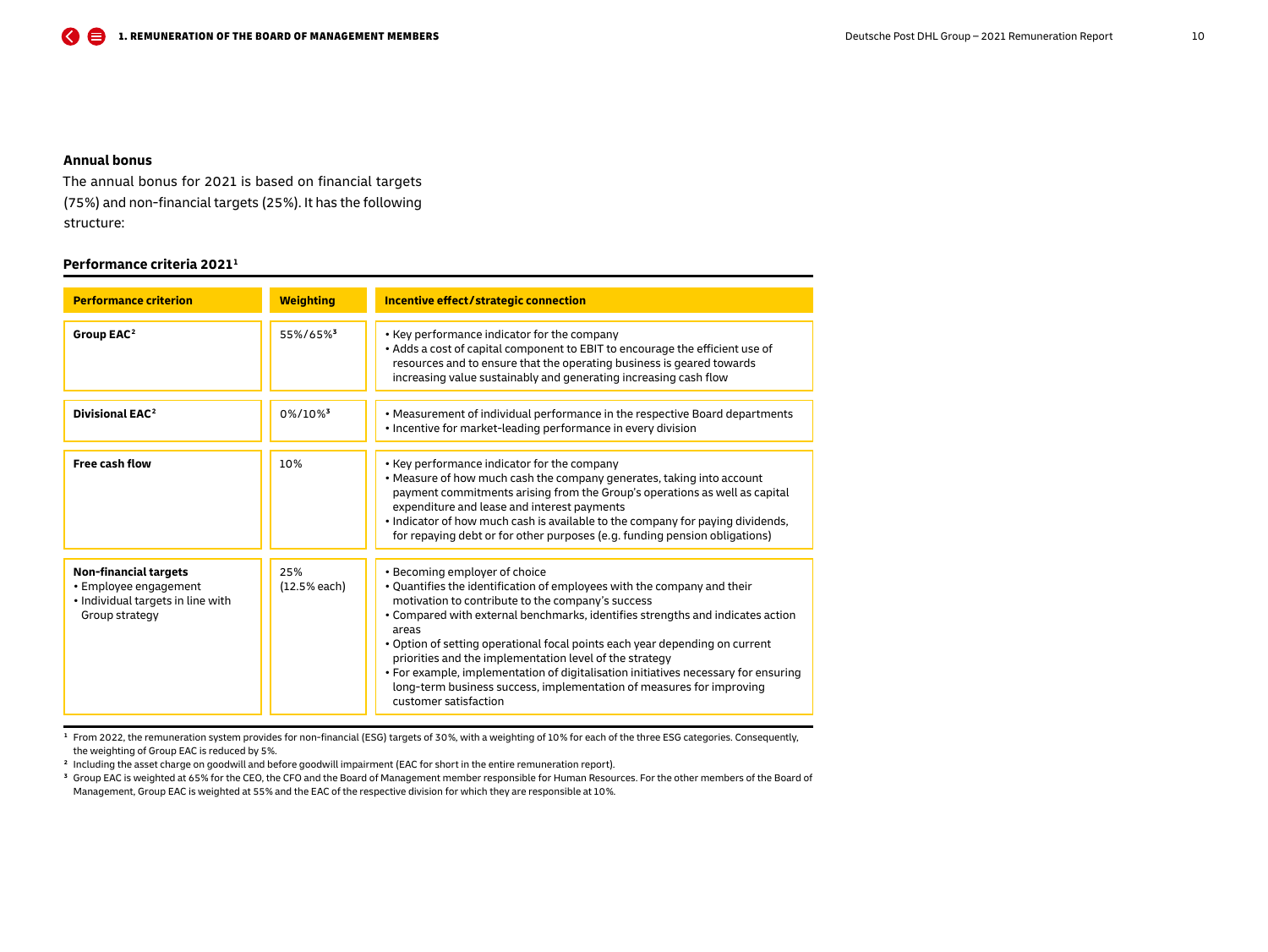## <span id="page-9-0"></span>**Annual bonus**

The annual bonus for 2021 is based on financial targets (75 %) and non-financial targets (25 %). It has the following structure:

## **Performance criteria 2021 <sup>1</sup>**

| <b>Performance criterion</b>                                                                                 | <b>Weighting</b>      | Incentive effect/strategic connection                                                                                                                                                                                                                                                                                                                                                                                                                                                                                                                                                     |
|--------------------------------------------------------------------------------------------------------------|-----------------------|-------------------------------------------------------------------------------------------------------------------------------------------------------------------------------------------------------------------------------------------------------------------------------------------------------------------------------------------------------------------------------------------------------------------------------------------------------------------------------------------------------------------------------------------------------------------------------------------|
| Group EAC <sup>2</sup>                                                                                       | 55%/65%3              | • Key performance indicator for the company<br>• Adds a cost of capital component to EBIT to encourage the efficient use of<br>resources and to ensure that the operating business is geared towards<br>increasing value sustainably and generating increasing cash flow                                                                                                                                                                                                                                                                                                                  |
| Divisional EAC <sup>2</sup>                                                                                  | 0%/10%                | • Measurement of individual performance in the respective Board departments<br>• Incentive for market-leading performance in every division                                                                                                                                                                                                                                                                                                                                                                                                                                               |
| <b>Free cash flow</b>                                                                                        | 10%                   | • Key performance indicator for the company<br>. Measure of how much cash the company generates, taking into account<br>payment commitments arising from the Group's operations as well as capital<br>expenditure and lease and interest payments<br>. Indicator of how much cash is available to the company for paying dividends,<br>for repaying debt or for other purposes (e.g. funding pension obligations)                                                                                                                                                                         |
| <b>Non-financial targets</b><br>• Employee engagement<br>· Individual targets in line with<br>Group strategy | 25%<br>$(12.5%$ each) | • Becoming employer of choice<br>. Quantifies the identification of employees with the company and their<br>motivation to contribute to the company's success<br>• Compared with external benchmarks, identifies strengths and indicates action<br>areas<br>. Option of setting operational focal points each year depending on current<br>priorities and the implementation level of the strategy<br>• For example, implementation of digitalisation initiatives necessary for ensuring<br>long-term business success, implementation of measures for improving<br>customer satisfaction |

**<sup>1</sup>** From 2022, the remuneration system provides for non-financial (ESG) targets of 30 %, with a weighting of 10 % for each of the three ESG categories. Consequently, the weighting of Group EAC is reduced by 5 %.

**<sup>2</sup>** Including the asset charge on goodwill and before goodwill impairment (EAC for short in the entire remuneration report).

**<sup>3</sup>** Group EAC is weighted at 65 % for the CEO, the CFO and the Board of Management member responsible for Human Resources. For the other members of the Board of Management, Group EAC is weighted at 55% and the EAC of the respective division for which they are responsible at 10%.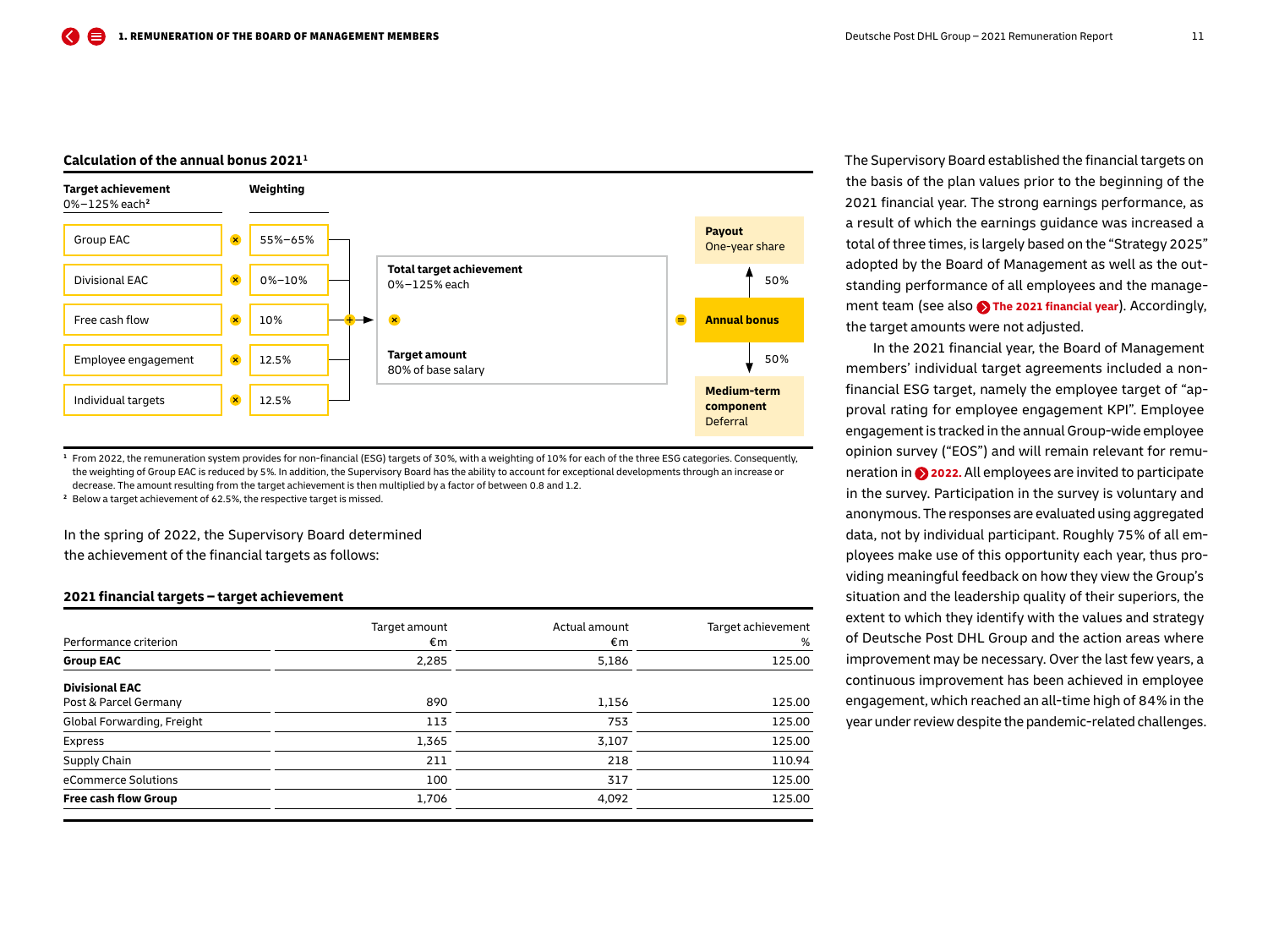## **Calculation of the annual bonus 2021 <sup>1</sup>**



**<sup>1</sup>** From 2022, the remuneration system provides for non-financial (ESG) targets of 30 %, with a weighting of 10 % for each of the three ESG categories. Consequently, the weighting of Group EAC is reduced by 5 %. In addition, the Supervisory Board has the ability to account for exceptional developments through an increase or decrease. The amount resulting from the target achievement is then multiplied by a factor of between 0.8 and 1.2.

**<sup>2</sup>** Below a target achievement of 62.5 %, the respective target is missed.

In the spring of 2022, the Supervisory Board determined

the achievement of the financial targets as follows:

#### **2021 financial targets – target achievement**

|                            | Target amount | Actual amount | Target achievement |
|----------------------------|---------------|---------------|--------------------|
| Performance criterion      | €m            | €m            | %                  |
| <b>Group EAC</b>           | 2,285         | 5,186         | 125.00             |
| <b>Divisional EAC</b>      |               |               |                    |
| Post & Parcel Germany      | 890           | 1,156         | 125.00             |
| Global Forwarding, Freight | 113           | 753           | 125.00             |
| Express                    | 1,365         | 3,107         | 125.00             |
| Supply Chain               | 211           | 218           | 110.94             |
| eCommerce Solutions        | 100           | 317           | 125.00             |
| Free cash flow Group       | 1,706         | 4,092         | 125.00             |

The Supervisory Board established the financial targets on the basis of the plan values prior to the beginning of the 2021 financial year. The strong earnings performance, as a result of which the earnings guidance was increased a total of three times, is largely based on the "Strategy 2025" adopted by the Board of Management as well as the outstanding performance of all employees and the management team (see also **A** [The 2021 financial year](#page-2-0)). Accordingly, the target amounts were not adjusted.

In the 2021 financial year, the Board of Management members' individual target agreements included a nonfinancial ESG target, namely the employee target of "approval rating for employee engagement KPI". Employee engagement is tracked in the annual Group-wide employee opinion survey ("EOS") and will remain relevant for remuneration in **[2022.](#page-4-0)** All employees are invited to participate in the survey. Participation in the survey is voluntary and anonymous. The responses are evaluated using aggregated data, not by individual participant. Roughly 75 % of all employees make use of this opportunity each year, thus providing meaningful feedback on how they view the Group's situation and the leadership quality of their superiors, the extent to which they identify with the values and strategy of Deutsche Post DHL Group and the action areas where improvement may be necessary. Over the last few years, a continuous improvement has been achieved in employee engagement, which reached an all-time high of 84 % in the year under review despite the pandemic-related challenges.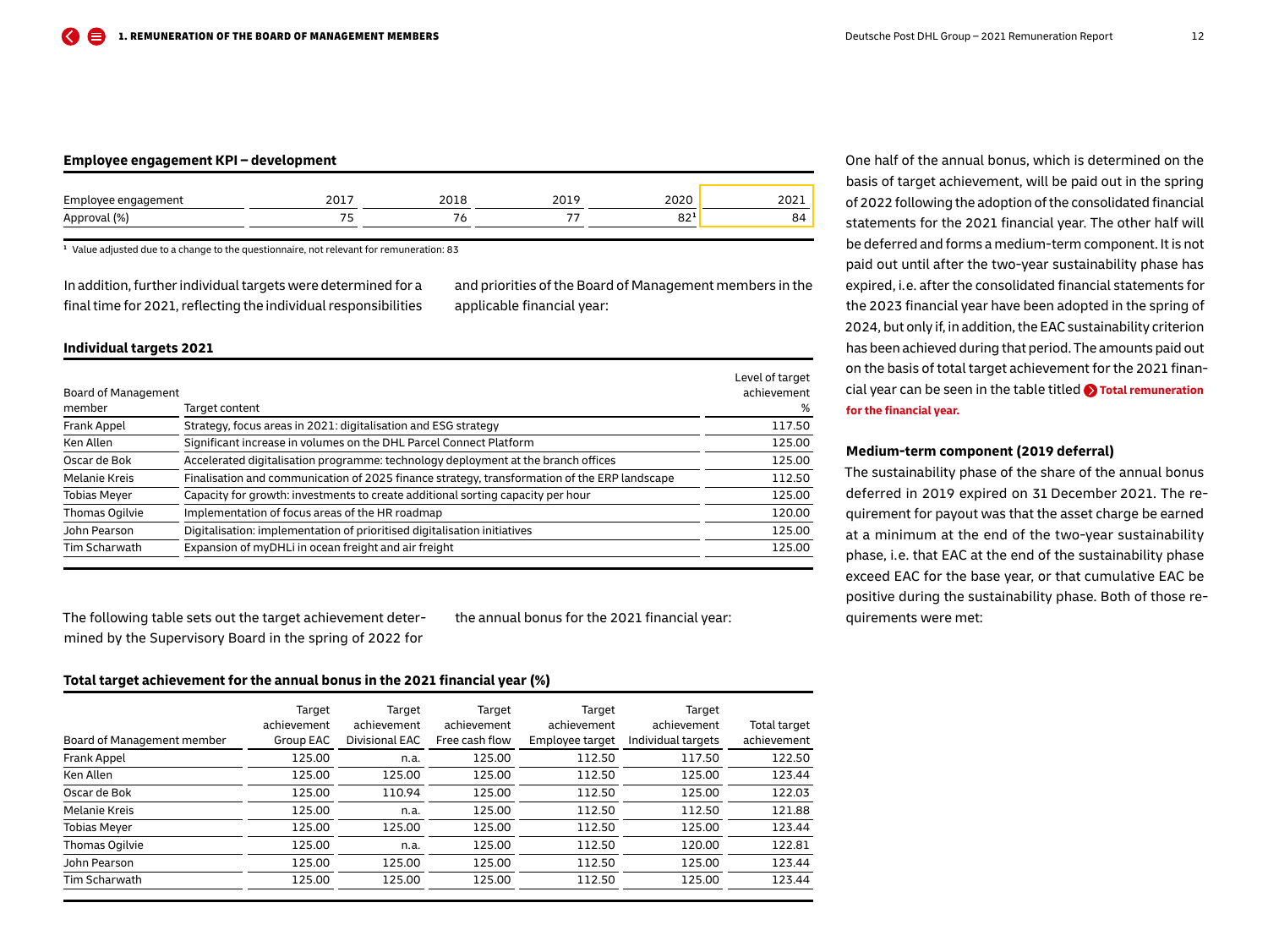#### <span id="page-11-0"></span>**Employee engagement KPI – development**

| Emi<br>engagement<br>-- | ____  | 201c | sos:               | $\sim$ $\sim$ $\sim$<br>ZUZ. |
|-------------------------|-------|------|--------------------|------------------------------|
| $(%^{1})$<br>Approve    | $- -$ | --   | $\sim$ $\sim$<br>ັ | 84                           |

**<sup>1</sup>** Value adjusted due to a change to the questionnaire, not relevant for remuneration: 83

In addition, further individual targets were determined for a final time for 2021, reflecting the individual responsibilities and priorities of the Board of Management members in the applicable financial year:

#### **Individual targets 2021**

|                      |                                                                                              | Level of target |
|----------------------|----------------------------------------------------------------------------------------------|-----------------|
| Board of Management  |                                                                                              | achievement     |
| member               | Target content                                                                               | %               |
| Frank Appel          | Strategy, focus areas in 2021: digitalisation and ESG strategy                               | 117.50          |
| Ken Allen            | Significant increase in volumes on the DHL Parcel Connect Platform                           | 125.00          |
| Oscar de Bok         | Accelerated digitalisation programme: technology deployment at the branch offices            | 125.00          |
| <b>Melanie Kreis</b> | Finalisation and communication of 2025 finance strategy, transformation of the ERP landscape | 112.50          |
| <b>Tobias Mever</b>  | Capacity for growth: investments to create additional sorting capacity per hour              | 125.00          |
| Thomas Ogilvie       | Implementation of focus areas of the HR roadmap                                              | 120.00          |
| John Pearson         | Digitalisation: implementation of prioritised digitalisation initiatives                     | 125.00          |
| Tim Scharwath        | Expansion of myDHLi in ocean freight and air freight                                         | 125.00          |
|                      |                                                                                              |                 |

The following table sets out the target achievement determined by the Supervisory Board in the spring of 2022 for

the annual bonus for the 2021 financial year:

#### **Total target achievement for the annual bonus in the 2021 financial year (%)**

|                            | Target<br>achievement | Target<br>achievement | Target<br>achievement | Target<br>achievement | Target<br>achievement | Total target |
|----------------------------|-----------------------|-----------------------|-----------------------|-----------------------|-----------------------|--------------|
| Board of Management member | Group EAC             | Divisional EAC        | Free cash flow        | Employee target       | Individual targets    | achievement  |
| Frank Appel                | 125.00                | n.a.                  | 125.00                | 112.50                | 117.50                | 122.50       |
| Ken Allen                  | 125.00                | 125.00                | 125.00                | 112.50                | 125.00                | 123.44       |
| Oscar de Bok               | 125.00                | 110.94                | 125.00                | 112.50                | 125.00                | 122.03       |
| <b>Melanie Kreis</b>       | 125.00                | n.a.                  | 125.00                | 112.50                | 112.50                | 121.88       |
| <b>Tobias Meyer</b>        | 125.00                | 125.00                | 125.00                | 112.50                | 125.00                | 123.44       |
| Thomas Ogilvie             | 125.00                | n.a.                  | 125.00                | 112.50                | 120.00                | 122.81       |
| John Pearson               | 125.00                | 125.00                | 125.00                | 112.50                | 125.00                | 123.44       |
| Tim Scharwath              | 125.00                | 125.00                | 125.00                | 112.50                | 125.00                | 123.44       |

One half of the annual bonus, which is determined on the basis of target achievement, will be paid out in the spring of 2022 following the adoption of the consolidated financial statements for the 2021 financial year. The other half will be deferred and forms a medium-term component. It is not paid out until after the two-year sustainability phase has expired, i. e. after the consolidated financial statements for the 2023 financial year have been adopted in the spring of 2024, but only if, in addition, the EAC sustainability criterion has been achieved during that period. The amounts paid out on the basis of total target achievement for the 2021 financial year can be seen in the table titled **[Total remuneration](#page-19-0)  [for the financial year.](#page-19-0)**

## **Medium-term component (2019 deferral)**

The sustainability phase of the share of the annual bonus deferred in 2019 expired on 31 December 2021. The requirement for payout was that the asset charge be earned at a minimum at the end of the two-year sustainability phase, i. e. that EAC at the end of the sustainability phase exceed EAC for the base year, or that cumulative EAC be positive during the sustainability phase. Both of those requirements were met: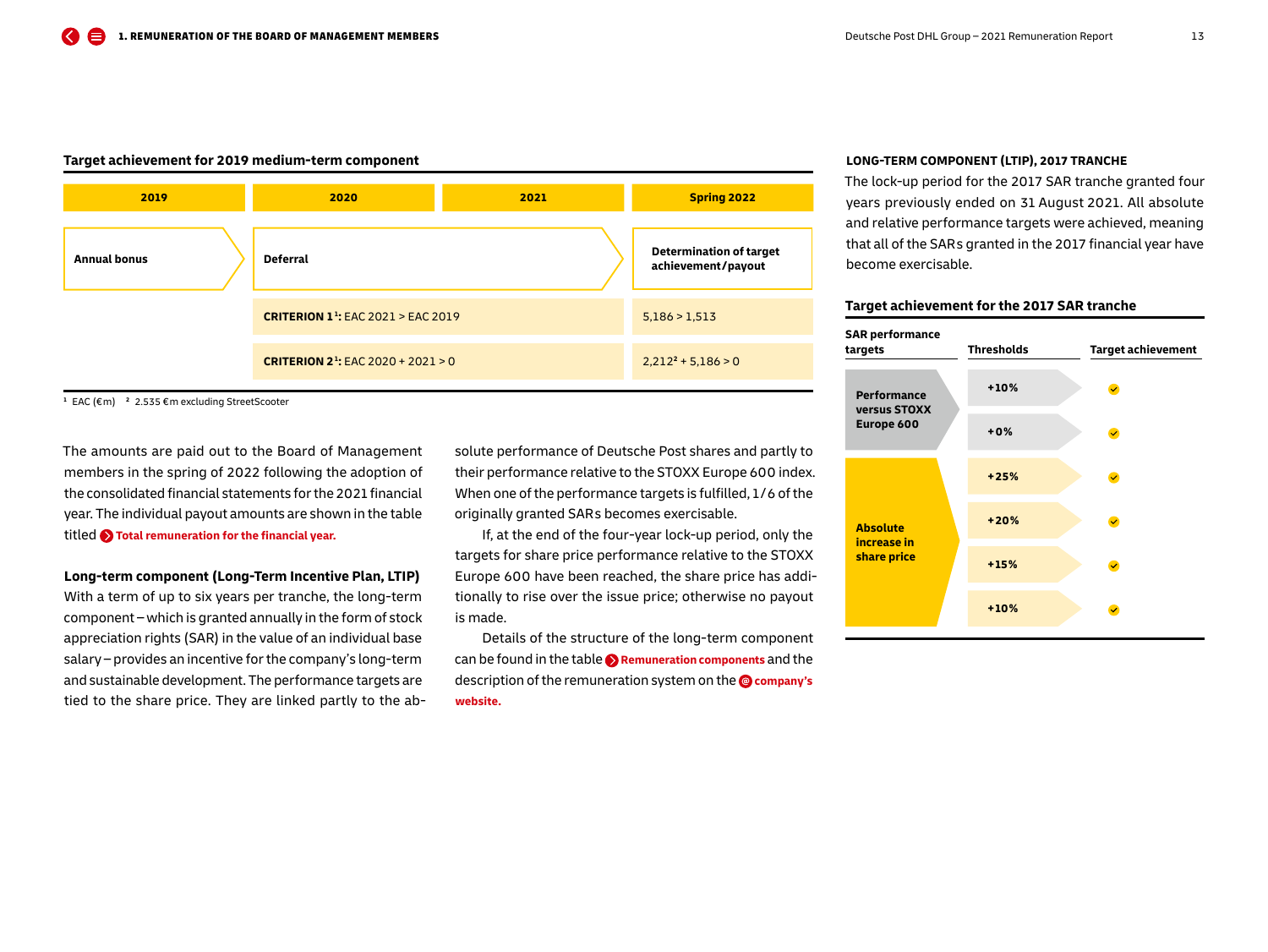#### **Target achievement for 2019 medium-term component**



**<sup>1</sup>** EAC (€ m) **2** 2.535 € m excluding StreetScooter

The amounts are paid out to the Board of Management members in the spring of 2022 following the adoption of the consolidated financial statements for the 2021 financial year. The individual payout amounts are shown in the table titled **[Total remuneration for the financial year.](#page-19-0)**

#### **Long-term component (Long-Term Incentive Plan, LTIP)**

With a term of up to six years per tranche, the long-term component – which is granted annually in the form of stock appreciation rights (SAR) in the value of an individual base salary – provides an incentive for the company's long-term and sustainable development. The performance targets are tied to the share price. They are linked partly to the absolute performance of Deutsche Post shares and partly to their performance relative to the STOXX Europe 600 index. When one of the performance targets is fulfilled, 1 / 6 of the originally granted SAR s becomes exercisable.

If, at the end of the four-year lock-up period, only the targets for share price performance relative to the STOXX Europe 600 have been reached, the share price has additionally to rise over the issue price; otherwise no payout is made.

Details of the structure of the long-term component can be found in the table **[Remuneration components](#page-5-0)** and the description of the remuneration system on the **@** company's **[website.](https://www.dpdhl.com/en.html)**

#### **LONG-TERM COMPONENT (LTIP), 2017 TRANCHE**

The lock-up period for the 2017 SAR tranche granted four years previously ended on 31 August 2021. All absolute and relative performance targets were achieved, meaning that all of the SAR s granted in the 2017 financial year have become exercisable.

#### **Target achievement for the 2017 SAR tranche**

| <b>SAR performance</b><br>targets | <b>Thresholds</b> | <b>Target achievement</b> |
|-----------------------------------|-------------------|---------------------------|
| <b>Performance</b>                | $+10%$            | $\checkmark$              |
| versus STOXX<br>Europe 600        | $+0%$             | $\checkmark$              |
|                                   | $+25%$            | $\checkmark$              |
| <b>Absolute</b>                   | $+20%$            | $\checkmark$              |
| increase in<br>share price        | $+15%$            | $\checkmark$              |
|                                   | $+10%$            |                           |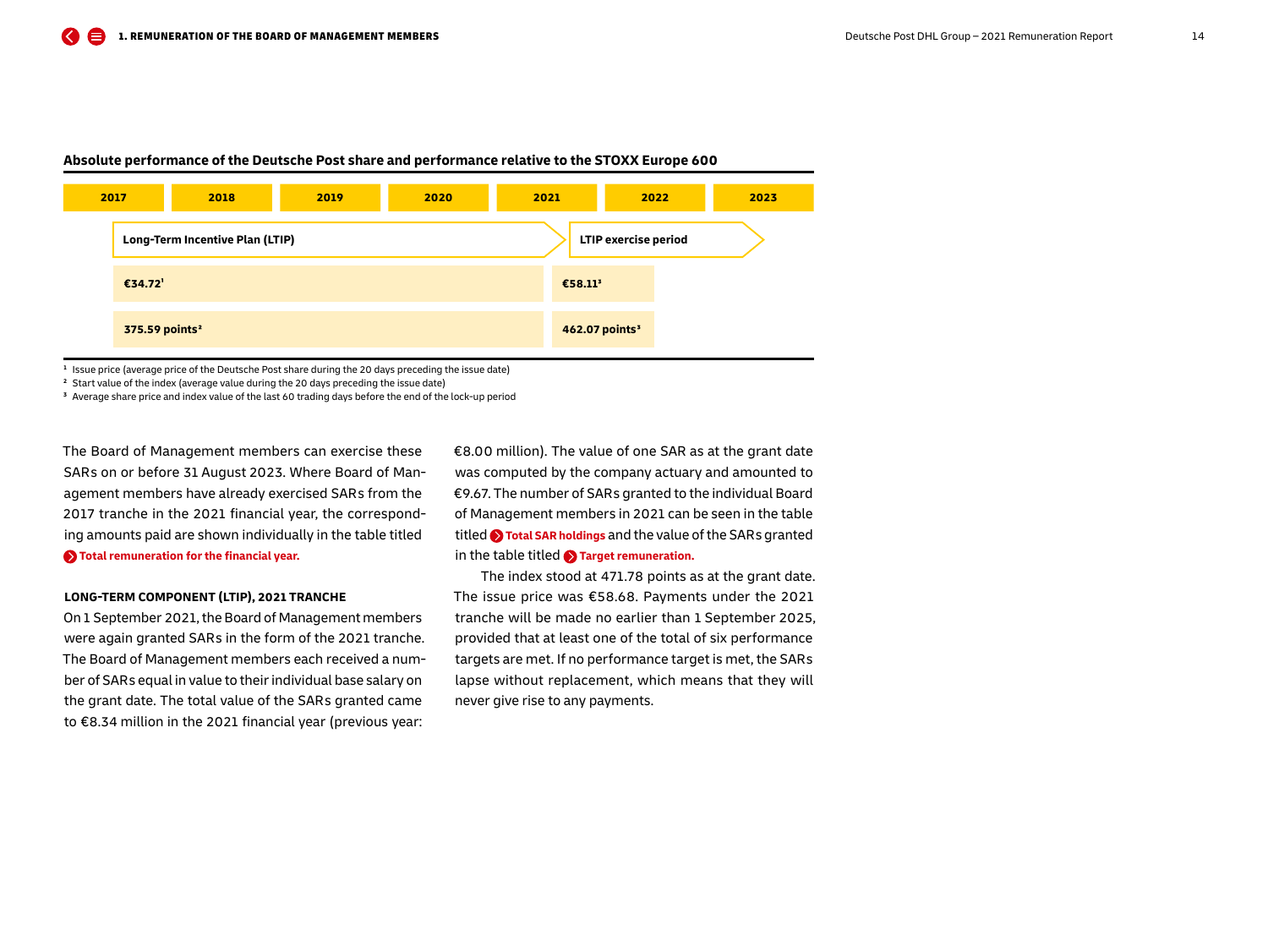

#### **Absolute performance of the Deutsche Post share and performance relative to the STOXX Europe 600**

**<sup>1</sup>** Issue price (average price of the Deutsche Post share during the 20 days preceding the issue date)

**<sup>2</sup>** Start value of the index (average value during the 20 days preceding the issue date)

**<sup>3</sup>** Average share price and index value of the last 60 trading days before the end of the lock-up period

The Board of Management members can exercise these SARs on or before 31 August 2023. Where Board of Management members have already exercised SAR s from the 2017 tranche in the 2021 financial year, the corresponding amounts paid are shown individually in the table titled **[Total remuneration for the financial year.](#page-19-0)**

#### **LONG-TERM COMPONENT (LTIP), 2021 TRANCHE**

On 1 September 2021, the Board of Management members were again granted SARs in the form of the 2021 tranche. The Board of Management members each received a number of SAR s equal in value to their individual base salary on the grant date. The total value of the SAR s granted came to €8.34 million in the 2021 financial year (previous year:

€8.00 million). The value of one SAR as at the grant date was computed by the company actuary and amounted to €9.67. The number of SAR s granted to the individual Board of Management members in 2021 can be seen in the table titled **[Total SAR holdings](#page-14-0)** and the value of the SAR s granted in the table titled **[Target remuneration.](#page-15-0)**

The index stood at 471.78 points as at the grant date. The issue price was €58.68. Payments under the 2021 tranche will be made no earlier than 1 September 2025, provided that at least one of the total of six performance targets are met. If no performance target is met, the SARs lapse without replacement, which means that they will never give rise to any payments.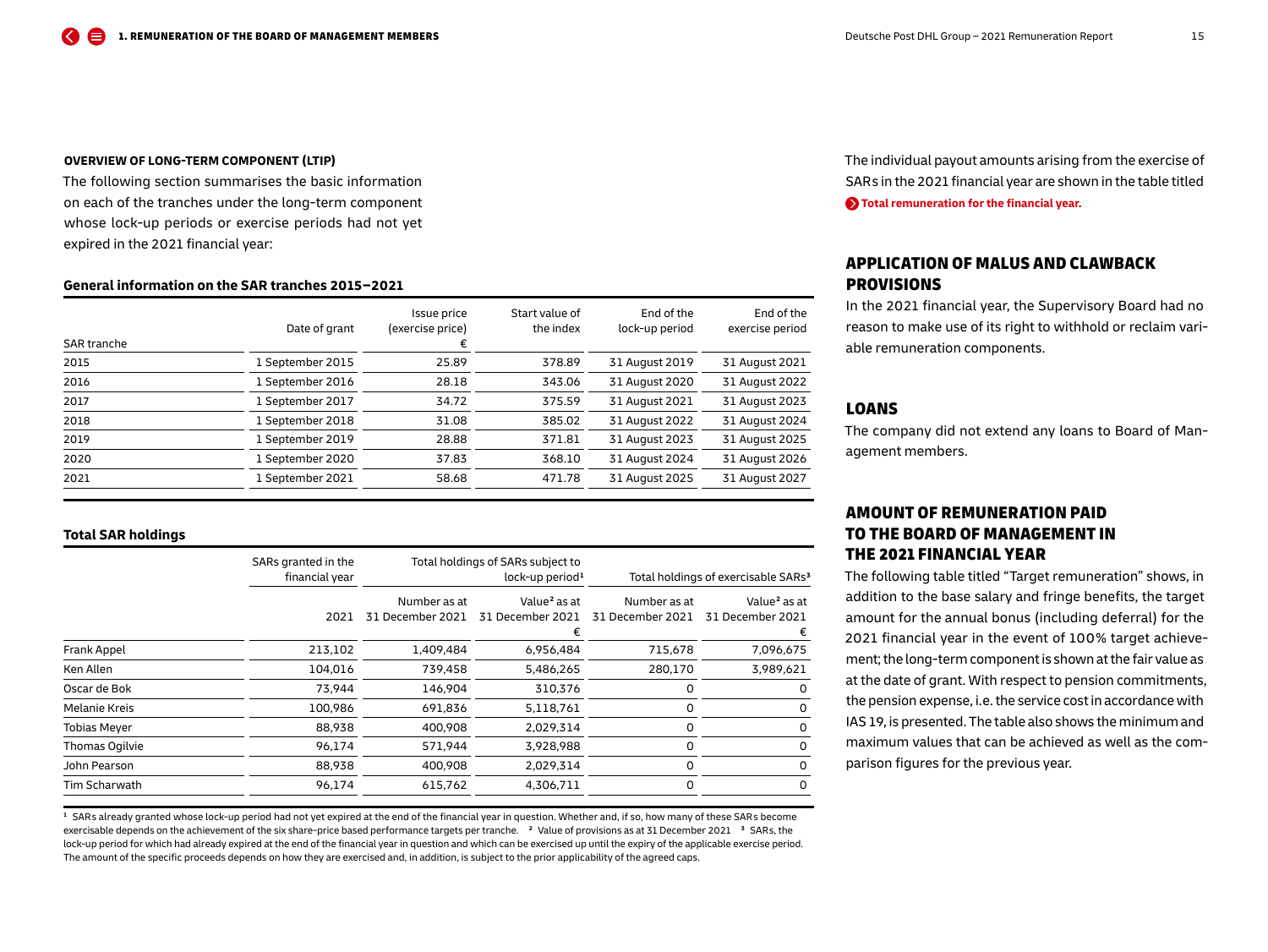<span id="page-14-0"></span>The following section summarises the basic information on each of the tranches under the long-term component whose lock-up periods or exercise periods had not yet expired in the 2021 financial year:

## **General information on the SAR tranches 2015 – 2021**

| SAR tranche | Date of grant    | Issue price<br>(exercise price)<br>€ | Start value of<br>the index | End of the<br>lock-up period | End of the<br>exercise period |
|-------------|------------------|--------------------------------------|-----------------------------|------------------------------|-------------------------------|
| 2015        | 1 September 2015 | 25.89                                | 378.89                      | 31 August 2019               | 31 August 2021                |
| 2016        | 1 September 2016 | 28.18                                | 343.06                      | 31 August 2020               | 31 August 2022                |
| 2017        | 1 September 2017 | 34.72                                | 375.59                      | 31 August 2021               | 31 August 2023                |
| 2018        | 1 September 2018 | 31.08                                | 385.02                      | 31 August 2022               | 31 August 2024                |
| 2019        | 1 September 2019 | 28.88                                | 371.81                      | 31 August 2023               | 31 August 2025                |
| 2020        | 1 September 2020 | 37.83                                | 368.10                      | 31 August 2024               | 31 August 2026                |
| 2021        | 1 September 2021 | 58.68                                | 471.78                      | 31 August 2025               | 31 August 2027                |

## **Total SAR holdings**

|                     | SARs granted in the |                  | Total holdings of SARs subject to |                  |                                                 |
|---------------------|---------------------|------------------|-----------------------------------|------------------|-------------------------------------------------|
|                     | financial year      |                  | lock-up period <sup>1</sup>       |                  | Total holdings of exercisable SARs <sup>3</sup> |
|                     |                     | Number as at     | Value <sup>2</sup> as at          | Number as at     | Value <sup>2</sup> as at                        |
|                     | 2021                | 31 December 2021 | 31 December 2021                  | 31 December 2021 | 31 December 2021                                |
|                     |                     |                  |                                   |                  |                                                 |
| Frank Appel         | 213,102             | 1,409,484        | 6,956,484                         | 715,678          | 7,096,675                                       |
| Ken Allen           | 104,016             | 739,458          | 5,486,265                         | 280,170          | 3,989,621                                       |
| Oscar de Bok        | 73,944              | 146,904          | 310,376                           | 0                | 0                                               |
| Melanie Kreis       | 100,986             | 691,836          | 5,118,761                         | 0                | 0                                               |
| <b>Tobias Meyer</b> | 88,938              | 400,908          | 2,029,314                         | 0                | 0                                               |
| Thomas Ogilvie      | 96,174              | 571,944          | 3,928,988                         | $\Omega$         | 0                                               |
| John Pearson        | 88,938              | 400,908          | 2,029,314                         | 0                | 0                                               |
| Tim Scharwath       | 96,174              | 615,762          | 4,306,711                         | 0                | 0                                               |

<sup>1</sup> SARs already granted whose lock-up period had not yet expired at the end of the financial year in question. Whether and, if so, how many of these SARs become exercisable depends on the achievement of the six share-price based performance targets per tranche. **2** Value of provisions as at 31 December 2021 **3** SAR s, the lock-up period for which had already expired at the end of the financial year in question and which can be exercised up until the expiry of the applicable exercise period. The amount of the specific proceeds depends on how they are exercised and, in addition, is subject to the prior applicability of the agreed caps.

The individual payout amounts arising from the exercise of SARs in the 2021 financial year are shown in the table titled **[Total remuneration for the financial year.](#page-19-0)**

## APPLICATION OF MALUS AND CLAWBACK PROVISIONS

In the 2021 financial year, the Supervisory Board had no reason to make use of its right to withhold or reclaim variable remuneration components.

## LOANS

The company did not extend any loans to Board of Management members.

## AMOUNT OF REMUNERATION PAID TO THE BOARD OF MANAGEMENT IN THE 2021 FINANCIAL YEAR

The following table titled "Target remuneration" shows, in addition to the base salary and fringe benefits, the target amount for the annual bonus (including deferral) for the 2021 financial year in the event of 100 % target achievement; the long-term component is shown at the fair value as at the date of grant. With respect to pension commitments, the pension expense, i. e. the service cost in accordance with IAS 19, is presented. The table also shows the minimum and maximum values that can be achieved as well as the comparison figures for the previous year.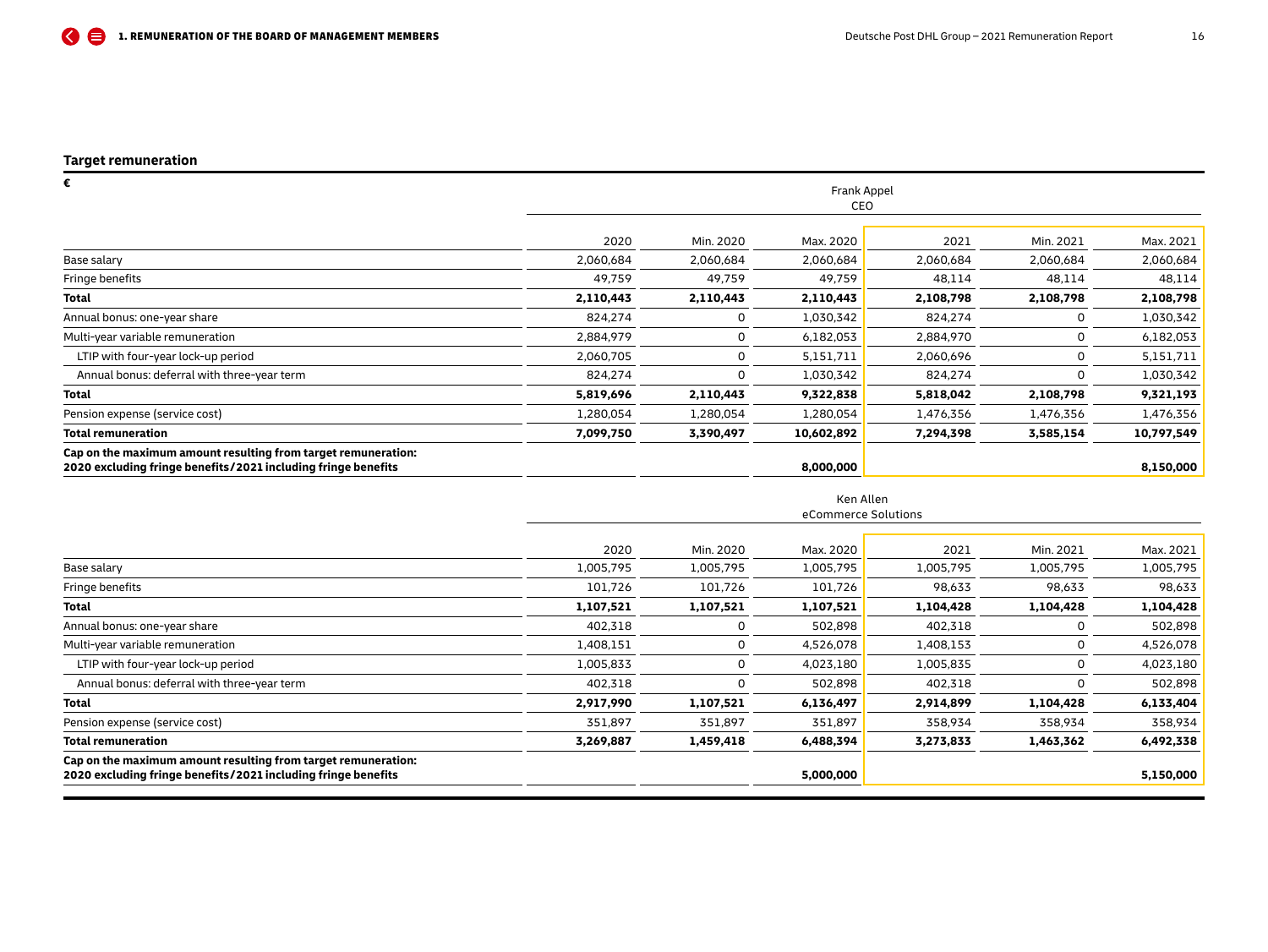÷.

<span id="page-15-0"></span>

| Frank Appel |           |            |           |           |            |  |  |
|-------------|-----------|------------|-----------|-----------|------------|--|--|
|             |           |            |           |           |            |  |  |
| 2020        | Min. 2020 | Max. 2020  | 2021      | Min. 2021 | Max. 2021  |  |  |
| 2,060,684   | 2,060,684 | 2,060,684  | 2,060,684 | 2,060,684 | 2,060,684  |  |  |
| 49,759      | 49,759    | 49,759     | 48,114    | 48,114    | 48,114     |  |  |
| 2,110,443   | 2,110,443 | 2,110,443  | 2,108,798 | 2,108,798 | 2,108,798  |  |  |
| 824,274     | 0         | 1,030,342  | 824,274   | 0         | 1,030,342  |  |  |
| 2,884,979   | 0         | 6,182,053  | 2,884,970 | 0         | 6,182,053  |  |  |
| 2,060,705   | 0         | 5,151,711  | 2,060,696 | 0         | 5,151,711  |  |  |
| 824,274     | 0         | 1,030,342  | 824,274   |           | 1,030,342  |  |  |
| 5,819,696   | 2,110,443 | 9,322,838  | 5,818,042 | 2,108,798 | 9,321,193  |  |  |
| 1,280,054   | 1,280,054 | 1,280,054  | 1,476,356 | 1,476,356 | 1,476,356  |  |  |
| 7,099,750   | 3,390,497 | 10,602,892 | 7,294,398 | 3,585,154 | 10,797,549 |  |  |
|             |           | 8,000,000  |           |           | 8,150,000  |  |  |
|             |           |            | CEO       |           |            |  |  |

|                                                                                                                                |                     |           | Ken Allen |           |           |           |  |  |  |  |
|--------------------------------------------------------------------------------------------------------------------------------|---------------------|-----------|-----------|-----------|-----------|-----------|--|--|--|--|
|                                                                                                                                | eCommerce Solutions |           |           |           |           |           |  |  |  |  |
|                                                                                                                                | 2020                | Min. 2020 | Max. 2020 | 2021      | Min. 2021 | Max. 2021 |  |  |  |  |
| Base salary                                                                                                                    | 1,005,795           | 1,005,795 | 1,005,795 | 1,005,795 | 1,005,795 | 1,005,795 |  |  |  |  |
| Fringe benefits                                                                                                                | 101,726             | 101,726   | 101,726   | 98,633    | 98,633    | 98,633    |  |  |  |  |
| Total                                                                                                                          | 1,107,521           | 1,107,521 | 1,107,521 | 1,104,428 | 1,104,428 | 1,104,428 |  |  |  |  |
| Annual bonus: one-year share                                                                                                   | 402,318             | $\Omega$  | 502,898   | 402,318   | 0         | 502,898   |  |  |  |  |
| Multi-year variable remuneration                                                                                               | 1,408,151           | 0         | 4,526,078 | 1,408,153 | 0         | 4,526,078 |  |  |  |  |
| LTIP with four-year lock-up period                                                                                             | 1,005,833           | 0         | 4,023,180 | 1,005,835 | $\Omega$  | 4,023,180 |  |  |  |  |
| Annual bonus: deferral with three-year term                                                                                    | 402,318             | 0         | 502,898   | 402,318   |           | 502,898   |  |  |  |  |
| Total                                                                                                                          | 2,917,990           | 1,107,521 | 6,136,497 | 2,914,899 | 1,104,428 | 6,133,404 |  |  |  |  |
| Pension expense (service cost)                                                                                                 | 351,897             | 351,897   | 351,897   | 358,934   | 358,934   | 358,934   |  |  |  |  |
| Total remuneration                                                                                                             | 3,269,887           | 1,459,418 | 6,488,394 | 3,273,833 | 1,463,362 | 6,492,338 |  |  |  |  |
| Cap on the maximum amount resulting from target remuneration:<br>2020 excluding fringe benefits/2021 including fringe benefits |                     |           | 5,000,000 |           |           | 5,150,000 |  |  |  |  |
|                                                                                                                                |                     |           |           |           |           |           |  |  |  |  |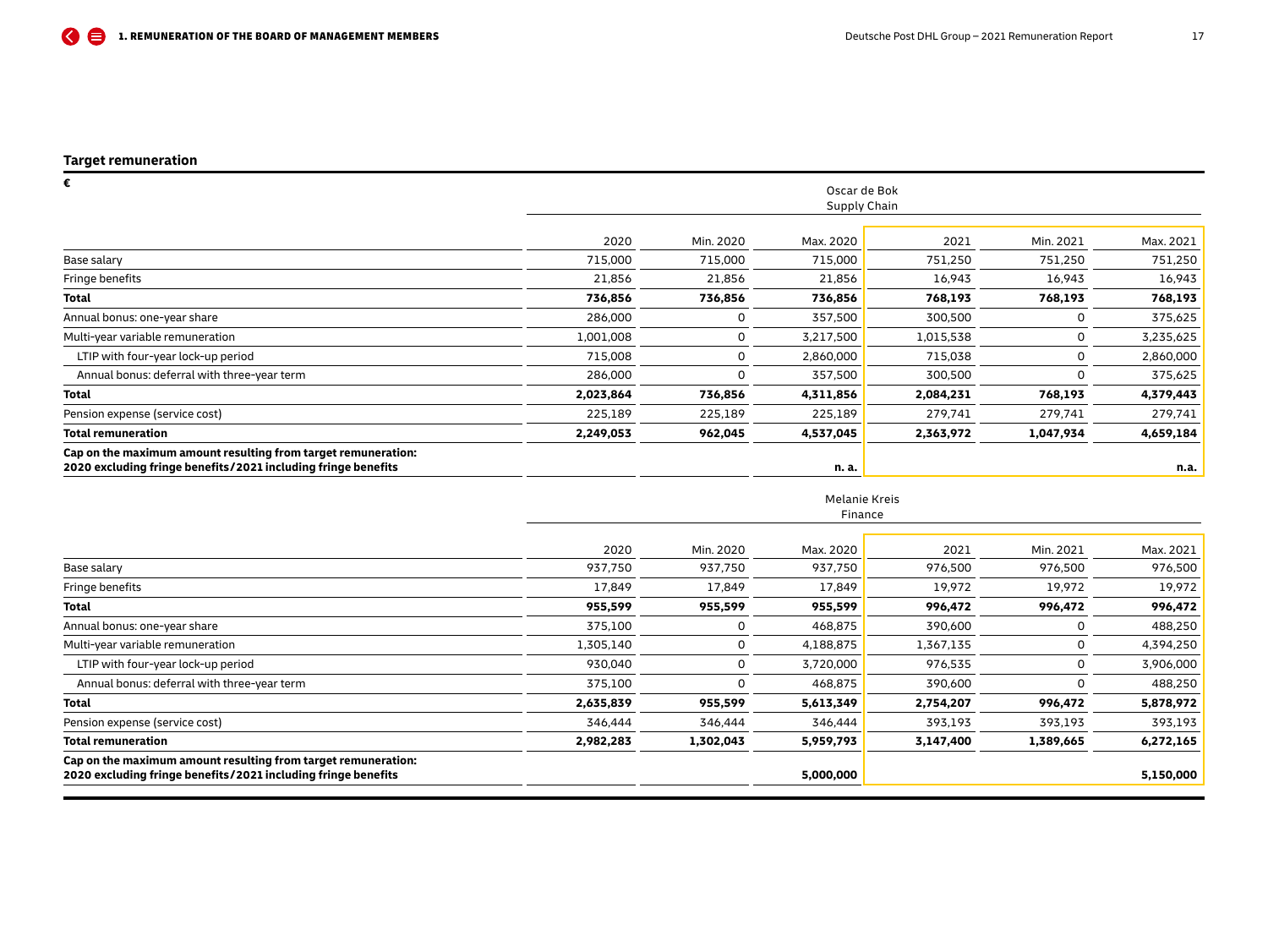| €                                                                                                                              | Oscar de Bok |           |              |           |           |           |  |
|--------------------------------------------------------------------------------------------------------------------------------|--------------|-----------|--------------|-----------|-----------|-----------|--|
|                                                                                                                                |              |           | Supply Chain |           |           |           |  |
|                                                                                                                                | 2020         | Min. 2020 | Max. 2020    | 2021      | Min. 2021 | Max. 2021 |  |
| Base salary                                                                                                                    | 715,000      | 715,000   | 715,000      | 751,250   | 751,250   | 751,250   |  |
| Fringe benefits                                                                                                                | 21,856       | 21,856    | 21,856       | 16,943    | 16,943    | 16,943    |  |
| <b>Total</b>                                                                                                                   | 736,856      | 736,856   | 736,856      | 768,193   | 768,193   | 768,193   |  |
| Annual bonus: one-year share                                                                                                   | 286,000      | 0         | 357,500      | 300,500   | 0         | 375,625   |  |
| Multi-year variable remuneration                                                                                               | 1,001,008    | 0         | 3,217,500    | 1,015,538 | 0         | 3,235,625 |  |
| LTIP with four-year lock-up period                                                                                             | 715,008      | 0         | 2,860,000    | 715,038   | 0         | 2,860,000 |  |
| Annual bonus: deferral with three-year term                                                                                    | 286,000      | $\Omega$  | 357,500      | 300,500   |           | 375,625   |  |
| <b>Total</b>                                                                                                                   | 2,023,864    | 736,856   | 4,311,856    | 2,084,231 | 768,193   | 4,379,443 |  |
| Pension expense (service cost)                                                                                                 | 225,189      | 225,189   | 225,189      | 279,741   | 279,741   | 279,741   |  |
| <b>Total remuneration</b>                                                                                                      | 2,249,053    | 962,045   | 4,537,045    | 2,363,972 | 1,047,934 | 4,659,184 |  |
| Cap on the maximum amount resulting from target remuneration:<br>2020 excluding fringe benefits/2021 including fringe benefits |              |           | n. a.        |           |           | n.a.      |  |

#### Melanie Kreis Finance

|                                                                                                                                | 2020      | Min. 2020 | Max. 2020 | 2021      | Min. 2021 | Max. 2021 |
|--------------------------------------------------------------------------------------------------------------------------------|-----------|-----------|-----------|-----------|-----------|-----------|
| Base salary                                                                                                                    | 937,750   | 937,750   | 937,750   | 976,500   | 976,500   | 976,500   |
| Fringe benefits                                                                                                                | 17.849    | 17.849    | 17,849    | 19,972    | 19,972    | 19,972    |
| Total                                                                                                                          | 955,599   | 955,599   | 955,599   | 996,472   | 996,472   | 996,472   |
| Annual bonus: one-year share                                                                                                   | 375,100   |           | 468,875   | 390,600   |           | 488,250   |
| Multi-year variable remuneration                                                                                               | 1,305,140 | 0         | 4,188,875 | 1,367,135 |           | 4,394,250 |
| LTIP with four-year lock-up period                                                                                             | 930.040   | 0         | 3,720,000 | 976,535   |           | 3,906,000 |
| Annual bonus: deferral with three-year term                                                                                    | 375,100   |           | 468,875   | 390,600   |           | 488,250   |
| Total                                                                                                                          | 2,635,839 | 955,599   | 5,613,349 | 2,754,207 | 996,472   | 5,878,972 |
| Pension expense (service cost)                                                                                                 | 346,444   | 346.444   | 346.444   | 393.193   | 393,193   | 393,193   |
| Total remuneration                                                                                                             | 2,982,283 | 1,302,043 | 5,959,793 | 3,147,400 | 1,389,665 | 6,272,165 |
| Cap on the maximum amount resulting from target remuneration:<br>2020 excluding fringe benefits/2021 including fringe benefits |           |           | 5,000,000 |           |           | 5,150,000 |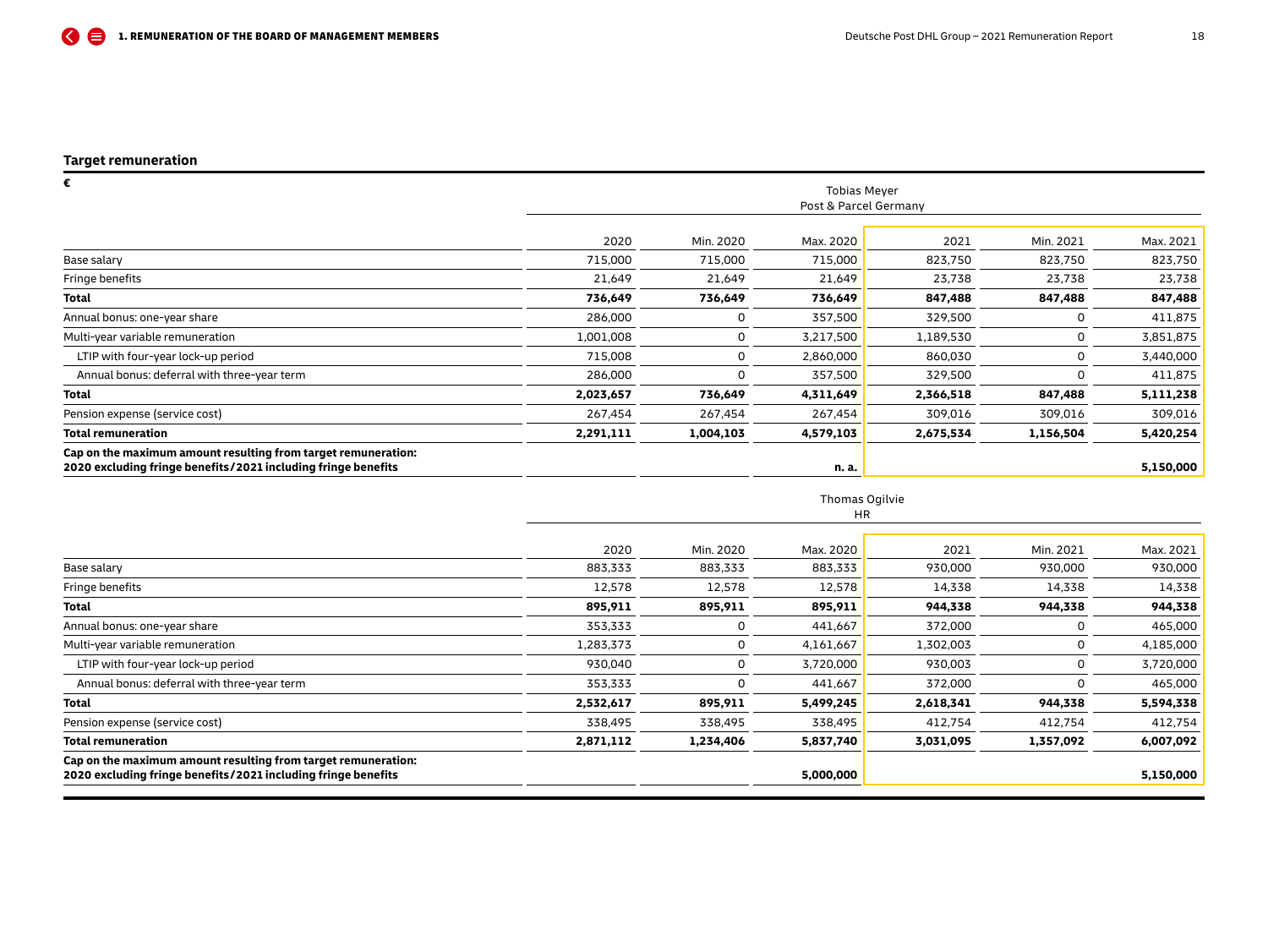| €                                                                                                                              |                       |           | <b>Tobias Meyer</b> |           |           |           |  |  |
|--------------------------------------------------------------------------------------------------------------------------------|-----------------------|-----------|---------------------|-----------|-----------|-----------|--|--|
|                                                                                                                                | Post & Parcel Germany |           |                     |           |           |           |  |  |
|                                                                                                                                | 2020                  | Min. 2020 | Max. 2020           | 2021      | Min. 2021 | Max. 2021 |  |  |
| Base salary                                                                                                                    | 715,000               | 715,000   | 715,000             | 823,750   | 823,750   | 823,750   |  |  |
| Fringe benefits                                                                                                                | 21,649                | 21,649    | 21,649              | 23,738    | 23,738    | 23,738    |  |  |
| <b>Total</b>                                                                                                                   | 736,649               | 736,649   | 736,649             | 847,488   | 847,488   | 847,488   |  |  |
| Annual bonus: one-year share                                                                                                   | 286,000               | 0         | 357,500             | 329,500   |           | 411,875   |  |  |
| Multi-year variable remuneration                                                                                               | 1,001,008             | 0         | 3,217,500           | 1,189,530 | 0         | 3,851,875 |  |  |
| LTIP with four-year lock-up period                                                                                             | 715,008               | 0         | 2,860,000           | 860,030   | 0         | 3,440,000 |  |  |
| Annual bonus: deferral with three-year term                                                                                    | 286,000               | 0         | 357,500             | 329,500   |           | 411,875   |  |  |
| <b>Total</b>                                                                                                                   | 2,023,657             | 736,649   | 4,311,649           | 2,366,518 | 847,488   | 5,111,238 |  |  |
| Pension expense (service cost)                                                                                                 | 267,454               | 267,454   | 267,454             | 309,016   | 309,016   | 309,016   |  |  |
| <b>Total remuneration</b>                                                                                                      | 2,291,111             | 1,004,103 | 4,579,103           | 2,675,534 | 1,156,504 | 5,420,254 |  |  |
| Cap on the maximum amount resulting from target remuneration:<br>2020 excluding fringe benefits/2021 including fringe benefits |                       |           | n. a.               |           |           | 5,150,000 |  |  |

## Thomas Ogilvie

|                                                                                                                                | HR        |           |           |           |           |           |  |  |  |
|--------------------------------------------------------------------------------------------------------------------------------|-----------|-----------|-----------|-----------|-----------|-----------|--|--|--|
|                                                                                                                                |           |           |           |           |           |           |  |  |  |
|                                                                                                                                | 2020      | Min. 2020 | Max. 2020 | 2021      | Min. 2021 | Max. 2021 |  |  |  |
| Base salary                                                                                                                    | 883,333   | 883,333   | 883,333   | 930,000   | 930,000   | 930,000   |  |  |  |
| Fringe benefits                                                                                                                | 12,578    | 12,578    | 12,578    | 14,338    | 14,338    | 14,338    |  |  |  |
| Total                                                                                                                          | 895,911   | 895,911   | 895,911   | 944,338   | 944,338   | 944,338   |  |  |  |
| Annual bonus: one-year share                                                                                                   | 353,333   | $\Omega$  | 441,667   | 372,000   |           | 465,000   |  |  |  |
| Multi-year variable remuneration                                                                                               | 1,283,373 | 0         | 4,161,667 | 1,302,003 |           | 4,185,000 |  |  |  |
| LTIP with four-year lock-up period                                                                                             | 930,040   | 0         | 3,720,000 | 930,003   | 0         | 3,720,000 |  |  |  |
| Annual bonus: deferral with three-year term                                                                                    | 353,333   | $\Omega$  | 441,667   | 372,000   | 0         | 465,000   |  |  |  |
| <b>Total</b>                                                                                                                   | 2,532,617 | 895,911   | 5,499,245 | 2,618,341 | 944,338   | 5,594,338 |  |  |  |
| Pension expense (service cost)                                                                                                 | 338,495   | 338,495   | 338,495   | 412,754   | 412,754   | 412,754   |  |  |  |
| <b>Total remuneration</b>                                                                                                      | 2,871,112 | 1,234,406 | 5,837,740 | 3,031,095 | 1,357,092 | 6,007,092 |  |  |  |
| Cap on the maximum amount resulting from target remuneration:<br>2020 excluding fringe benefits/2021 including fringe benefits |           |           | 5,000,000 |           |           | 5,150,000 |  |  |  |
|                                                                                                                                |           |           |           |           |           |           |  |  |  |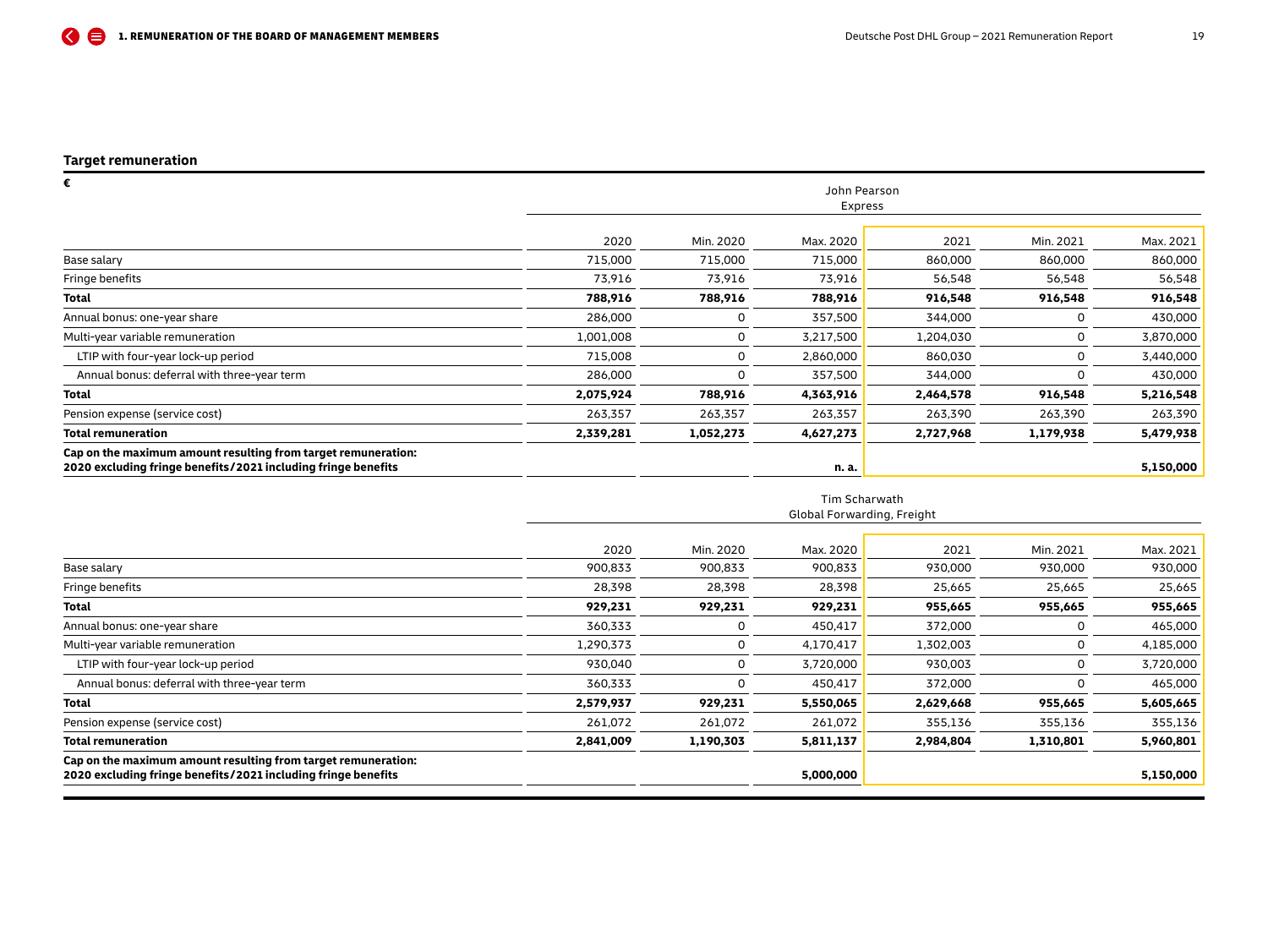| €                                                                                                                              | John Pearson<br>Express |           |           |           |           |           |  |  |
|--------------------------------------------------------------------------------------------------------------------------------|-------------------------|-----------|-----------|-----------|-----------|-----------|--|--|
|                                                                                                                                |                         |           |           |           |           |           |  |  |
|                                                                                                                                | 2020                    | Min. 2020 | Max. 2020 | 2021      | Min. 2021 | Max. 2021 |  |  |
| Base salary                                                                                                                    | 715,000                 | 715,000   | 715,000   | 860,000   | 860,000   | 860,000   |  |  |
| Fringe benefits                                                                                                                | 73,916                  | 73,916    | 73,916    | 56,548    | 56,548    | 56,548    |  |  |
| <b>Total</b>                                                                                                                   | 788,916                 | 788,916   | 788,916   | 916,548   | 916,548   | 916,548   |  |  |
| Annual bonus: one-year share                                                                                                   | 286,000                 | 0         | 357,500   | 344,000   |           | 430,000   |  |  |
| Multi-year variable remuneration                                                                                               | 1,001,008               | 0         | 3,217,500 | 1,204,030 | 0         | 3,870,000 |  |  |
| LTIP with four-year lock-up period                                                                                             | 715,008                 | 0         | 2,860,000 | 860,030   | 0         | 3,440,000 |  |  |
| Annual bonus: deferral with three-year term                                                                                    | 286,000                 | 0         | 357,500   | 344,000   |           | 430,000   |  |  |
| <b>Total</b>                                                                                                                   | 2,075,924               | 788,916   | 4,363,916 | 2,464,578 | 916,548   | 5,216,548 |  |  |
| Pension expense (service cost)                                                                                                 | 263,357                 | 263,357   | 263,357   | 263,390   | 263,390   | 263,390   |  |  |
| <b>Total remuneration</b>                                                                                                      | 2,339,281               | 1,052,273 | 4,627,273 | 2,727,968 | 1,179,938 | 5,479,938 |  |  |
| Cap on the maximum amount resulting from target remuneration:<br>2020 excluding fringe benefits/2021 including fringe benefits |                         |           | n. a.     |           |           | 5,150,000 |  |  |

#### Tim Scharwath Global Forwarding, Freight

|           |           | 5,000,000 |           |           | 5,150,000 |
|-----------|-----------|-----------|-----------|-----------|-----------|
| 2,841,009 | 1,190,303 | 5,811,137 | 2,984,804 | 1,310,801 | 5,960,801 |
| 261,072   | 261,072   | 261,072   | 355,136   | 355,136   | 355,136   |
| 2,579,937 | 929,231   | 5,550,065 | 2,629,668 | 955,665   | 5,605,665 |
| 360,333   | $\Omega$  | 450,417   | 372,000   |           | 465,000   |
| 930,040   | 0         | 3,720,000 | 930,003   |           | 3,720,000 |
| 1,290,373 |           | 4,170,417 | 1,302,003 |           | 4,185,000 |
| 360,333   | 0         | 450,417   | 372,000   |           | 465,000   |
| 929,231   | 929,231   | 929,231   | 955,665   | 955,665   | 955,665   |
| 28,398    | 28,398    | 28,398    | 25,665    | 25,665    | 25,665    |
| 900,833   | 900,833   | 900,833   | 930,000   | 930,000   | 930,000   |
| 2020      | Min. 2020 | Max. 2020 | 2021      | Min. 2021 | Max. 2021 |
|           |           |           |           |           |           |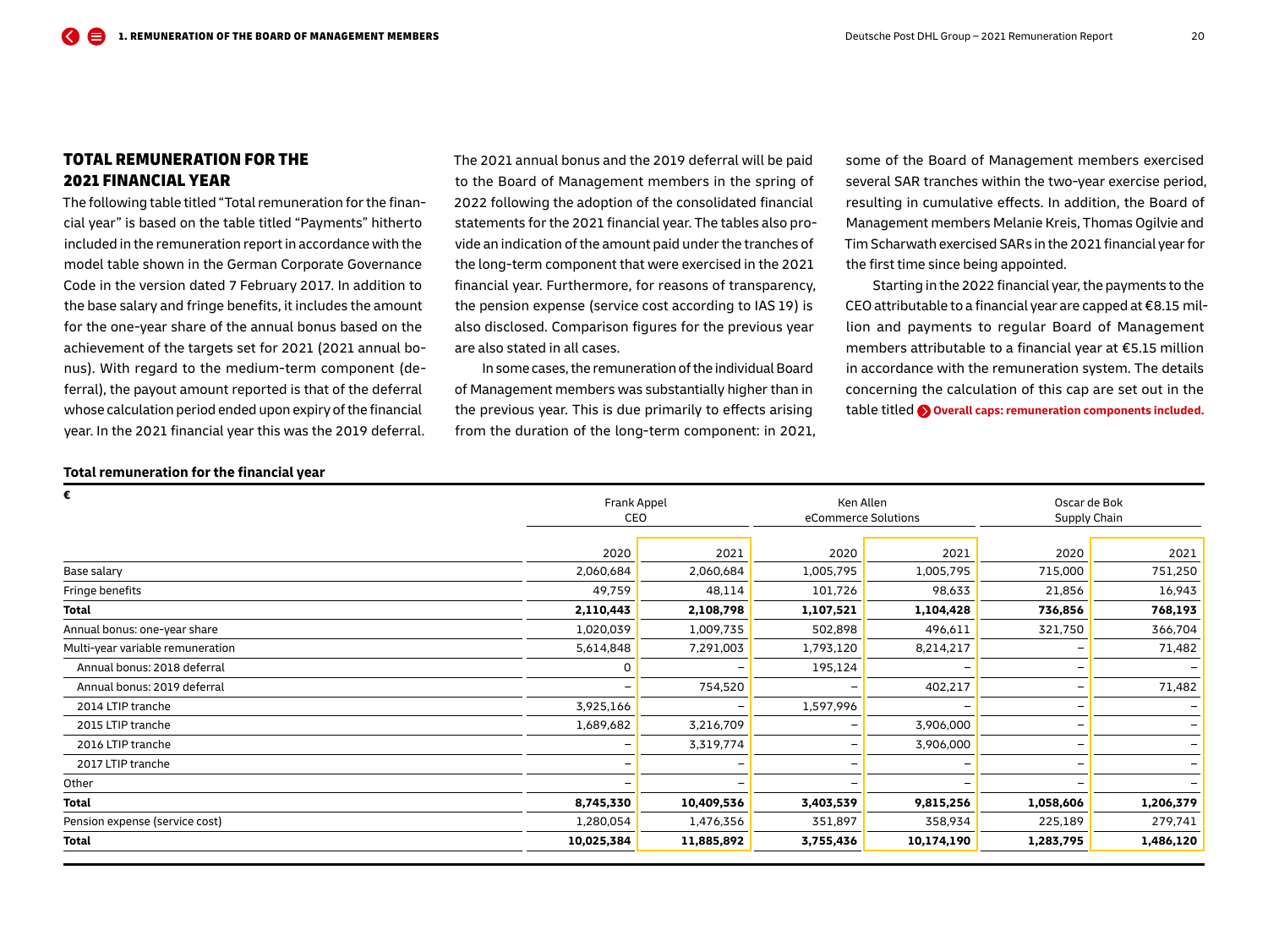## <span id="page-19-0"></span>TOTAL REMUNERATION FOR THE 2021 FINANCIAL YEAR

The following table titled "Total remuneration for the financial year" is based on the table titled "Payments" hitherto included in the remuneration report in accordance with the model table shown in the German Corporate Governance Code in the version dated 7 February 2017. In addition to the base salary and fringe benefits, it includes the amount for the one-year share of the annual bonus based on the achievement of the targets set for 2021 (2021 annual bonus). With regard to the medium-term component (deferral), the payout amount reported is that of the deferral whose calculation period ended upon expiry of the financial year. In the 2021 financial year this was the 2019 deferral.

The 2021 annual bonus and the 2019 deferral will be paid to the Board of Management members in the spring of 2022 following the adoption of the consolidated financial statements for the 2021 financial year. The tables also provide an indication of the amount paid under the tranches of the long-term component that were exercised in the 2021 financial year. Furthermore, for reasons of transparency, the pension expense (service cost according to IAS 19) is also disclosed. Comparison figures for the previous year are also stated in all cases.

In some cases, the remuneration of the individual Board of Management members was substantially higher than in the previous year. This is due primarily to effects arising from the duration of the long-term component: in 2021, some of the Board of Management members exercised several SAR tranches within the two-year exercise period, resulting in cumulative effects. In addition, the Board of Management members Melanie Kreis, Thomas Ogilvie and Tim Scharwath exercised SAR s in the 2021 financial year for the first time since being appointed.

Starting in the 2022 financial year, the payments to the CEO attributable to a financial year are capped at €8.15 million and payments to regular Board of Management members attributable to a financial year at €5.15 million in accordance with the remuneration system. The details concerning the calculation of this cap are set out in the table titled **O** overall caps: remuneration components included.

#### **Total remuneration for the financial year**

| €                                |            | Frank Appel<br>CEO       |                   | Ken Allen<br>eCommerce Solutions |           | Oscar de Bok<br>Supply Chain |  |
|----------------------------------|------------|--------------------------|-------------------|----------------------------------|-----------|------------------------------|--|
|                                  | 2020       | 2021                     | 2020              | 2021                             | 2020      | 2021                         |  |
| Base salary                      | 2,060,684  | 2,060,684                | 1,005,795         | 1,005,795                        | 715,000   | 751,250                      |  |
| Fringe benefits                  | 49,759     | 48,114                   | 101,726           | 98,633                           | 21,856    | 16,943                       |  |
| <b>Total</b>                     | 2,110,443  | 2,108,798                | 1,107,521         | 1,104,428                        | 736,856   | 768,193                      |  |
| Annual bonus: one-year share     | 1,020,039  | 1,009,735                | 502,898           | 496,611                          | 321,750   | 366,704                      |  |
| Multi-year variable remuneration | 5,614,848  | 7,291,003                | 1,793,120         | 8,214,217                        |           | 71,482                       |  |
| Annual bonus: 2018 deferral      | O          | $\overline{\phantom{0}}$ | 195,124           |                                  |           | $\overline{\phantom{0}}$     |  |
| Annual bonus: 2019 deferral      |            | 754,520                  | $\qquad \qquad -$ | 402,217                          |           | 71,482                       |  |
| 2014 LTIP tranche                | 3,925,166  | -                        | 1,597,996         |                                  |           |                              |  |
| 2015 LTIP tranche                | 1,689,682  | 3,216,709                |                   | 3,906,000                        |           | $\overline{\phantom{0}}$     |  |
| 2016 LTIP tranche                |            | 3,319,774                | -                 | 3,906,000                        |           |                              |  |
| 2017 LTIP tranche                |            | -                        |                   |                                  |           | $\overline{\phantom{0}}$     |  |
| Other                            |            |                          |                   |                                  |           | $\overline{\phantom{0}}$     |  |
| Total                            | 8,745,330  | 10,409,536               | 3,403,539         | 9,815,256                        | 1,058,606 | 1,206,379                    |  |
| Pension expense (service cost)   | 1,280,054  | 1,476,356                | 351,897           | 358,934                          | 225,189   | 279,741                      |  |
| <b>Total</b>                     | 10,025,384 | 11,885,892               | 3,755,436         | 10,174,190                       | 1,283,795 | 1,486,120                    |  |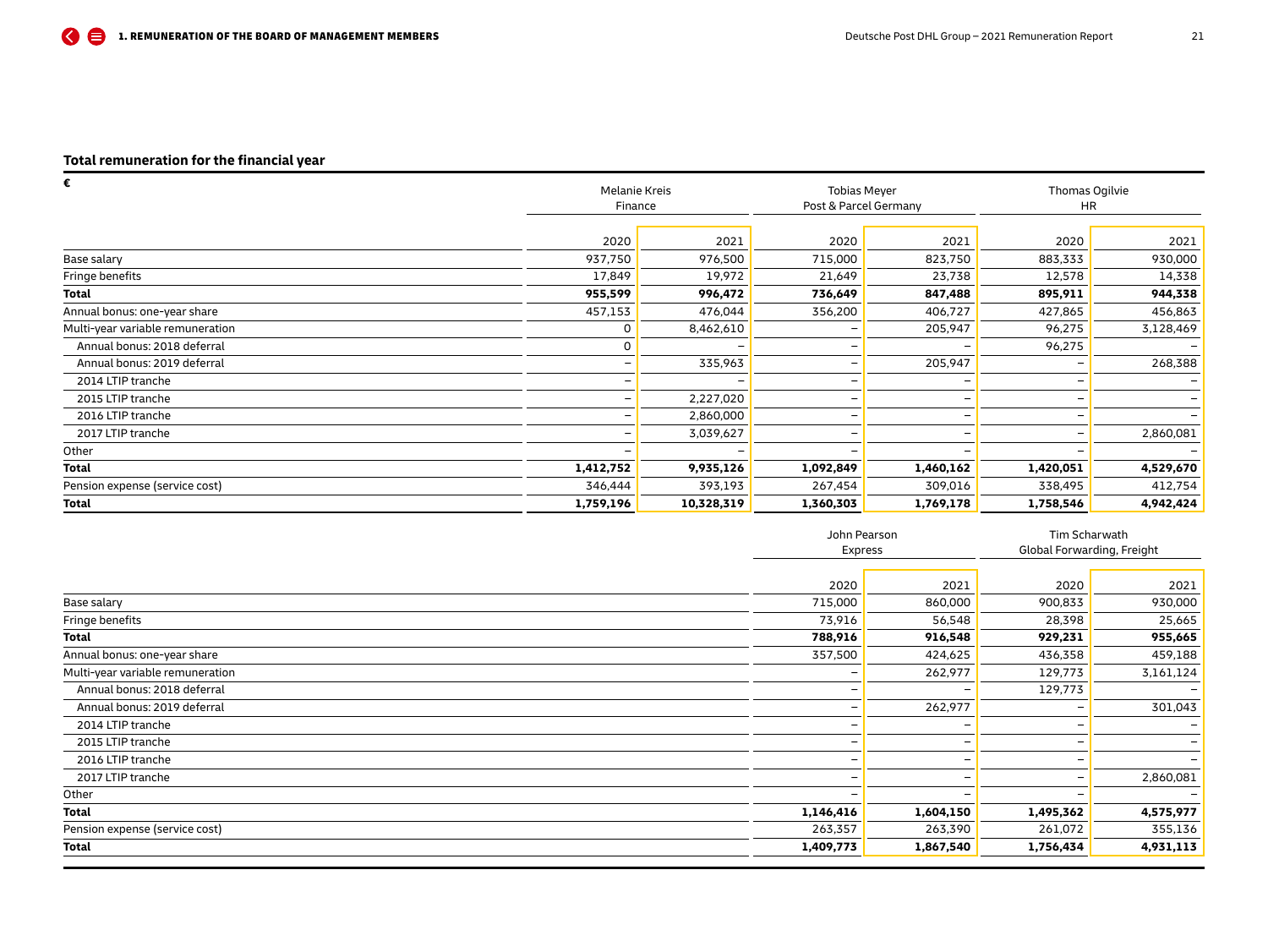## **Total remuneration for the financial year**

| Ē                                | Melanie Kreis |            | <b>Tobias Meyer</b>   |                          | Thomas Ogilvie |                          |  |
|----------------------------------|---------------|------------|-----------------------|--------------------------|----------------|--------------------------|--|
|                                  | Finance       |            | Post & Parcel Germany |                          | <b>HR</b>      |                          |  |
|                                  |               |            |                       |                          |                |                          |  |
|                                  | 2020          | 2021       | 2020                  | 2021                     | 2020           | 2021                     |  |
| Base salary                      | 937,750       | 976,500    | 715,000               | 823,750                  | 883,333        | 930,000                  |  |
| Fringe benefits                  | 17,849        | 19,972     | 21,649                | 23,738                   | 12,578         | 14,338                   |  |
| Total                            | 955,599       | 996,472    | 736,649               | 847,488                  | 895,911        | 944,338                  |  |
| Annual bonus: one-year share     | 457,153       | 476,044    | 356,200               | 406,727                  | 427,865        | 456,863                  |  |
| Multi-year variable remuneration | 0             | 8,462,610  |                       | 205,947                  | 96,275         | 3,128,469                |  |
| Annual bonus: 2018 deferral      | ი             |            |                       |                          | 96,275         |                          |  |
| Annual bonus: 2019 deferral      |               | 335,963    |                       | 205,947                  |                | 268,388                  |  |
| 2014 LTIP tranche                |               |            |                       |                          |                |                          |  |
| 2015 LTIP tranche                |               | 2,227,020  | -                     | $\overline{\phantom{0}}$ |                | $\overline{\phantom{0}}$ |  |
| 2016 LTIP tranche                |               | 2,860,000  | -                     |                          |                | $-$                      |  |
| 2017 LTIP tranche                |               | 3,039,627  |                       |                          |                | 2,860,081                |  |
| Other                            |               |            |                       |                          |                |                          |  |
| <b>Total</b>                     | 1,412,752     | 9,935,126  | 1,092,849             | 1,460,162                | 1,420,051      | 4,529,670                |  |
| Pension expense (service cost)   | 346,444       | 393,193    | 267,454               | 309,016                  | 338,495        | 412,754                  |  |
| <b>Total</b>                     | 1,759,196     | 10,328,319 | 1,360,303             | 1,769,178                | 1,758,546      | 4,942,424                |  |

|                                  | John Pearson |           | Tim Scharwath              |                          |
|----------------------------------|--------------|-----------|----------------------------|--------------------------|
|                                  | Express      |           | Global Forwarding, Freight |                          |
|                                  |              |           |                            |                          |
|                                  | 2020         | 2021      | 2020                       | 2021                     |
| Base salary                      | 715,000      | 860,000   | 900,833                    | 930,000                  |
| Fringe benefits                  | 73,916       | 56,548    | 28,398                     | 25,665                   |
| Total                            | 788,916      | 916,548   | 929,231                    | 955,665                  |
| Annual bonus: one-year share     | 357,500      | 424,625   | 436,358                    | 459,188                  |
| Multi-year variable remuneration |              | 262,977   | 129,773                    | 3,161,124                |
| Annual bonus: 2018 deferral      |              |           | 129,773                    |                          |
| Annual bonus: 2019 deferral      |              | 262,977   |                            | 301,043                  |
| 2014 LTIP tranche                |              |           |                            |                          |
| 2015 LTIP tranche                |              |           |                            | $\overline{\phantom{0}}$ |
| 2016 LTIP tranche                |              |           |                            |                          |
| 2017 LTIP tranche                |              |           |                            | 2,860,081                |
| Other                            |              |           |                            |                          |
| Total                            | 1,146,416    | 1,604,150 | 1,495,362                  | 4,575,977                |
| Pension expense (service cost)   | 263,357      | 263,390   | 261,072                    | 355,136                  |
| Total                            | 1,409,773    | 1,867,540 | 1,756,434                  | 4,931,113                |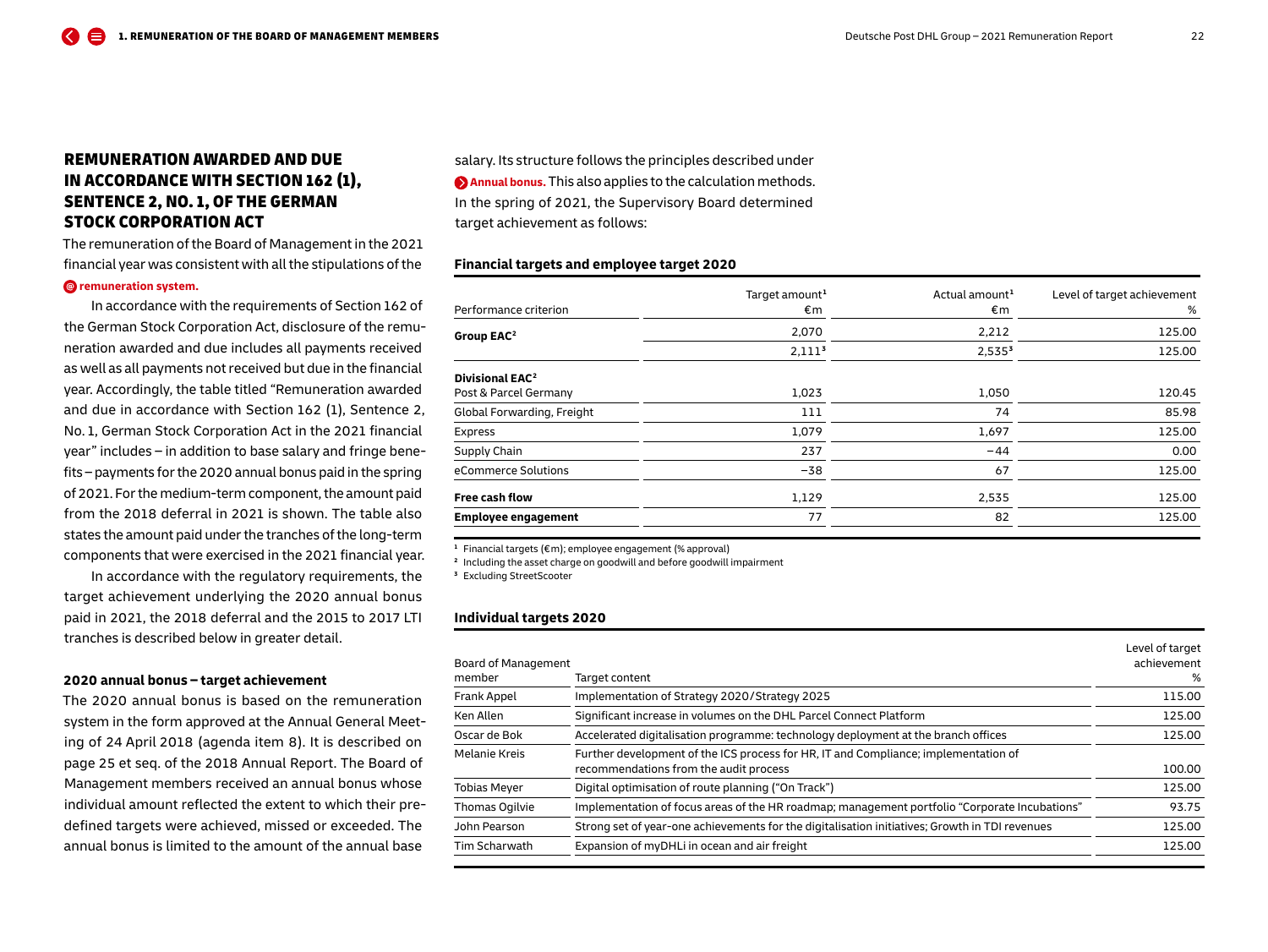## <span id="page-21-0"></span>REMUNERATION AWARDED AND DUE IN ACCORDANCE WITH SECTION 162 (1), SENTENCE 2, NO. 1, OF THE GERMAN STOCK CORPORATION ACT

The remuneration of the Board of Management in the 2021 financial year was consistent with all the stipulations of the

#### **[remuneration system.](https://www.dpdhl.com/en.html)**

In accordance with the requirements of Section 162 of the German Stock Corporation Act, disclosure of the remuneration awarded and due includes all payments received as well as all payments not received but due in the financial year. Accordingly, the table titled "Remuneration awarded and due in accordance with Section 162 (1), Sentence 2, No. 1, German Stock Corporation Act in the 2021 financial year" includes – in addition to base salary and fringe benefits – payments for the 2020 annual bonus paid in the spring of 2021. For the medium-term component, the amount paid from the 2018 deferral in 2021 is shown. The table also states the amount paid under the tranches of the long-term components that were exercised in the 2021 financial year.

In accordance with the regulatory requirements, the target achievement underlying the 2020 annual bonus paid in 2021, the 2018 deferral and the 2015 to 2017 LTI tranches is described below in greater detail.

#### **2020 annual bonus – target achievement**

The 2020 annual bonus is based on the remuneration system in the form approved at the Annual General Meeting of 24 April 2018 (agenda item 8). It is described on page 25 et seq. of the 2018 Annual Report. The Board of Management members received an annual bonus whose individual amount reflected the extent to which their predefined targets were achieved, missed or exceeded. The annual bonus is limited to the amount of the annual base

salary. Its structure follows the principles described under **[Annual bonus.](#page-9-0)** This also applies to the calculation methods. In the spring of 2021, the Supervisory Board determined target achievement as follows:

#### **Financial targets and employee target 2020**

|                                   | Target amount <sup>1</sup> | Actual amount <sup>1</sup> | Level of target achievement |
|-----------------------------------|----------------------------|----------------------------|-----------------------------|
| Performance criterion             | €m                         | €m                         | %                           |
| Group EAC <sup>2</sup>            | 2,070                      | 2,212                      | 125.00                      |
|                                   | 2,111 <sup>3</sup>         | 2,535 <sup>3</sup>         | 125.00                      |
| <b>Divisional EAC<sup>2</sup></b> |                            |                            |                             |
| Post & Parcel Germany             | 1,023                      | 1,050                      | 120.45                      |
| Global Forwarding, Freight        | 111                        | 74                         | 85.98                       |
| Express                           | 1,079                      | 1,697                      | 125.00                      |
| Supply Chain                      | 237                        | $-44$                      | 0.00                        |
| eCommerce Solutions               | $-38$                      | 67                         | 125.00                      |
| Free cash flow                    | 1,129                      | 2,535                      | 125.00                      |
| <b>Employee engagement</b>        | 77                         | 82                         | 125.00                      |

**<sup>1</sup>** Financial targets (€ m); employee engagement (% approval)

**<sup>2</sup>** Including the asset charge on goodwill and before goodwill impairment

**<sup>3</sup>** Excluding StreetScooter

#### **Individual targets 2020**

|                      |                                                                                                                               | Level of target |
|----------------------|-------------------------------------------------------------------------------------------------------------------------------|-----------------|
| Board of Management  |                                                                                                                               | achievement     |
| member               | Target content                                                                                                                | %               |
| Frank Appel          | Implementation of Strategy 2020/Strategy 2025                                                                                 | 115.00          |
| Ken Allen            | Significant increase in volumes on the DHL Parcel Connect Platform                                                            | 125.00          |
| Oscar de Bok         | Accelerated digitalisation programme: technology deployment at the branch offices                                             | 125.00          |
| <b>Melanie Kreis</b> | Further development of the ICS process for HR, IT and Compliance; implementation of<br>recommendations from the audit process | 100.00          |
| <b>Tobias Meyer</b>  | Digital optimisation of route planning ("On Track")                                                                           | 125.00          |
| Thomas Ogilvie       | Implementation of focus areas of the HR roadmap; management portfolio "Corporate Incubations"                                 | 93.75           |
| John Pearson         | Strong set of year-one achievements for the digitalisation initiatives; Growth in TDI revenues                                | 125.00          |
| Tim Scharwath        | Expansion of myDHLi in ocean and air freight                                                                                  | 125.00          |
|                      |                                                                                                                               |                 |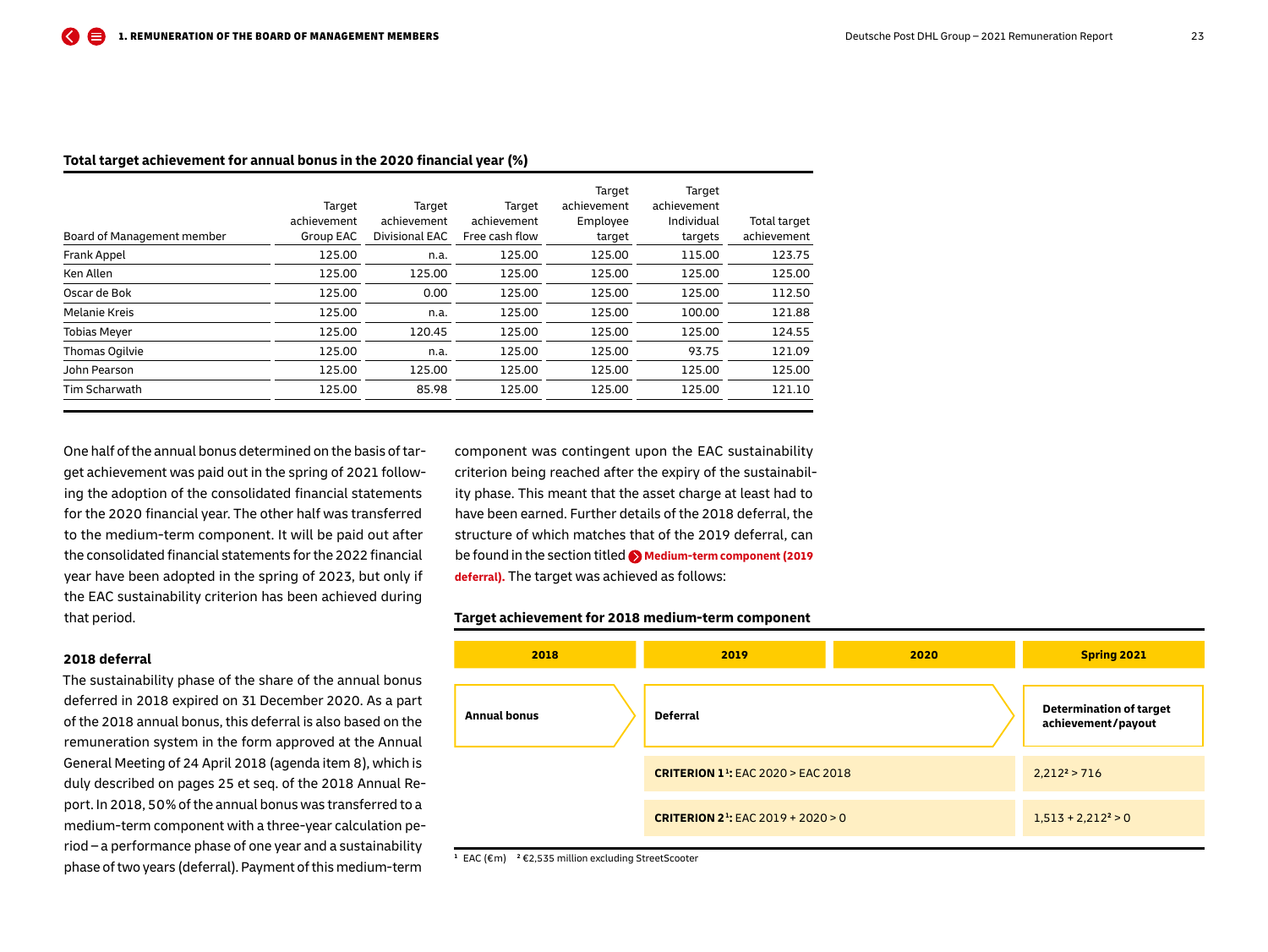#### **Total target achievement for annual bonus in the 2020 financial year (%)**

| Board of Management member | Target<br>achievement<br>Group EAC | Target<br>achievement<br>Divisional EAC | Target<br>achievement<br>Free cash flow | Target<br>achievement<br>Employee<br>target | Target<br>achievement<br>Individual<br>targets | Total target<br>achievement |
|----------------------------|------------------------------------|-----------------------------------------|-----------------------------------------|---------------------------------------------|------------------------------------------------|-----------------------------|
| Frank Appel                | 125.00                             | n.a.                                    | 125.00                                  | 125.00                                      | 115.00                                         | 123.75                      |
| Ken Allen                  | 125.00                             | 125.00                                  | 125.00                                  | 125.00                                      | 125.00                                         | 125.00                      |
| Oscar de Bok               | 125.00                             | 0.00                                    | 125.00                                  | 125.00                                      | 125.00                                         | 112.50                      |
| Melanie Kreis              | 125.00                             | n.a.                                    | 125.00                                  | 125.00                                      | 100.00                                         | 121.88                      |
| <b>Tobias Meyer</b>        | 125.00                             | 120.45                                  | 125.00                                  | 125.00                                      | 125.00                                         | 124.55                      |
| Thomas Ogilvie             | 125.00                             | n.a.                                    | 125.00                                  | 125.00                                      | 93.75                                          | 121.09                      |
| John Pearson               | 125.00                             | 125.00                                  | 125.00                                  | 125.00                                      | 125.00                                         | 125.00                      |
| Tim Scharwath              | 125.00                             | 85.98                                   | 125.00                                  | 125.00                                      | 125.00                                         | 121.10                      |
|                            |                                    |                                         |                                         |                                             |                                                |                             |

One half of the annual bonus determined on the basis of target achievement was paid out in the spring of 2021 following the adoption of the consolidated financial statements for the 2020 financial year. The other half was transferred to the medium-term component. It will be paid out after the consolidated financial statements for the 2022 financial year have been adopted in the spring of 2023, but only if the EAC sustainability criterion has been achieved during that period.

### **2018 deferral**

The sustainability phase of the share of the annual bonus deferred in 2018 expired on 31 December 2020. As a part of the 2018 annual bonus, this deferral is also based on the remuneration system in the form approved at the Annual General Meeting of 24 April 2018 (agenda item 8), which is duly described on pages 25 et seq. of the 2018 Annual Report. In 2018, 50 % of the annual bonus was transferred to a medium-term component with a three-year calculation period – a performance phase of one year and a sustainability phase of two years (deferral). Payment of this medium-term

component was contingent upon the EAC sustainability criterion being reached after the expiry of the sustainability phase. This meant that the asset charge at least had to have been earned. Further details of the 2018 deferral, the structure of which matches that of the 2019 deferral, can be found in the section titled **[Medium-term component \(2019](#page-11-0) [deferral\).](#page-11-0)** The target was achieved as follows:

#### **Target achievement for 2018 medium-term component**



**<sup>1</sup>** EAC (€ m) **2** €2,535 million excluding StreetScooter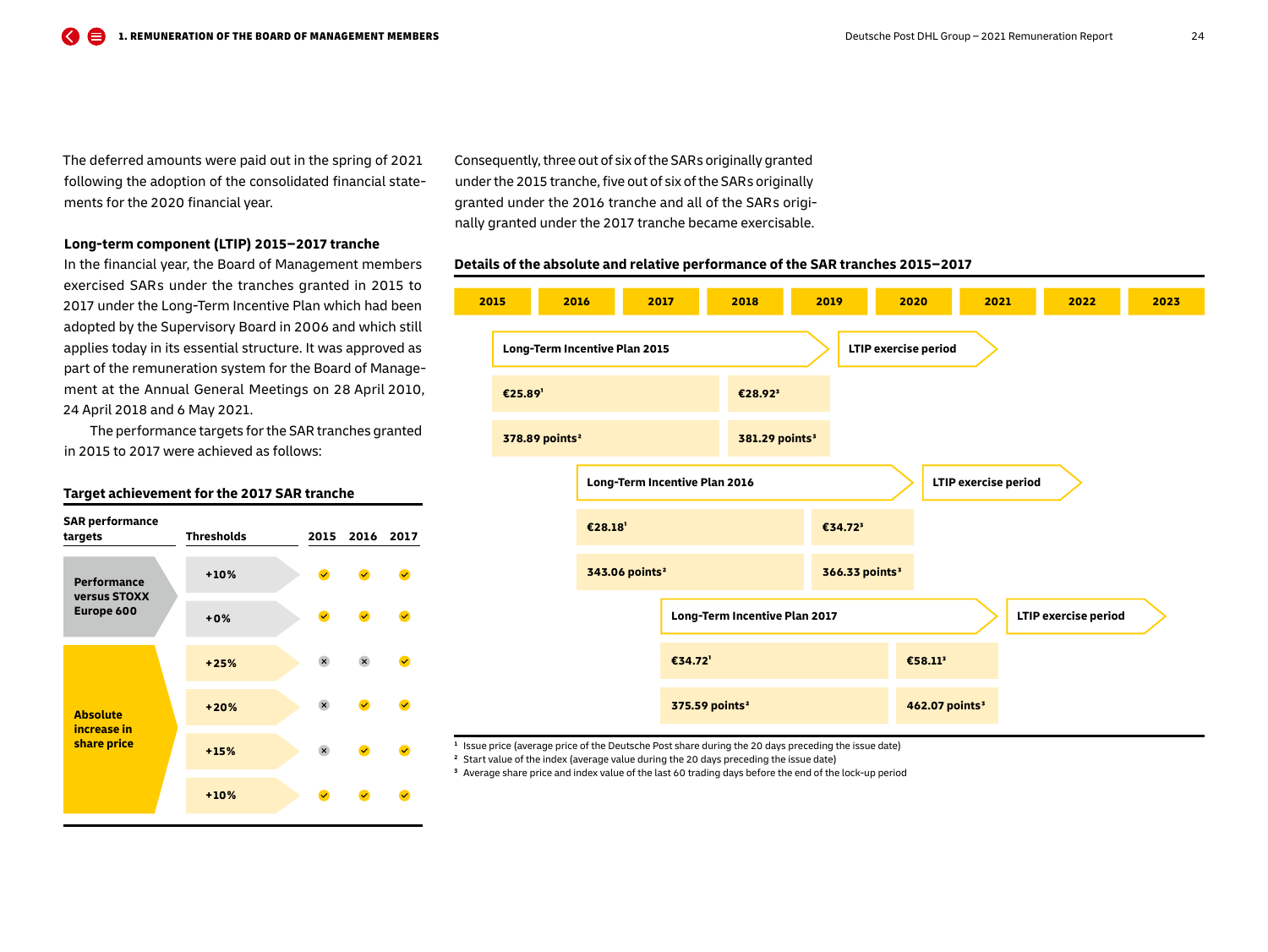The deferred amounts were paid out in the spring of 2021 following the adoption of the consolidated financial statements for the 2020 financial year.

#### **Long-term component (LTIP) 2015 – 2017 tranche**

In the financial year, the Board of Management members exercised SAR s under the tranches granted in 2015 to 2017 under the Long-Term Incentive Plan which had been adopted by the Supervisory Board in 2006 and which still applies today in its essential structure. It was approved as part of the remuneration system for the Board of Management at the Annual General Meetings on 28 April 2010, 24 April 2018 and 6 May 2021.

The performance targets for the SAR tranches granted in 2015 to 2017 were achieved as follows:

#### **Target achievement for the 2017 SAR tranche**

| <b>SAR performance</b><br>targets                | <b>Thresholds</b> | 2015                      | 2016                    | 2017         |
|--------------------------------------------------|-------------------|---------------------------|-------------------------|--------------|
| <b>Performance</b><br>versus STOXX<br>Europe 600 | $+10%$            | $\blacktriangledown$      | $\overline{\mathbf{v}}$ | $\checkmark$ |
|                                                  | $+0%$             | $\blacktriangledown$      | $\overline{\mathbf{v}}$ | $\checkmark$ |
| <b>Absolute</b><br>increase in<br>share price    | $+25%$            | $\mathbf{x}$              | $\mathsf{x}$            | $\checkmark$ |
|                                                  | $+20%$            | $\boldsymbol{\mathsf{x}}$ | $\overline{\mathbf{v}}$ | $\checkmark$ |
|                                                  | $+15%$            | $\times$                  | $\checkmark$            |              |
|                                                  | $+10%$            | $\checkmark$              |                         |              |

Consequently, three out of six of the SAR s originally granted under the 2015 tranche, five out of six of the SAR s originally granted under the 2016 tranche and all of the SAR s originally granted under the 2017 tranche became exercisable.

#### **Details of the absolute and relative performance of the SAR tranches 2015 – 2017**



**<sup>1</sup>** Issue price (average price of the Deutsche Post share during the 20 days preceding the issue date)

**<sup>2</sup>** Start value of the index (average value during the 20 days preceding the issue date)

**<sup>3</sup>** Average share price and index value of the last 60 trading days before the end of the lock-up period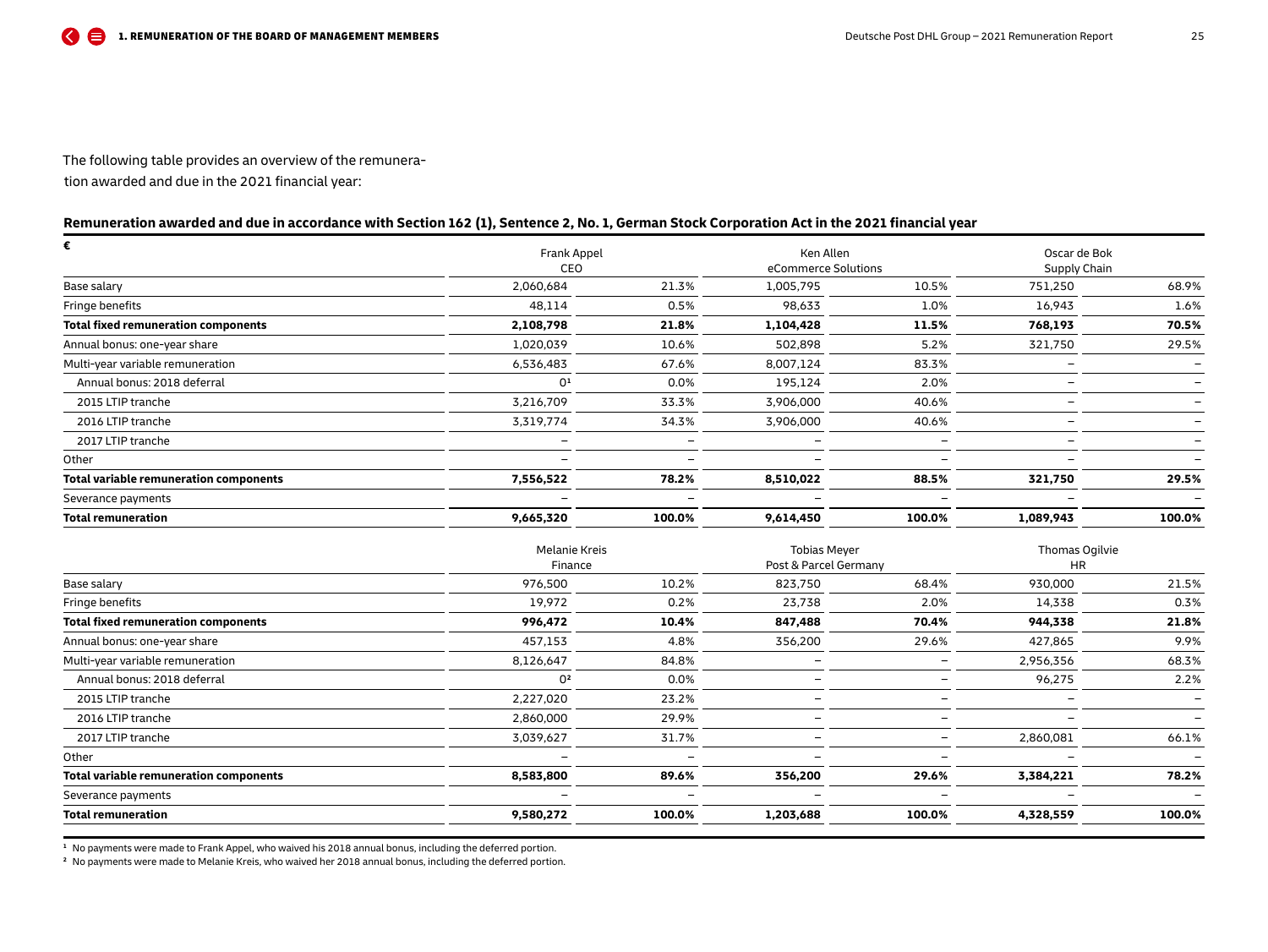The following table provides an overview of the remunera-

tion awarded and due in the 2021 financial year:

## **Remuneration awarded and due in accordance with Section 162 (1), Sentence 2, No. 1, German Stock Corporation Act in the 2021 financial year**

| €                                      | <b>Frank Appel</b> |        | Ken Allen |                     | Oscar de Bok |                          |  |
|----------------------------------------|--------------------|--------|-----------|---------------------|--------------|--------------------------|--|
|                                        | CEO                |        |           | eCommerce Solutions | Supply Chain |                          |  |
| Base salary                            | 2,060,684          | 21.3%  | 1,005,795 | 10.5%               | 751,250      | 68.9%                    |  |
| Fringe benefits                        | 48,114             | 0.5%   | 98,633    | 1.0%                | 16,943       | 1.6%                     |  |
| Total fixed remuneration components    | 2,108,798          | 21.8%  | 1,104,428 | 11.5%               | 768,193      | 70.5%                    |  |
| Annual bonus: one-year share           | 1,020,039          | 10.6%  | 502,898   | 5.2%                | 321,750      | 29.5%                    |  |
| Multi-year variable remuneration       | 6,536,483          | 67.6%  | 8,007,124 | 83.3%               |              |                          |  |
| Annual bonus: 2018 deferral            | 0 <sup>1</sup>     | 0.0%   | 195,124   | 2.0%                | -            |                          |  |
| 2015 LTIP tranche                      | 3,216,709          | 33.3%  | 3,906,000 | 40.6%               |              |                          |  |
| 2016 LTIP tranche                      | 3,319,774          | 34.3%  | 3,906,000 | 40.6%               |              |                          |  |
| 2017 LTIP tranche                      |                    |        |           |                     | -            | $\overline{\phantom{0}}$ |  |
| Other                                  |                    |        |           |                     | -            |                          |  |
| Total variable remuneration components | 7,556,522          | 78.2%  | 8,510,022 | 88.5%               | 321,750      | 29.5%                    |  |
| Severance payments                     |                    |        |           |                     |              |                          |  |
| Total remuneration                     | 9,665,320          | 100.0% | 9,614,450 | 100.0%              | 1,089,943    | 100.0%                   |  |

| Melanie Kreis  |         | <b>Tobias Mever</b>      |                          | Thomas Ogilvie           |           |
|----------------|---------|--------------------------|--------------------------|--------------------------|-----------|
|                |         |                          |                          |                          |           |
| 976,500        | 10.2%   | 823,750                  | 68.4%                    | 930,000                  | 21.5%     |
| 19,972         | 0.2%    | 23,738                   | 2.0%                     | 14,338                   | 0.3%      |
| 996,472        | 10.4%   | 847,488                  | 70.4%                    | 944,338                  | 21.8%     |
| 457,153        | 4.8%    | 356,200                  | 29.6%                    | 427,865                  | 9.9%      |
| 8,126,647      | 84.8%   |                          |                          | 2,956,356                | 68.3%     |
| 0 <sup>2</sup> | 0.0%    |                          |                          | 96,275                   | 2.2%      |
| 2,227,020      | 23.2%   |                          |                          |                          |           |
| 2,860,000      | 29.9%   |                          |                          |                          |           |
| 3,039,627      | 31.7%   | $\overline{\phantom{0}}$ | $\overline{\phantom{0}}$ | 2,860,081                | 66.1%     |
|                |         |                          | $\overline{\phantom{0}}$ | $\overline{\phantom{m}}$ |           |
| 8,583,800      | 89.6%   | 356,200                  | 29.6%                    | 3,384,221                | 78.2%     |
|                |         |                          |                          |                          |           |
| 9,580,272      | 100.0%  | 1,203,688                | 100.0%                   | 4,328,559                | 100.0%    |
|                | Finance |                          |                          | Post & Parcel Germany    | <b>HR</b> |

**<sup>1</sup>** No payments were made to Frank Appel, who waived his 2018 annual bonus, including the deferred portion.

**<sup>2</sup>** No payments were made to Melanie Kreis, who waived her 2018 annual bonus, including the deferred portion.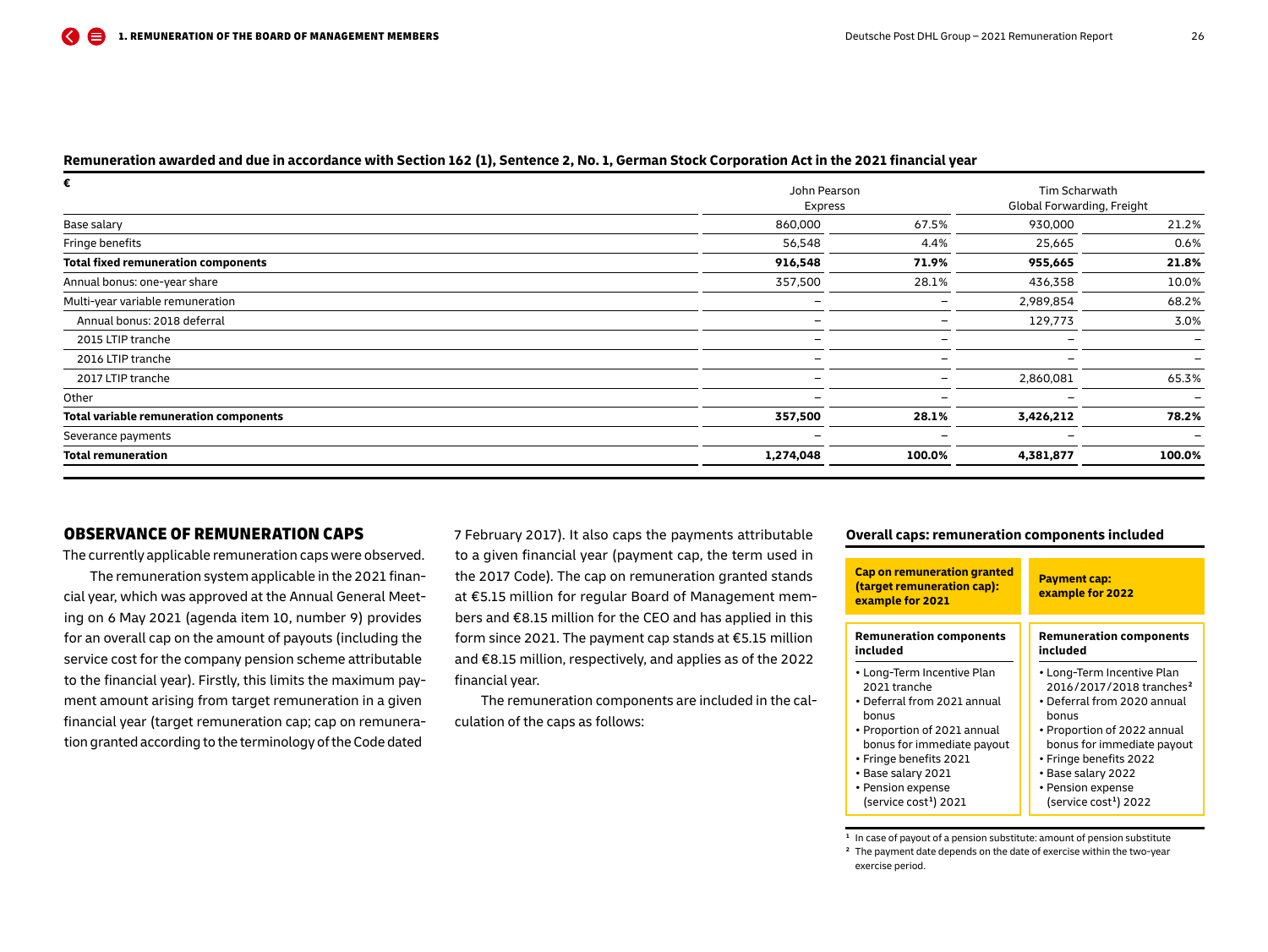#### <span id="page-25-0"></span>**Remuneration awarded and due in accordance with Section 162 (1), Sentence 2, No. 1, German Stock Corporation Act in the 2021 financial year**

| €                                          | John Pearson             | Tim Scharwath            |                            |                          |  |
|--------------------------------------------|--------------------------|--------------------------|----------------------------|--------------------------|--|
|                                            | Express                  |                          | Global Forwarding, Freight |                          |  |
| Base salary                                | 860,000                  | 67.5%                    | 930,000                    | 21.2%                    |  |
| Fringe benefits                            | 56,548                   | 4.4%                     | 25,665                     | 0.6%                     |  |
| <b>Total fixed remuneration components</b> | 916,548                  | 71.9%                    | 955,665                    | 21.8%                    |  |
| Annual bonus: one-year share               | 357,500                  | 28.1%                    | 436,358                    | 10.0%                    |  |
| Multi-year variable remuneration           | $\overline{\phantom{0}}$ | $\overline{\phantom{0}}$ | 2,989,854                  | 68.2%                    |  |
| Annual bonus: 2018 deferral                | $\overline{\phantom{0}}$ |                          | 129,773                    | 3.0%                     |  |
| 2015 LTIP tranche                          |                          |                          |                            | $\overline{\phantom{0}}$ |  |
| 2016 LTIP tranche                          | $\overline{\phantom{0}}$ |                          |                            |                          |  |
| 2017 LTIP tranche                          | $\overline{\phantom{0}}$ |                          | 2,860,081                  | 65.3%                    |  |
| Other                                      | $\overline{\phantom{0}}$ | $\overline{\phantom{0}}$ |                            | $\overline{\phantom{0}}$ |  |
| Total variable remuneration components     | 357,500                  | 28.1%                    | 3,426,212                  | 78.2%                    |  |
| Severance payments                         | $\overline{\phantom{0}}$ |                          |                            |                          |  |
| <b>Total remuneration</b>                  | 1,274,048                | 100.0%                   | 4,381,877                  | 100.0%                   |  |

## OBSERVANCE OF REMUNERATION CAPS

The currently applicable remuneration caps were observed.

The remuneration system applicable in the 2021 financial year, which was approved at the Annual General Meeting on 6 May 2021 (agenda item 10, number 9) provides for an overall cap on the amount of payouts (including the service cost for the company pension scheme attributable to the financial year). Firstly, this limits the maximum payment amount arising from target remuneration in a given financial year (target remuneration cap; cap on remuneration granted according to the terminology of the Code dated

7 February 2017). It also caps the payments attributable to a given financial year (payment cap, the term used in the 2017 Code). The cap on remuneration granted stands at €5.15 million for regular Board of Management members and €8.15 million for the CEO and has applied in this form since 2021. The payment cap stands at €5.15 million and €8.15 million, respectively, and applies as of the 2022 financial year.

The remuneration components are included in the calculation of the caps as follows:

#### **Overall caps: remuneration components included**

| <b>Cap on remuneration granted</b><br>(target remuneration cap):<br>example for 2021 | <b>Payment cap:</b><br>example for 2022 |
|--------------------------------------------------------------------------------------|-----------------------------------------|
| <b>Remuneration components</b>                                                       | <b>Remuneration components</b>          |
| included                                                                             | included                                |
| • Long-Term Incentive Plan                                                           | • Long-Term Incentive Plan              |
| 2021 tranche                                                                         | 2016/2017/2018 tranches <sup>2</sup>    |
| • Deferral from 2021 annual                                                          | • Deferral from 2020 annual             |
| bonus                                                                                | bonus                                   |
| • Proportion of 2021 annual                                                          | • Proportion of 2022 annual             |
| bonus for immediate payout                                                           | bonus for immediate payout              |
| • Fringe benefits 2021                                                               | • Fringe benefits 2022                  |
| • Base salary 2021                                                                   | • Base salary 2022                      |
| • Pension expense                                                                    | • Pension expense                       |
| (service cost <sup>1</sup> ) 2021                                                    | (service cost <sup>1</sup> ) 2022       |

**<sup>1</sup>** In case of payout of a pension substitute: amount of pension substitute **<sup>2</sup>** The payment date depends on the date of exercise within the two-year exercise period.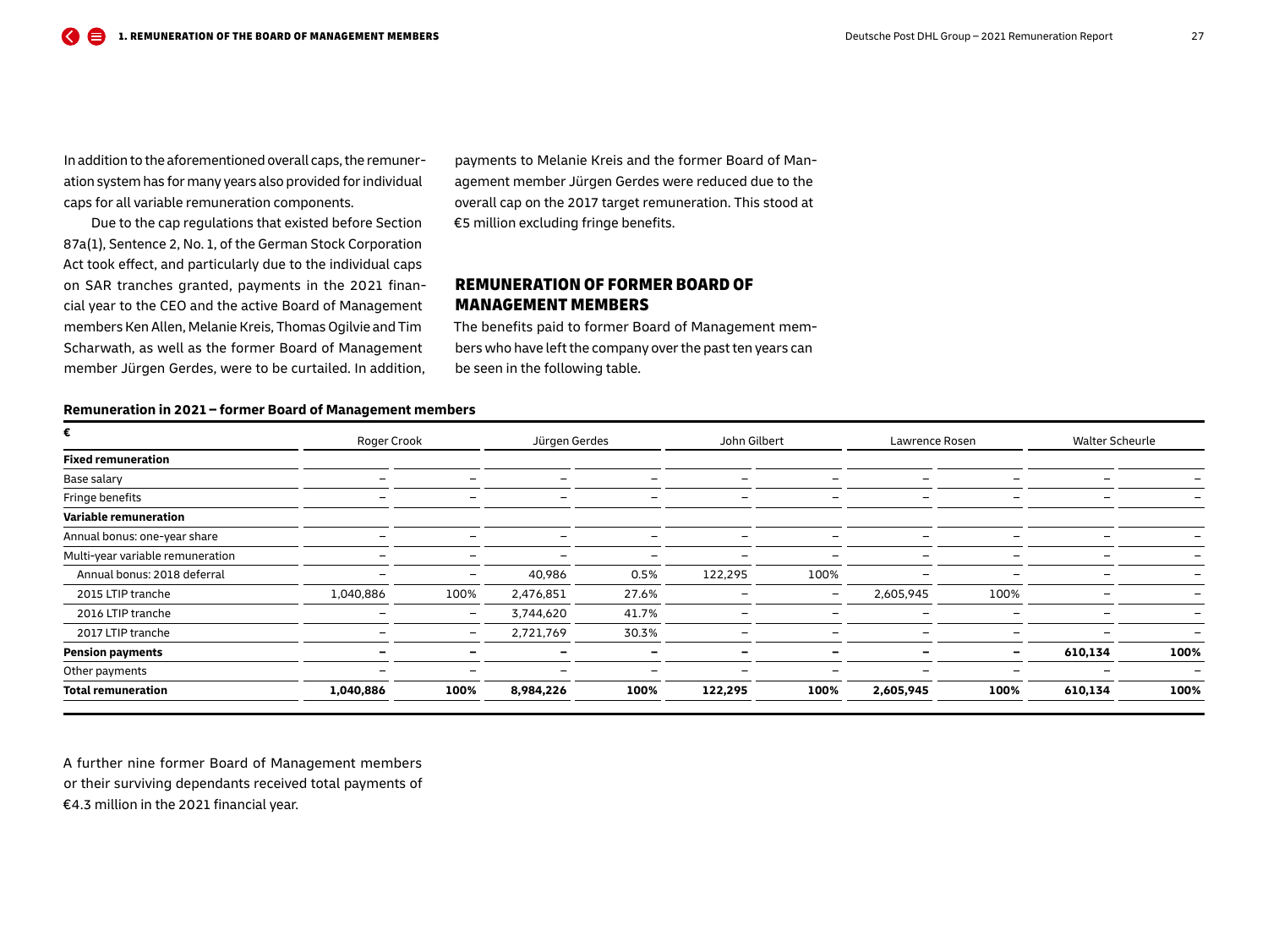<span id="page-26-0"></span>In addition to the aforementioned overall caps, the remuneration system has for many years also provided for individual caps for all variable remuneration components.

Due to the cap regulations that existed before Section 87a(1), Sentence 2, No. 1, of the German Stock Corporation Act took effect, and particularly due to the individual caps on SAR tranches granted, payments in the 2021 financial year to the CEO and the active Board of Management members Ken Allen, Melanie Kreis, Thomas Ogilvie and Tim Scharwath, as well as the former Board of Management member Jürgen Gerdes, were to be curtailed. In addition,

payments to Melanie Kreis and the former Board of Management member Jürgen Gerdes were reduced due to the overall cap on the 2017 target remuneration. This stood at €5 million excluding fringe benefits.

## REMUNERATION OF FORMER BOARD OF MANAGEMENT MEMBERS

The benefits paid to former Board of Management members who have left the company over the past ten years can be seen in the following table.

#### **Remuneration in 2021 – former Board of Management members**

| €                                | Roger Crook<br>Jürgen Gerdes |                          |                          | John Gilbert<br>Lawrence Rosen |                          |                          | <b>Walter Scheurle</b> |                          |         |      |
|----------------------------------|------------------------------|--------------------------|--------------------------|--------------------------------|--------------------------|--------------------------|------------------------|--------------------------|---------|------|
| <b>Fixed remuneration</b>        |                              |                          |                          |                                |                          |                          |                        |                          |         |      |
| Base salary                      |                              |                          |                          |                                |                          |                          |                        |                          |         |      |
| Fringe benefits                  |                              |                          |                          |                                |                          |                          |                        |                          |         |      |
| Variable remuneration            |                              |                          |                          |                                |                          |                          |                        |                          |         |      |
| Annual bonus: one-year share     |                              |                          |                          |                                |                          |                          |                        |                          |         |      |
| Multi-year variable remuneration |                              | $\overline{\phantom{0}}$ | $\overline{\phantom{0}}$ |                                | $\overline{\phantom{0}}$ | $\overline{\phantom{0}}$ |                        |                          |         |      |
| Annual bonus: 2018 deferral      |                              | -                        | 40,986                   | 0.5%                           | 122,295                  | 100%                     |                        |                          |         |      |
| 2015 LTIP tranche                | 1,040,886                    | 100%                     | 2,476,851                | 27.6%                          |                          | $\overline{\phantom{a}}$ | 2,605,945              | 100%                     |         |      |
| 2016 LTIP tranche                |                              | $\overline{\phantom{0}}$ | 3,744,620                | 41.7%                          |                          |                          |                        | -                        |         |      |
| 2017 LTIP tranche                |                              | $\overline{\phantom{0}}$ | 2,721,769                | 30.3%                          |                          |                          |                        |                          |         |      |
| <b>Pension payments</b>          |                              |                          |                          |                                |                          | $\overline{\phantom{0}}$ |                        | $\overline{\phantom{0}}$ | 610,134 | 100% |
| Other payments                   |                              |                          |                          |                                |                          |                          |                        |                          |         |      |
| <b>Total remuneration</b>        | 1,040,886                    | 100%                     | 8,984,226                | 100%                           | 122,295                  | 100%                     | 2,605,945              | 100%                     | 610,134 | 100% |

A further nine former Board of Management members

or their surviving dependants received total payments of

€4.3 million in the 2021 financial year.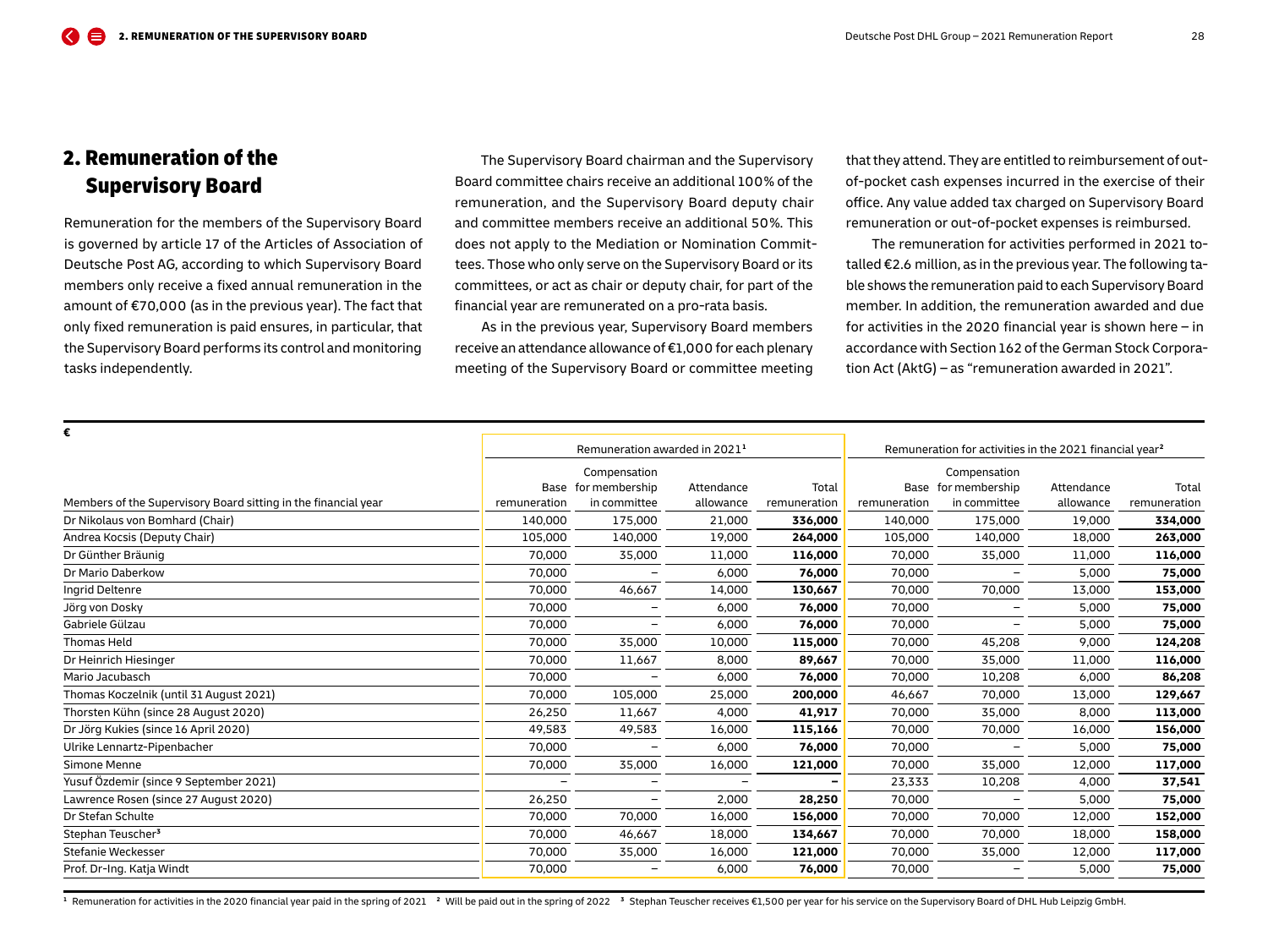## <span id="page-27-0"></span>2. Remuneration of the Supervisory Board

Remuneration for the members of the Supervisory Board is governed by article 17 of the Articles of Association of Deutsche Post AG, according to which Supervisory Board members only receive a fixed annual remuneration in the amount of €70,000 (as in the previous year). The fact that only fixed remuneration is paid ensures, in particular, that the Supervisory Board performs its control and monitoring tasks independently.

The Supervisory Board chairman and the Supervisory Board committee chairs receive an additional 100 % of the remuneration, and the Supervisory Board deputy chair and committee members receive an additional 50 %. This does not apply to the Mediation or Nomination Committees. Those who only serve on the Supervisory Board or its committees, or act as chair or deputy chair, for part of the financial year are remunerated on a pro-rata basis.

As in the previous year, Supervisory Board members receive an attendance allowance of €1,000 for each plenary meeting of the Supervisory Board or committee meeting

that they attend. They are entitled to reimbursement of outof-pocket cash expenses incurred in the exercise of their office. Any value added tax charged on Supervisory Board remuneration or out-of-pocket expenses is reimbursed.

The remuneration for activities performed in 2021 totalled €2.6 million, as in the previous year. The following table shows the remuneration paid to each Supervisory Board member. In addition, the remuneration awarded and due for activities in the 2020 financial year is shown here  $-$  in accordance with Section 162 of the German Stock Corporation Act (AktG) – as "remuneration awarded in 2021".

| €                                                              |                                           |                          |                          |                                                                     |              |                          |            |              |
|----------------------------------------------------------------|-------------------------------------------|--------------------------|--------------------------|---------------------------------------------------------------------|--------------|--------------------------|------------|--------------|
|                                                                | Remuneration awarded in 2021 <sup>1</sup> |                          |                          | Remuneration for activities in the 2021 financial year <sup>2</sup> |              |                          |            |              |
|                                                                |                                           | Compensation             |                          |                                                                     |              | Compensation             |            |              |
|                                                                |                                           | Base for membership      | Attendance               | Total                                                               |              | Base for membership      | Attendance | Total        |
| Members of the Supervisory Board sitting in the financial year | remuneration                              | in committee             | allowance                | remuneration                                                        | remuneration | in committee             | allowance  | remuneration |
| Dr Nikolaus von Bomhard (Chair)                                | 140,000                                   | 175,000                  | 21,000                   | 336,000                                                             | 140,000      | 175,000                  | 19,000     | 334,000      |
| Andrea Kocsis (Deputy Chair)                                   | 105,000                                   | 140,000                  | 19,000                   | 264,000                                                             | 105,000      | 140,000                  | 18,000     | 263,000      |
| Dr Günther Bräunig                                             | 70.000                                    | 35,000                   | 11,000                   | 116,000                                                             | 70,000       | 35,000                   | 11,000     | 116,000      |
| Dr Mario Daberkow                                              | 70,000                                    |                          | 6,000                    | 76,000                                                              | 70,000       | $\overline{\phantom{0}}$ | 5,000      | 75,000       |
| Ingrid Deltenre                                                | 70.000                                    | 46,667                   | 14,000                   | 130,667                                                             | 70,000       | 70,000                   | 13,000     | 153,000      |
| Jörg von Dosky                                                 | 70,000                                    | $\overline{\phantom{0}}$ | 6,000                    | 76,000                                                              | 70,000       |                          | 5,000      | 75,000       |
| Gabriele Gülzau                                                | 70,000                                    | $\qquad \qquad -$        | 6,000                    | 76,000                                                              | 70,000       | $\qquad \qquad -$        | 5,000      | 75,000       |
| <b>Thomas Held</b>                                             | 70.000                                    | 35,000                   | 10,000                   | 115,000                                                             | 70,000       | 45,208                   | 9,000      | 124,208      |
| Dr Heinrich Hiesinger                                          | 70,000                                    | 11,667                   | 8,000                    | 89,667                                                              | 70,000       | 35,000                   | 11,000     | 116,000      |
| Mario Jacubasch                                                | 70,000                                    |                          | 6,000                    | 76,000                                                              | 70,000       | 10,208                   | 6,000      | 86,208       |
| Thomas Koczelnik (until 31 August 2021)                        | 70,000                                    | 105,000                  | 25,000                   | 200,000                                                             | 46,667       | 70,000                   | 13,000     | 129,667      |
| Thorsten Kühn (since 28 August 2020)                           | 26,250                                    | 11,667                   | 4,000                    | 41,917                                                              | 70,000       | 35,000                   | 8,000      | 113,000      |
| Dr Jörg Kukies (since 16 April 2020)                           | 49,583                                    | 49,583                   | 16,000                   | 115,166                                                             | 70,000       | 70,000                   | 16,000     | 156,000      |
| Ulrike Lennartz-Pipenbacher                                    | 70.000                                    |                          | 6,000                    | 76,000                                                              | 70,000       |                          | 5,000      | 75,000       |
| Simone Menne                                                   | 70,000                                    | 35,000                   | 16,000                   | 121,000                                                             | 70,000       | 35,000                   | 12,000     | 117,000      |
| Yusuf Özdemir (since 9 September 2021)                         | $\overline{\phantom{0}}$                  | $\overline{\phantom{0}}$ | $\overline{\phantom{0}}$ | $\overline{a}$                                                      | 23,333       | 10,208                   | 4,000      | 37,541       |
| Lawrence Rosen (since 27 August 2020)                          | 26,250                                    | $\overline{\phantom{a}}$ | 2,000                    | 28,250                                                              | 70,000       | $\qquad \qquad -$        | 5,000      | 75,000       |
| Dr Stefan Schulte                                              | 70,000                                    | 70,000                   | 16,000                   | 156,000                                                             | 70,000       | 70,000                   | 12,000     | 152,000      |
| Stephan Teuscher <sup>3</sup>                                  | 70,000                                    | 46,667                   | 18,000                   | 134,667                                                             | 70,000       | 70,000                   | 18,000     | 158,000      |
| Stefanie Weckesser                                             | 70,000                                    | 35,000                   | 16,000                   | 121,000                                                             | 70,000       | 35,000                   | 12,000     | 117,000      |
| Prof. Dr-Ing. Katja Windt                                      | 70.000                                    |                          | 6,000                    | 76,000                                                              | 70,000       | $\overline{\phantom{0}}$ | 5,000      | 75,000       |
|                                                                |                                           |                          |                          |                                                                     |              |                          |            |              |

<sup>1</sup> Remuneration for activities in the 2020 financial year paid in the spring of 2021<sup>2</sup> Will be paid out in the spring of 2022<sup>3</sup> Stephan Teuscher receives £1,500 per year for his service on the Supervisory Board of DHL H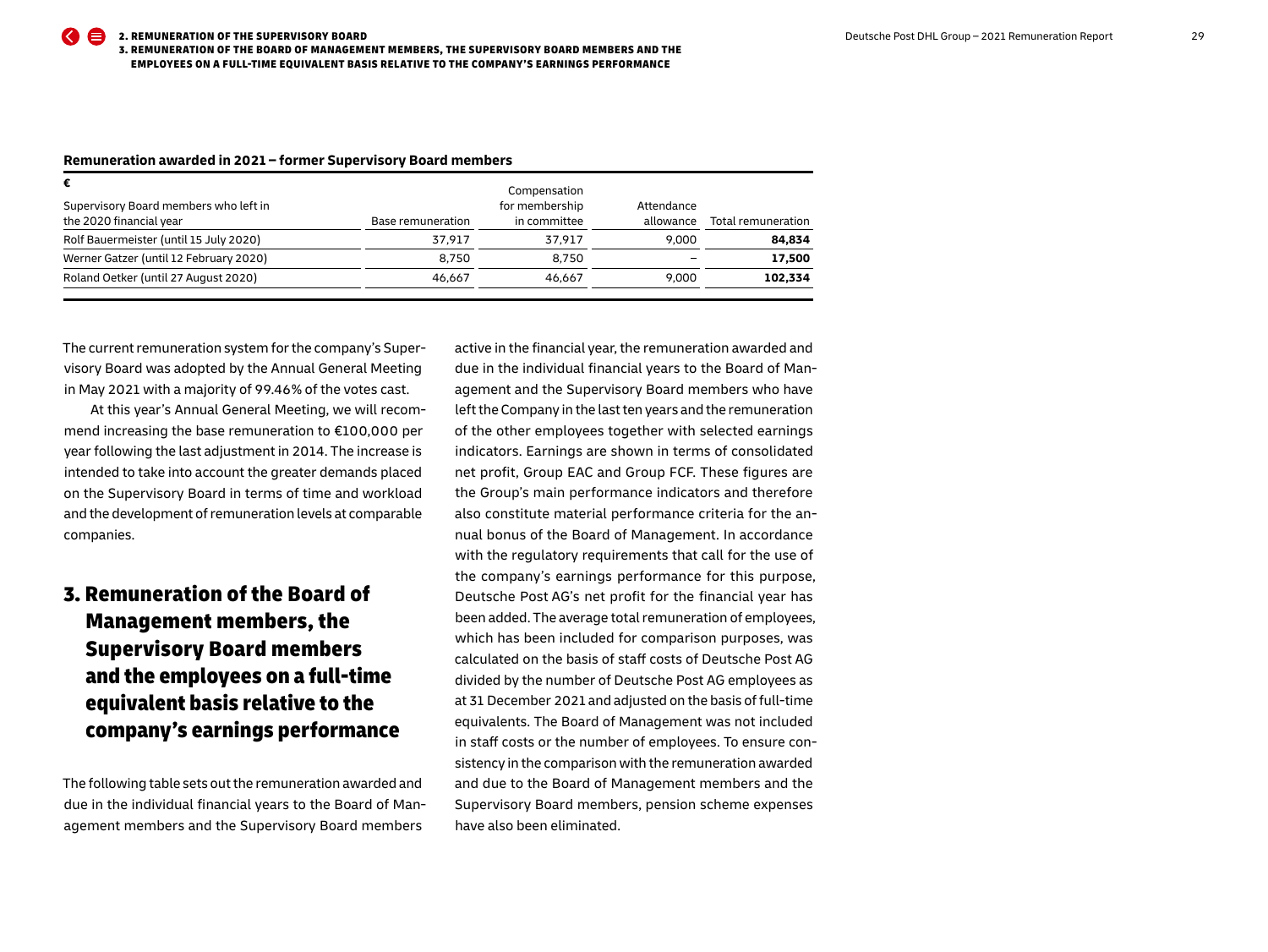| €                                                                |                   | Compensation                   |                         |                    |
|------------------------------------------------------------------|-------------------|--------------------------------|-------------------------|--------------------|
| Supervisory Board members who left in<br>the 2020 financial year | Base remuneration | for membership<br>in committee | Attendance<br>allowance | Total remuneration |
| Rolf Bauermeister (until 15 July 2020)                           | 37.917            | 37.917                         | 9.000                   | 84,834             |
| Werner Gatzer (until 12 February 2020)                           | 8.750             | 8.750                          |                         | 17,500             |
| Roland Oetker (until 27 August 2020)                             | 46.667            | 46.667                         | 9.000                   | 102,334            |
|                                                                  |                   |                                |                         |                    |

#### <span id="page-28-0"></span>**Remuneration awarded in 2021 – former Supervisory Board members**

The current remuneration system for the company's Supervisory Board was adopted by the Annual General Meeting in May 2021 with a majority of 99.46 % of the votes cast.

At this year's Annual General Meeting, we will recommend increasing the base remuneration to €100,000 per year following the last adjustment in 2014. The increase is intended to take into account the greater demands placed on the Supervisory Board in terms of time and workload and the development of remuneration levels at comparable companies.

# 3. Remuneration of the Board of Management members, the Supervisory Board members and the employees on a full-time equivalent basis relative to the company's earnings performance

The following table sets out the remuneration awarded and due in the individual financial years to the Board of Management members and the Supervisory Board members

active in the financial year, the remuneration awarded and due in the individual financial years to the Board of Management and the Supervisory Board members who have left the Company in the last ten years and the remuneration of the other employees together with selected earnings indicators. Earnings are shown in terms of consolidated net profit, Group EAC and Group FCF. These figures are the Group's main performance indicators and therefore also constitute material performance criteria for the annual bonus of the Board of Management. In accordance with the regulatory requirements that call for the use of the company's earnings performance for this purpose, Deutsche Post AG's net profit for the financial year has been added. The average total remuneration of employees, which has been included for comparison purposes, was calculated on the basis of staff costs of Deutsche Post AG divided by the number of Deutsche Post AG employees as at 31 December 2021 and adjusted on the basis of full-time equivalents. The Board of Management was not included in staff costs or the number of employees. To ensure consistency in the comparison with the remuneration awarded and due to the Board of Management members and the Supervisory Board members, pension scheme expenses have also been eliminated.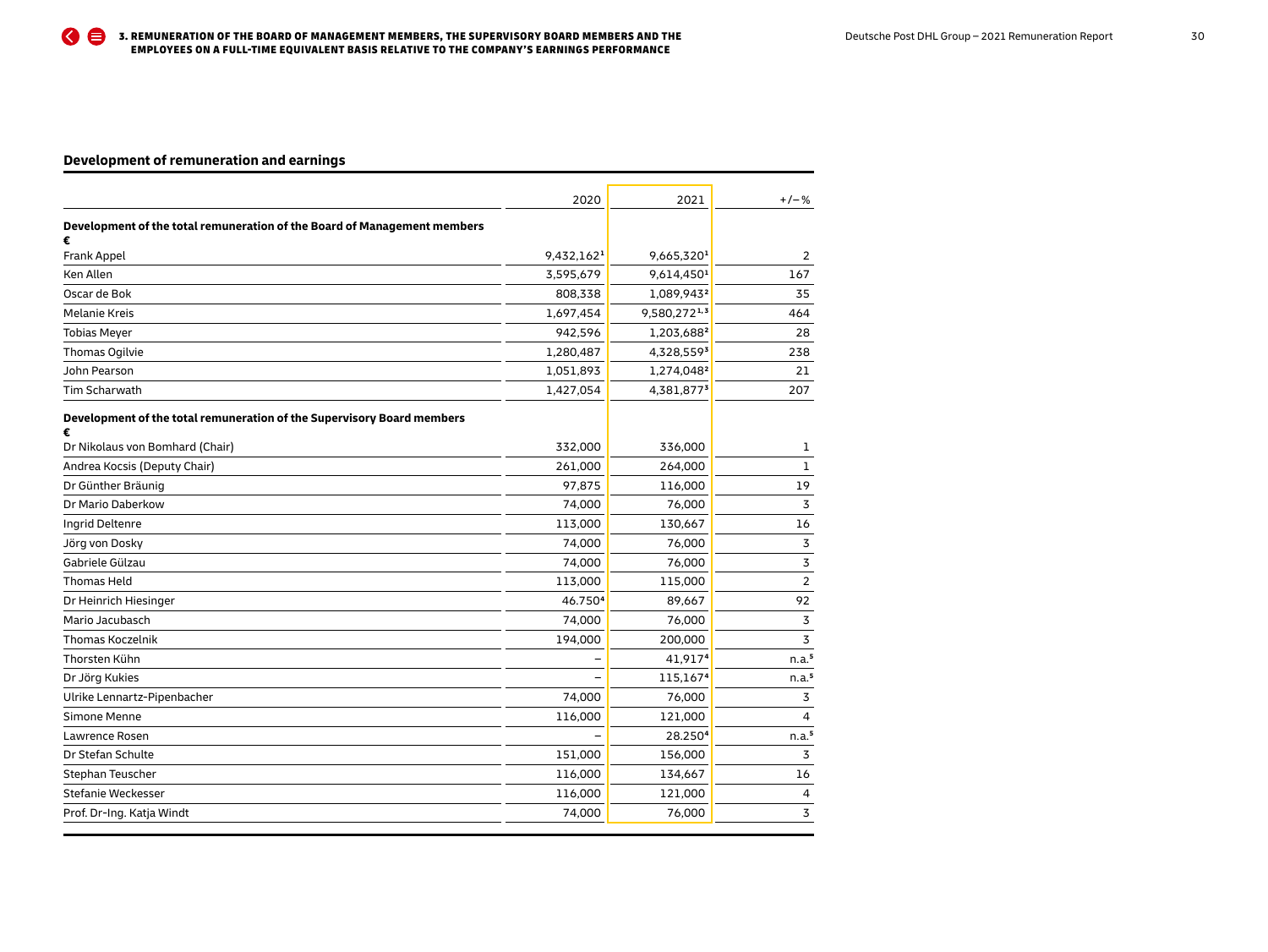## **Development of remuneration and earnings**

|                                                                               | 2020                   | 2021                   | $+/-%$            |
|-------------------------------------------------------------------------------|------------------------|------------------------|-------------------|
| Development of the total remuneration of the Board of Management members<br>€ |                        |                        |                   |
| Frank Appel                                                                   | 9,432,162 <sup>1</sup> | 9,665,320 <sup>1</sup> | $\overline{2}$    |
| Ken Allen                                                                     | 3,595,679              | 9,614,450 <sup>1</sup> | 167               |
| Oscar de Bok                                                                  | 808,338                | 1,089,943 <sup>2</sup> | 35                |
| <b>Melanie Kreis</b>                                                          | 1,697,454              | 9,580,2721,3           | 464               |
| <b>Tobias Meyer</b>                                                           | 942,596                | 1,203,6882             | 28                |
| Thomas Ogilvie                                                                | 1,280,487              | 4,328,5593             | 238               |
| John Pearson                                                                  | 1,051,893              | 1,274,048 <sup>2</sup> | 21                |
| Tim Scharwath                                                                 | 1,427,054              | 4,381,8773             | 207               |
| Development of the total remuneration of the Supervisory Board members<br>€   |                        |                        |                   |
| Dr Nikolaus von Bomhard (Chair)                                               | 332,000                | 336,000                | 1                 |
| Andrea Kocsis (Deputy Chair)                                                  | 261,000                | 264,000                | 1                 |
| Dr Günther Bräunig                                                            | 97,875                 | 116,000                | 19                |
| Dr Mario Daberkow                                                             | 74,000                 | 76,000                 | 3                 |
| Ingrid Deltenre                                                               | 113,000                | 130,667                | 16                |
| Jörg von Dosky                                                                | 74,000                 | 76,000                 | 3                 |
| Gabriele Gülzau                                                               | 74,000                 | 76,000                 | 3                 |
| <b>Thomas Held</b>                                                            | 113,000                | 115,000                | $\overline{2}$    |
| Dr Heinrich Hiesinger                                                         | 46.750 <sup>4</sup>    | 89,667                 | 92                |
| Mario Jacubasch                                                               | 74,000                 | 76,000                 | 3                 |
| <b>Thomas Koczelnik</b>                                                       | 194,000                | 200,000                | 3                 |
| Thorsten Kühn                                                                 |                        | 41,9174                | n.a. <sup>5</sup> |
| Dr Jörg Kukies                                                                |                        | 115,1674               | n.a. <sup>5</sup> |
| Ulrike Lennartz-Pipenbacher                                                   | 74,000                 | 76,000                 | 3                 |
| Simone Menne                                                                  | 116,000                | 121,000                | 4                 |
| Lawrence Rosen                                                                |                        | 28.2504                | n.a. <sup>5</sup> |
| Dr Stefan Schulte                                                             | 151,000                | 156,000                | 3                 |
| Stephan Teuscher                                                              | 116,000                | 134,667                | 16                |
| Stefanie Weckesser                                                            | 116,000                | 121,000                | 4                 |
| Prof. Dr-Ing. Katja Windt                                                     | 74,000                 | 76,000                 | 3                 |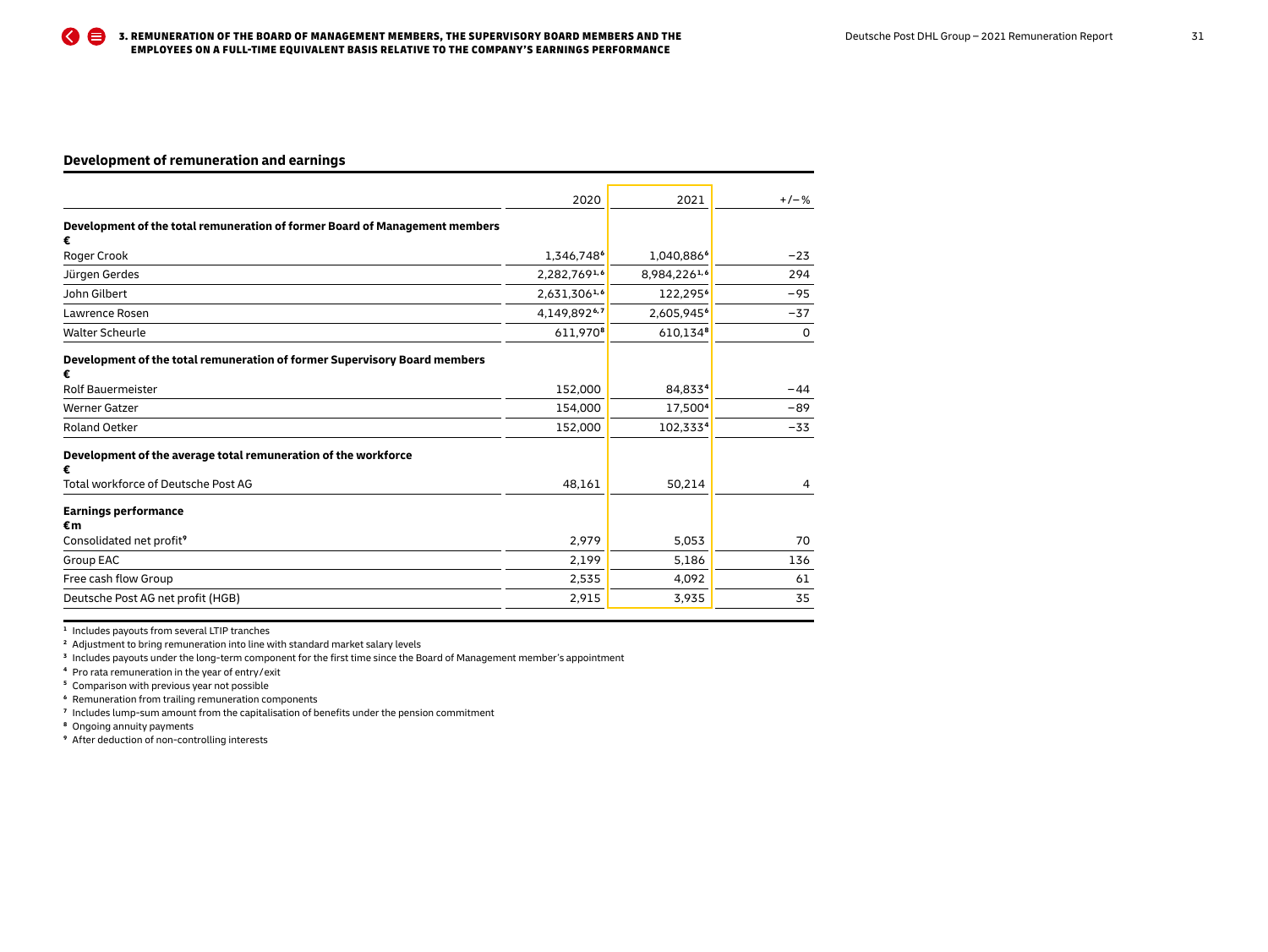## **Development of remuneration and earnings**

|                                                                                | 2020                   | 2021                   | $+/-%$ |
|--------------------------------------------------------------------------------|------------------------|------------------------|--------|
| Development of the total remuneration of former Board of Management members    |                        |                        |        |
| €<br>Roger Crook                                                               | 1,346,748 <sup>6</sup> | 1,040,886 <sup>6</sup> | $-23$  |
| Jürgen Gerdes                                                                  | 2,282,7691,6           | 8,984,2261,6           | 294    |
| John Gilbert                                                                   | 2,631,3061,6           | 122,295 <sup>6</sup>   | $-95$  |
| Lawrence Rosen                                                                 | 4,149,8926,7           | 2,605,945 <sup>6</sup> | $-37$  |
| <b>Walter Scheurle</b>                                                         | 611.9708               | 610,1348               | 0      |
| Development of the total remuneration of former Supervisory Board members<br>€ |                        |                        |        |
| Rolf Bauermeister                                                              | 152,000                | 84,8334                | $-44$  |
| <b>Werner Gatzer</b>                                                           | 154,000                | 17,500 <sup>4</sup>    | $-89$  |
| <b>Roland Oetker</b>                                                           | 152,000                | 102,3334               | $-33$  |
| Development of the average total remuneration of the workforce<br>€            |                        |                        |        |
| Total workforce of Deutsche Post AG                                            | 48,161                 | 50,214                 | 4      |
| <b>Earnings performance</b><br>€m                                              |                        |                        |        |
| Consolidated net profit <sup>9</sup>                                           | 2,979                  | 5,053                  | 70     |
| Group EAC                                                                      | 2,199                  | 5,186                  | 136    |
| Free cash flow Group                                                           | 2,535                  | 4,092                  | 61     |
| Deutsche Post AG net profit (HGB)                                              | 2,915                  | 3,935                  | 35     |

**<sup>1</sup>** Includes payouts from several LTIP tranches

**<sup>2</sup>** Adjustment to bring remuneration into line with standard market salary levels

**<sup>3</sup>** Includes payouts under the long-term component for the first time since the Board of Management member's appointment

**<sup>4</sup>** Pro rata remuneration in the year of entry / exit

**<sup>5</sup>** Comparison with previous year not possible

**<sup>6</sup>** Remuneration from trailing remuneration components

**<sup>7</sup>** Includes lump-sum amount from the capitalisation of benefits under the pension commitment

**<sup>8</sup>** Ongoing annuity payments

**<sup>9</sup>** After deduction of non-controlling interests